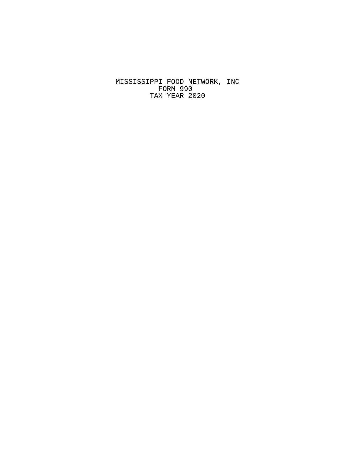MISSISSIPPI FOOD NETWORK, INC FORM 990 TAX YEAR 2020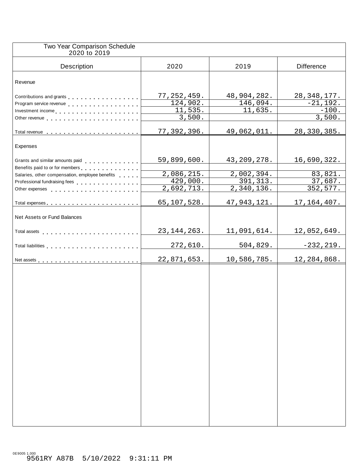| Two Year Comparison Schedule<br>2020 to 2019                                                                                                                                                                                         |                        |                          |                   |
|--------------------------------------------------------------------------------------------------------------------------------------------------------------------------------------------------------------------------------------|------------------------|--------------------------|-------------------|
| Description                                                                                                                                                                                                                          | 2020                   | 2019                     | <b>Difference</b> |
| Revenue                                                                                                                                                                                                                              |                        |                          |                   |
| Contributions and grants                                                                                                                                                                                                             | 77, 252, 459.          | 48,904,282.              | 28, 348, 177.     |
| Program service revenue                                                                                                                                                                                                              | 124,902.               | 146,094.                 | $-21,192.$        |
| Investment income                                                                                                                                                                                                                    | 11,535.                | 11,635.                  | $-100.$           |
|                                                                                                                                                                                                                                      | 3,500.                 |                          | 3,500.            |
|                                                                                                                                                                                                                                      | 77,392,396.            | 49,062,011.              | 28, 330, 385.     |
|                                                                                                                                                                                                                                      |                        |                          |                   |
| Expenses                                                                                                                                                                                                                             |                        |                          |                   |
|                                                                                                                                                                                                                                      | 59,899,600.            | 43, 209, 278.            | 16,690,322.       |
| Benefits paid to or for members                                                                                                                                                                                                      | 2,086,215.             | 2,002,394.               | 83,821.           |
| Salaries, other compensation, employee benefits                                                                                                                                                                                      | $\overline{429,000}$ . | 391, 313.                | 37,687.           |
| Professional fundraising fees<br>expansion of the state of the state of the state of the state of the state of the state of the state of the state of the state of the state of the state of the state of the state of the state     | 2,692,713.             | $\overline{2,340,136}$ . | 352, 577.         |
|                                                                                                                                                                                                                                      |                        |                          |                   |
|                                                                                                                                                                                                                                      | 65,107,528.            | 47,943,121.              | 17, 164, 407.     |
| Net Assets or Fund Balances                                                                                                                                                                                                          |                        |                          |                   |
| Total assets <b>the contract of the contract of the contract of the contract of the contract of the contract of the contract of the contract of the contract of the contract of the contract of the contract of the contract of </b> | 23, 144, 263.          | 11,091,614.              | 12,052,649.       |
| Total liabilities entering the service of the service of the service of the service of the service of the service of                                                                                                                 | 272,610.               | 504,829.                 | $-232, 219.$      |
|                                                                                                                                                                                                                                      | 22,871,653.            | 10,586,785.              | 12,284,868.       |
|                                                                                                                                                                                                                                      |                        |                          |                   |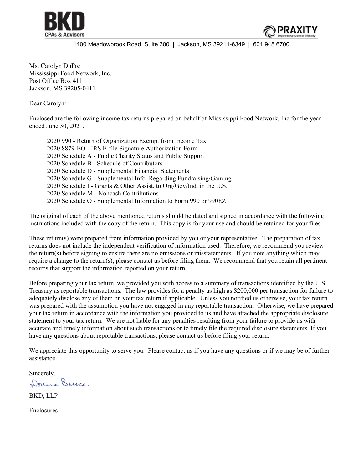



1400 Meadowbrook Road, Suite 300 **|** Jackson, MS 39211-6349 **|** 601.948.6700

Ms. Carolyn DuPre Mississippi Food Network, Inc. Post Office Box 411 Jackson, MS 39205-0411

Dear Carolyn:

Enclosed are the following income tax returns prepared on behalf of Mississippi Food Network, Inc for the year ended June 30, 2021.

2020 990 - Return of Organization Exempt from Income Tax 2020 8879-EO - IRS E-file Signature Authorization Form 2020 Schedule A - Public Charity Status and Public Support 2020 Schedule B - Schedule of Contributors 2020 Schedule D - Supplemental Financial Statements 2020 Schedule G - Supplemental Info. Regarding Fundraising/Gaming 2020 Schedule I - Grants & Other Assist. to Org/Gov/Ind. in the U.S. 2020 Schedule M - Noncash Contributions 2020 Schedule O - Supplemental Information to Form 990 or 990EZ

The original of each of the above mentioned returns should be dated and signed in accordance with the following instructions included with the copy of the return. This copy is for your use and should be retained for your files.

These return(s) were prepared from information provided by you or your representative. The preparation of tax returns does not include the independent verification of information used. Therefore, we recommend you review the return(s) before signing to ensure there are no omissions or misstatements. If you note anything which may require a change to the return(s), please contact us before filing them. We recommend that you retain all pertinent records that support the information reported on your return.

Before preparing your tax return, we provided you with access to a summary of transactions identified by the U.S. Treasury as reportable transactions. The law provides for a penalty as high as \$200,000 per transaction for failure to adequately disclose any of them on your tax return if applicable. Unless you notified us otherwise, your tax return was prepared with the assumption you have not engaged in any reportable transaction. Otherwise, we have prepared your tax return in accordance with the information you provided to us and have attached the appropriate disclosure statement to your tax return. We are not liable for any penalties resulting from your failure to provide us with accurate and timely information about such transactions or to timely file the required disclosure statements. If you have any questions about reportable transactions, please contact us before filing your return.

We appreciate this opportunity to serve you. Please contact us if you have any questions or if we may be of further assistance.

Sincerely,<br>Donna Bruce.

BKD, LLP

Enclosures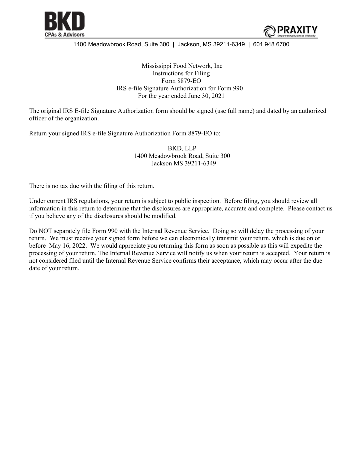



### 1400 Meadowbrook Road, Suite 300 **|** Jackson, MS 39211-6349 **|** 601.948.6700

Mississippi Food Network, Inc Instructions for Filing Form 8879-EO IRS e-file Signature Authorization for Form 990 For the year ended June 30, 2021

The original IRS E-file Signature Authorization form should be signed (use full name) and dated by an authorized officer of the organization.

Return your signed IRS e-file Signature Authorization Form 8879-EO to:

 BKD, LLP 1400 Meadowbrook Road, Suite 300 Jackson MS 39211-6349

There is no tax due with the filing of this return.

Under current IRS regulations, your return is subject to public inspection. Before filing, you should review all information in this return to determine that the disclosures are appropriate, accurate and complete. Please contact us if you believe any of the disclosures should be modified.

Do NOT separately file Form 990 with the Internal Revenue Service. Doing so will delay the processing of your return. We must receive your signed form before we can electronically transmit your return, which is due on or before May 16, 2022. We would appreciate you returning this form as soon as possible as this will expedite the processing of your return. The Internal Revenue Service will notify us when your return is accepted. Your return is not considered filed until the Internal Revenue Service confirms their acceptance, which may occur after the due date of your return.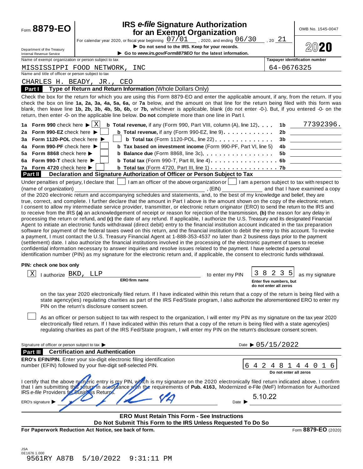| for an Exempt Organization<br>For calendar year 2020, or fiscal year beginning $\frac{07/01}{\sigma}$ , 2020, and ending $\frac{06/30}{\sigma}$<br>Do not send to the IRS. Keep for your records.<br>Department of the Treasury<br>Go to www.irs.gov/Form8879EO for the latest information.<br><b>Internal Revenue Service</b><br>Name of exempt organization or person subject to tax<br>MISSISSIPPI FOOD NETWORK,<br>INC<br>Name and title of officer or person subject to tax<br>CHARLES H. BEADY, JR., CEO<br>Type of Return and Return Information (Whole Dollars Only)<br>Part I<br>Check the box for the return for which you are using this Form 8879-EO and enter the applicable amount, if any, from the return. If you<br>check the box on line 1a, 2a, 3a, 4a, 5a, 6a, or 7a below, and the amount on that line for the return being filed with this form was<br>blank, then leave line 1b, 2b, 3b, 4b, 5b, 6b, or 7b, whichever is applicable, blank (do not enter -0-). But, if you entered -0- on the<br>return, then enter -0- on the applicable line below. Do not complete more than one line in Part I.<br>1a Form 990 check here $\blacktriangleright$ $\mid$ X<br><b>b</b> Total revenue, if any (Form 990, Part VIII, column $(A)$ , line 12). $\ldots$<br>2a Form 990-EZ check here ▶<br><b>b</b> Total revenue, if any (Form 990-EZ, line 9) $\ldots$ ,,,,,,,,,,<br><b>b</b> Total tax (Form 1120-POL, line 22) $\ldots$<br>3a Form 1120-POL check here ▶<br>4a Form 990-PF check here ▶<br><b>b</b> Tax based on investment income (Form 990-PF, Part VI, line 5)<br>5a Form 8868 check here<br><b>b</b> Balance due (Form 8868, line 3c). $\ldots$ , $\ldots$ , $\ldots$ , $\ldots$ ,<br>6a Form 990-T check here $\blacktriangleright$<br>7a Form 4720 check here ><br><b>b</b> Total tax (Form 4720, Part III, line 1) $\ldots$ $\ldots$ $\ldots$ $\ldots$ $\ldots$ 7b<br>Declaration and Signature Authorization of Officer or Person Subject to Tax<br><b>Part II</b><br>I am an officer of the above organization or     I am a person subject to tax with respect to<br>Under penalties of perjury, I declare that  <br>(name of organization)<br>E(N)<br>of the 2020 electronic return and accompanying schedules and statements, and, to the best of my knowledge and belief, they are<br>true, correct, and complete. I further declare that the amount in Part I above is the amount shown on the copy of the electronic return.<br>I consent to allow my intermediate service provider, transmitter, or electronic return originator (ERO) to send the return to the IRS and<br>to receive from the IRS (a) an acknowledgement of receipt or reason for rejection of the transmission, (b) the reason for any delay in<br>processing the return or refund, and (c) the date of any refund. If applicable, I authorize the U.S. Treasury and its designated Financial<br>Agent to initiate an electronic funds withdrawal (direct debit) entry to the financial institution account indicated in the tax preparation<br>software for payment of the federal taxes owed on this return, and the financial institution to debit the entry to this account. To revoke<br>a payment, I must contact the U.S. Treasury Financial Agent at 1-888-353-4537 no later than 2 business days prior to the payment<br>(settlement) date. I also authorize the financial institutions involved in the processing of the electronic payment of taxes to receive<br>confidential information necessary to answer inquiries and resolve issues related to the payment. I have selected a personal<br>identification number (PIN) as my signature for the electronic return and, if applicable, the consent to electronic funds withdrawal.<br>PIN: check one box only<br>Χ<br>I authorize BKD, LLP<br>to enter my PIN<br>ERO firm name<br>on the tax year 2020 electronically filed return. If I have indicated within this return that a copy of the return is being filed with a<br>state agency(ies) regulating charities as part of the IRS Fed/State program, I also authorize the aforementioned ERO to enter my<br>PIN on the return's disclosure consent screen.<br>As an officer or person subject to tax with respect to the organization, I will enter my PIN as my signature on the tax year 2020<br>electronically filed return. If I have indicated within this return that a copy of the return is being filed with a state agency(ies)<br>regulating charities as part of the IRS Fed/State program, I will enter my PIN on the return's disclosure consent screen.<br>Signature of officer or person subject to tax | 2021<br>64-0676325<br>1b<br>2b<br>3b<br>4b.<br>5b                    | $20$ 20<br><b>Taxpayer identification number</b><br>77392396.<br><u> 1980 - Jan Barbara Barat, manala</u> |
|----------------------------------------------------------------------------------------------------------------------------------------------------------------------------------------------------------------------------------------------------------------------------------------------------------------------------------------------------------------------------------------------------------------------------------------------------------------------------------------------------------------------------------------------------------------------------------------------------------------------------------------------------------------------------------------------------------------------------------------------------------------------------------------------------------------------------------------------------------------------------------------------------------------------------------------------------------------------------------------------------------------------------------------------------------------------------------------------------------------------------------------------------------------------------------------------------------------------------------------------------------------------------------------------------------------------------------------------------------------------------------------------------------------------------------------------------------------------------------------------------------------------------------------------------------------------------------------------------------------------------------------------------------------------------------------------------------------------------------------------------------------------------------------------------------------------------------------------------------------------------------------------------------------------------------------------------------------------------------------------------------------------------------------------------------------------------------------------------------------------------------------------------------------------------------------------------------------------------------------------------------------------------------------------------------------------------------------------------------------------------------------------------------------------------------------------------------------------------------------------------------------------------------------------------------------------------------------------------------------------------------------------------------------------------------------------------------------------------------------------------------------------------------------------------------------------------------------------------------------------------------------------------------------------------------------------------------------------------------------------------------------------------------------------------------------------------------------------------------------------------------------------------------------------------------------------------------------------------------------------------------------------------------------------------------------------------------------------------------------------------------------------------------------------------------------------------------------------------------------------------------------------------------------------------------------------------------------------------------------------------------------------------------------------------------------------------------------------------------------------------------------------------------------------------------------------------------------------------------------------------------------------------------------------------------------------------------------------------------------------------------------------------------------------------------------------------------------------------------------------------------------------------------------------------------------------------------------------------------------------------------------------------------------------------------------------------------------------------------------------------------------------------------------------------------------------------------------------------------------------------------------------------------------------------------------------------------------------------------------------------------------------------------|----------------------------------------------------------------------|-----------------------------------------------------------------------------------------------------------|
|                                                                                                                                                                                                                                                                                                                                                                                                                                                                                                                                                                                                                                                                                                                                                                                                                                                                                                                                                                                                                                                                                                                                                                                                                                                                                                                                                                                                                                                                                                                                                                                                                                                                                                                                                                                                                                                                                                                                                                                                                                                                                                                                                                                                                                                                                                                                                                                                                                                                                                                                                                                                                                                                                                                                                                                                                                                                                                                                                                                                                                                                                                                                                                                                                                                                                                                                                                                                                                                                                                                                                                                                                                                                                                                                                                                                                                                                                                                                                                                                                                                                                                                                                                                                                                                                                                                                                                                                                                                                                                                                                                                                                                                          |                                                                      |                                                                                                           |
|                                                                                                                                                                                                                                                                                                                                                                                                                                                                                                                                                                                                                                                                                                                                                                                                                                                                                                                                                                                                                                                                                                                                                                                                                                                                                                                                                                                                                                                                                                                                                                                                                                                                                                                                                                                                                                                                                                                                                                                                                                                                                                                                                                                                                                                                                                                                                                                                                                                                                                                                                                                                                                                                                                                                                                                                                                                                                                                                                                                                                                                                                                                                                                                                                                                                                                                                                                                                                                                                                                                                                                                                                                                                                                                                                                                                                                                                                                                                                                                                                                                                                                                                                                                                                                                                                                                                                                                                                                                                                                                                                                                                                                                          |                                                                      |                                                                                                           |
|                                                                                                                                                                                                                                                                                                                                                                                                                                                                                                                                                                                                                                                                                                                                                                                                                                                                                                                                                                                                                                                                                                                                                                                                                                                                                                                                                                                                                                                                                                                                                                                                                                                                                                                                                                                                                                                                                                                                                                                                                                                                                                                                                                                                                                                                                                                                                                                                                                                                                                                                                                                                                                                                                                                                                                                                                                                                                                                                                                                                                                                                                                                                                                                                                                                                                                                                                                                                                                                                                                                                                                                                                                                                                                                                                                                                                                                                                                                                                                                                                                                                                                                                                                                                                                                                                                                                                                                                                                                                                                                                                                                                                                                          |                                                                      |                                                                                                           |
|                                                                                                                                                                                                                                                                                                                                                                                                                                                                                                                                                                                                                                                                                                                                                                                                                                                                                                                                                                                                                                                                                                                                                                                                                                                                                                                                                                                                                                                                                                                                                                                                                                                                                                                                                                                                                                                                                                                                                                                                                                                                                                                                                                                                                                                                                                                                                                                                                                                                                                                                                                                                                                                                                                                                                                                                                                                                                                                                                                                                                                                                                                                                                                                                                                                                                                                                                                                                                                                                                                                                                                                                                                                                                                                                                                                                                                                                                                                                                                                                                                                                                                                                                                                                                                                                                                                                                                                                                                                                                                                                                                                                                                                          |                                                                      |                                                                                                           |
|                                                                                                                                                                                                                                                                                                                                                                                                                                                                                                                                                                                                                                                                                                                                                                                                                                                                                                                                                                                                                                                                                                                                                                                                                                                                                                                                                                                                                                                                                                                                                                                                                                                                                                                                                                                                                                                                                                                                                                                                                                                                                                                                                                                                                                                                                                                                                                                                                                                                                                                                                                                                                                                                                                                                                                                                                                                                                                                                                                                                                                                                                                                                                                                                                                                                                                                                                                                                                                                                                                                                                                                                                                                                                                                                                                                                                                                                                                                                                                                                                                                                                                                                                                                                                                                                                                                                                                                                                                                                                                                                                                                                                                                          |                                                                      |                                                                                                           |
|                                                                                                                                                                                                                                                                                                                                                                                                                                                                                                                                                                                                                                                                                                                                                                                                                                                                                                                                                                                                                                                                                                                                                                                                                                                                                                                                                                                                                                                                                                                                                                                                                                                                                                                                                                                                                                                                                                                                                                                                                                                                                                                                                                                                                                                                                                                                                                                                                                                                                                                                                                                                                                                                                                                                                                                                                                                                                                                                                                                                                                                                                                                                                                                                                                                                                                                                                                                                                                                                                                                                                                                                                                                                                                                                                                                                                                                                                                                                                                                                                                                                                                                                                                                                                                                                                                                                                                                                                                                                                                                                                                                                                                                          |                                                                      |                                                                                                           |
|                                                                                                                                                                                                                                                                                                                                                                                                                                                                                                                                                                                                                                                                                                                                                                                                                                                                                                                                                                                                                                                                                                                                                                                                                                                                                                                                                                                                                                                                                                                                                                                                                                                                                                                                                                                                                                                                                                                                                                                                                                                                                                                                                                                                                                                                                                                                                                                                                                                                                                                                                                                                                                                                                                                                                                                                                                                                                                                                                                                                                                                                                                                                                                                                                                                                                                                                                                                                                                                                                                                                                                                                                                                                                                                                                                                                                                                                                                                                                                                                                                                                                                                                                                                                                                                                                                                                                                                                                                                                                                                                                                                                                                                          |                                                                      |                                                                                                           |
|                                                                                                                                                                                                                                                                                                                                                                                                                                                                                                                                                                                                                                                                                                                                                                                                                                                                                                                                                                                                                                                                                                                                                                                                                                                                                                                                                                                                                                                                                                                                                                                                                                                                                                                                                                                                                                                                                                                                                                                                                                                                                                                                                                                                                                                                                                                                                                                                                                                                                                                                                                                                                                                                                                                                                                                                                                                                                                                                                                                                                                                                                                                                                                                                                                                                                                                                                                                                                                                                                                                                                                                                                                                                                                                                                                                                                                                                                                                                                                                                                                                                                                                                                                                                                                                                                                                                                                                                                                                                                                                                                                                                                                                          |                                                                      |                                                                                                           |
|                                                                                                                                                                                                                                                                                                                                                                                                                                                                                                                                                                                                                                                                                                                                                                                                                                                                                                                                                                                                                                                                                                                                                                                                                                                                                                                                                                                                                                                                                                                                                                                                                                                                                                                                                                                                                                                                                                                                                                                                                                                                                                                                                                                                                                                                                                                                                                                                                                                                                                                                                                                                                                                                                                                                                                                                                                                                                                                                                                                                                                                                                                                                                                                                                                                                                                                                                                                                                                                                                                                                                                                                                                                                                                                                                                                                                                                                                                                                                                                                                                                                                                                                                                                                                                                                                                                                                                                                                                                                                                                                                                                                                                                          |                                                                      |                                                                                                           |
|                                                                                                                                                                                                                                                                                                                                                                                                                                                                                                                                                                                                                                                                                                                                                                                                                                                                                                                                                                                                                                                                                                                                                                                                                                                                                                                                                                                                                                                                                                                                                                                                                                                                                                                                                                                                                                                                                                                                                                                                                                                                                                                                                                                                                                                                                                                                                                                                                                                                                                                                                                                                                                                                                                                                                                                                                                                                                                                                                                                                                                                                                                                                                                                                                                                                                                                                                                                                                                                                                                                                                                                                                                                                                                                                                                                                                                                                                                                                                                                                                                                                                                                                                                                                                                                                                                                                                                                                                                                                                                                                                                                                                                                          |                                                                      |                                                                                                           |
|                                                                                                                                                                                                                                                                                                                                                                                                                                                                                                                                                                                                                                                                                                                                                                                                                                                                                                                                                                                                                                                                                                                                                                                                                                                                                                                                                                                                                                                                                                                                                                                                                                                                                                                                                                                                                                                                                                                                                                                                                                                                                                                                                                                                                                                                                                                                                                                                                                                                                                                                                                                                                                                                                                                                                                                                                                                                                                                                                                                                                                                                                                                                                                                                                                                                                                                                                                                                                                                                                                                                                                                                                                                                                                                                                                                                                                                                                                                                                                                                                                                                                                                                                                                                                                                                                                                                                                                                                                                                                                                                                                                                                                                          |                                                                      |                                                                                                           |
|                                                                                                                                                                                                                                                                                                                                                                                                                                                                                                                                                                                                                                                                                                                                                                                                                                                                                                                                                                                                                                                                                                                                                                                                                                                                                                                                                                                                                                                                                                                                                                                                                                                                                                                                                                                                                                                                                                                                                                                                                                                                                                                                                                                                                                                                                                                                                                                                                                                                                                                                                                                                                                                                                                                                                                                                                                                                                                                                                                                                                                                                                                                                                                                                                                                                                                                                                                                                                                                                                                                                                                                                                                                                                                                                                                                                                                                                                                                                                                                                                                                                                                                                                                                                                                                                                                                                                                                                                                                                                                                                                                                                                                                          |                                                                      |                                                                                                           |
|                                                                                                                                                                                                                                                                                                                                                                                                                                                                                                                                                                                                                                                                                                                                                                                                                                                                                                                                                                                                                                                                                                                                                                                                                                                                                                                                                                                                                                                                                                                                                                                                                                                                                                                                                                                                                                                                                                                                                                                                                                                                                                                                                                                                                                                                                                                                                                                                                                                                                                                                                                                                                                                                                                                                                                                                                                                                                                                                                                                                                                                                                                                                                                                                                                                                                                                                                                                                                                                                                                                                                                                                                                                                                                                                                                                                                                                                                                                                                                                                                                                                                                                                                                                                                                                                                                                                                                                                                                                                                                                                                                                                                                                          |                                                                      |                                                                                                           |
|                                                                                                                                                                                                                                                                                                                                                                                                                                                                                                                                                                                                                                                                                                                                                                                                                                                                                                                                                                                                                                                                                                                                                                                                                                                                                                                                                                                                                                                                                                                                                                                                                                                                                                                                                                                                                                                                                                                                                                                                                                                                                                                                                                                                                                                                                                                                                                                                                                                                                                                                                                                                                                                                                                                                                                                                                                                                                                                                                                                                                                                                                                                                                                                                                                                                                                                                                                                                                                                                                                                                                                                                                                                                                                                                                                                                                                                                                                                                                                                                                                                                                                                                                                                                                                                                                                                                                                                                                                                                                                                                                                                                                                                          |                                                                      |                                                                                                           |
|                                                                                                                                                                                                                                                                                                                                                                                                                                                                                                                                                                                                                                                                                                                                                                                                                                                                                                                                                                                                                                                                                                                                                                                                                                                                                                                                                                                                                                                                                                                                                                                                                                                                                                                                                                                                                                                                                                                                                                                                                                                                                                                                                                                                                                                                                                                                                                                                                                                                                                                                                                                                                                                                                                                                                                                                                                                                                                                                                                                                                                                                                                                                                                                                                                                                                                                                                                                                                                                                                                                                                                                                                                                                                                                                                                                                                                                                                                                                                                                                                                                                                                                                                                                                                                                                                                                                                                                                                                                                                                                                                                                                                                                          |                                                                      |                                                                                                           |
|                                                                                                                                                                                                                                                                                                                                                                                                                                                                                                                                                                                                                                                                                                                                                                                                                                                                                                                                                                                                                                                                                                                                                                                                                                                                                                                                                                                                                                                                                                                                                                                                                                                                                                                                                                                                                                                                                                                                                                                                                                                                                                                                                                                                                                                                                                                                                                                                                                                                                                                                                                                                                                                                                                                                                                                                                                                                                                                                                                                                                                                                                                                                                                                                                                                                                                                                                                                                                                                                                                                                                                                                                                                                                                                                                                                                                                                                                                                                                                                                                                                                                                                                                                                                                                                                                                                                                                                                                                                                                                                                                                                                                                                          | 8<br>2 3<br> 5 <br>Enter five numbers, but<br>do not enter all zeros | and that I have examined a copy<br>as my signature                                                        |
|                                                                                                                                                                                                                                                                                                                                                                                                                                                                                                                                                                                                                                                                                                                                                                                                                                                                                                                                                                                                                                                                                                                                                                                                                                                                                                                                                                                                                                                                                                                                                                                                                                                                                                                                                                                                                                                                                                                                                                                                                                                                                                                                                                                                                                                                                                                                                                                                                                                                                                                                                                                                                                                                                                                                                                                                                                                                                                                                                                                                                                                                                                                                                                                                                                                                                                                                                                                                                                                                                                                                                                                                                                                                                                                                                                                                                                                                                                                                                                                                                                                                                                                                                                                                                                                                                                                                                                                                                                                                                                                                                                                                                                                          |                                                                      |                                                                                                           |
|                                                                                                                                                                                                                                                                                                                                                                                                                                                                                                                                                                                                                                                                                                                                                                                                                                                                                                                                                                                                                                                                                                                                                                                                                                                                                                                                                                                                                                                                                                                                                                                                                                                                                                                                                                                                                                                                                                                                                                                                                                                                                                                                                                                                                                                                                                                                                                                                                                                                                                                                                                                                                                                                                                                                                                                                                                                                                                                                                                                                                                                                                                                                                                                                                                                                                                                                                                                                                                                                                                                                                                                                                                                                                                                                                                                                                                                                                                                                                                                                                                                                                                                                                                                                                                                                                                                                                                                                                                                                                                                                                                                                                                                          |                                                                      |                                                                                                           |
| <b>Certification and Authentication</b><br>Part III                                                                                                                                                                                                                                                                                                                                                                                                                                                                                                                                                                                                                                                                                                                                                                                                                                                                                                                                                                                                                                                                                                                                                                                                                                                                                                                                                                                                                                                                                                                                                                                                                                                                                                                                                                                                                                                                                                                                                                                                                                                                                                                                                                                                                                                                                                                                                                                                                                                                                                                                                                                                                                                                                                                                                                                                                                                                                                                                                                                                                                                                                                                                                                                                                                                                                                                                                                                                                                                                                                                                                                                                                                                                                                                                                                                                                                                                                                                                                                                                                                                                                                                                                                                                                                                                                                                                                                                                                                                                                                                                                                                                      | Date $\triangleright$ 05/15/2022                                     |                                                                                                           |
| ERO's EFIN/PIN. Enter your six-digit electronic filing identification                                                                                                                                                                                                                                                                                                                                                                                                                                                                                                                                                                                                                                                                                                                                                                                                                                                                                                                                                                                                                                                                                                                                                                                                                                                                                                                                                                                                                                                                                                                                                                                                                                                                                                                                                                                                                                                                                                                                                                                                                                                                                                                                                                                                                                                                                                                                                                                                                                                                                                                                                                                                                                                                                                                                                                                                                                                                                                                                                                                                                                                                                                                                                                                                                                                                                                                                                                                                                                                                                                                                                                                                                                                                                                                                                                                                                                                                                                                                                                                                                                                                                                                                                                                                                                                                                                                                                                                                                                                                                                                                                                                    |                                                                      |                                                                                                           |
| number (EFIN) followed by your five-digit self-selected PIN.<br>6<br>4                                                                                                                                                                                                                                                                                                                                                                                                                                                                                                                                                                                                                                                                                                                                                                                                                                                                                                                                                                                                                                                                                                                                                                                                                                                                                                                                                                                                                                                                                                                                                                                                                                                                                                                                                                                                                                                                                                                                                                                                                                                                                                                                                                                                                                                                                                                                                                                                                                                                                                                                                                                                                                                                                                                                                                                                                                                                                                                                                                                                                                                                                                                                                                                                                                                                                                                                                                                                                                                                                                                                                                                                                                                                                                                                                                                                                                                                                                                                                                                                                                                                                                                                                                                                                                                                                                                                                                                                                                                                                                                                                                                   |                                                                      | -4<br>0 1 6                                                                                               |
| I certify that the above numeric entry is my PIN, witch is my signature on the 2020 electronically filed return indicated above. I confirm<br>that I am submitting this return in accordance with the requirements of Pub. 4163, Modernized e-File (MeF) Information for Authorized<br>IRS e-file Providers for Business Returns.<br>ERO's signature ▶<br>Date                                                                                                                                                                                                                                                                                                                                                                                                                                                                                                                                                                                                                                                                                                                                                                                                                                                                                                                                                                                                                                                                                                                                                                                                                                                                                                                                                                                                                                                                                                                                                                                                                                                                                                                                                                                                                                                                                                                                                                                                                                                                                                                                                                                                                                                                                                                                                                                                                                                                                                                                                                                                                                                                                                                                                                                                                                                                                                                                                                                                                                                                                                                                                                                                                                                                                                                                                                                                                                                                                                                                                                                                                                                                                                                                                                                                                                                                                                                                                                                                                                                                                                                                                                                                                                                                                           | Do not enter all zeros                                               |                                                                                                           |
| <b>ERO Must Retain This Form - See Instructions</b><br>Do Not Submit This Form to the IRS Unless Requested To Do So                                                                                                                                                                                                                                                                                                                                                                                                                                                                                                                                                                                                                                                                                                                                                                                                                                                                                                                                                                                                                                                                                                                                                                                                                                                                                                                                                                                                                                                                                                                                                                                                                                                                                                                                                                                                                                                                                                                                                                                                                                                                                                                                                                                                                                                                                                                                                                                                                                                                                                                                                                                                                                                                                                                                                                                                                                                                                                                                                                                                                                                                                                                                                                                                                                                                                                                                                                                                                                                                                                                                                                                                                                                                                                                                                                                                                                                                                                                                                                                                                                                                                                                                                                                                                                                                                                                                                                                                                                                                                                                                      | 5.10.22                                                              |                                                                                                           |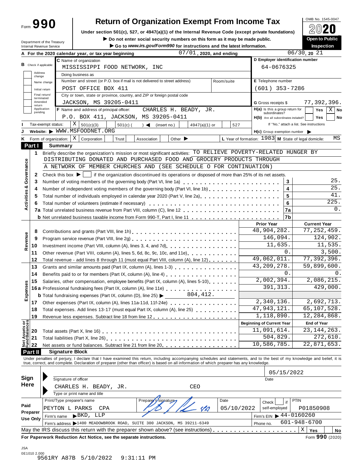Form **990**

# **Return of Organization Exempt From Income Tax**

Under section 501(c), 527, or 4947(a)(1) of the Internal Revenue Code (except private foundations) **△**<del>○</del><br>Do not enter social security numbers on this form as it may be made public. <br>**A** Do not enter social security numbe

**IDepartment of the Treasury Depart on the Treasury Depart on the Science of the Department of the Treasury <b>Copen to Pub**<br>Internal Revenue Service **Department of the Treasury Copen to Public Copen intervent on the S** 

|                                         | Department of the Treasury<br>Internal Revenue Service |                                      |                                                                                                                                                                                                                                | $\blacktriangleright$ Do not enter social security numbers on this form as it may be made public.<br>Go to www.irs.gov/Form990 for instructions and the latest information. |                             |               |                            |  |                                                     |           | <b>Open to Public</b><br>Inspection                          |
|-----------------------------------------|--------------------------------------------------------|--------------------------------------|--------------------------------------------------------------------------------------------------------------------------------------------------------------------------------------------------------------------------------|-----------------------------------------------------------------------------------------------------------------------------------------------------------------------------|-----------------------------|---------------|----------------------------|--|-----------------------------------------------------|-----------|--------------------------------------------------------------|
|                                         |                                                        |                                      | A For the 2020 calendar year, or tax year beginning                                                                                                                                                                            |                                                                                                                                                                             |                             |               | $07/01$ , 2020, and ending |  |                                                     |           | $06/30$ , 20 21                                              |
|                                         |                                                        |                                      | C Name of organization                                                                                                                                                                                                         |                                                                                                                                                                             |                             |               |                            |  | D Employer identification number                    |           |                                                              |
|                                         | <b>B</b> Check if applicable:                          |                                      | MISSISSIPPI FOOD NETWORK, INC                                                                                                                                                                                                  |                                                                                                                                                                             |                             |               |                            |  | 64-0676325                                          |           |                                                              |
|                                         | Address<br>change                                      |                                      | Doing business as                                                                                                                                                                                                              |                                                                                                                                                                             |                             |               |                            |  |                                                     |           |                                                              |
|                                         | Name change                                            |                                      | Number and street (or P.O. box if mail is not delivered to street address)                                                                                                                                                     |                                                                                                                                                                             |                             |               | Room/suite                 |  | E Telephone number                                  |           |                                                              |
|                                         | Initial return                                         |                                      | POST OFFICE BOX 411                                                                                                                                                                                                            |                                                                                                                                                                             |                             |               |                            |  | $(601)$ 353-7286                                    |           |                                                              |
|                                         | Final return/                                          |                                      | City or town, state or province, country, and ZIP or foreign postal code                                                                                                                                                       |                                                                                                                                                                             |                             |               |                            |  |                                                     |           |                                                              |
|                                         | terminated<br>Amended                                  |                                      | JACKSON, MS 39205-0411                                                                                                                                                                                                         |                                                                                                                                                                             |                             |               |                            |  | G Gross receipts \$                                 |           | 77,392,396.                                                  |
|                                         | return<br>Application                                  |                                      | F Name and address of principal officer:                                                                                                                                                                                       | CHARLES H. BEADY, JR.                                                                                                                                                       |                             |               |                            |  | $H(a)$ is this a group return for                   |           | $X \mid$ No                                                  |
|                                         | pending                                                |                                      |                                                                                                                                                                                                                                |                                                                                                                                                                             |                             |               |                            |  | subordinates?                                       |           | Yes                                                          |
|                                         |                                                        |                                      | P.O. BOX 411, JACKSON, MS 39205-0411                                                                                                                                                                                           |                                                                                                                                                                             |                             |               |                            |  | H(b) Are all subordinates included?                 |           | <b>Yes</b><br>No                                             |
|                                         | Tax-exempt status:                                     | X                                    | 501(c)(3)<br>$501(c)$ (                                                                                                                                                                                                        | $\rightarrow$<br>(insert no.)                                                                                                                                               |                             | 4947(a)(1) or | 527                        |  |                                                     |           | If "No," attach a list. See instructions                     |
|                                         |                                                        |                                      | Website: WWW.MSFOODNET.ORG                                                                                                                                                                                                     |                                                                                                                                                                             |                             |               |                            |  | $H(c)$ Group exemption number $\blacktriangleright$ |           |                                                              |
|                                         | Form of organization:                                  | X                                    | Corporation<br>Trust                                                                                                                                                                                                           | Association                                                                                                                                                                 | Other $\blacktriangleright$ |               |                            |  |                                                     |           | L Year of formation: $1983$ M State of legal domicile:<br>ΜS |
| Part I                                  |                                                        | <b>Summary</b>                       |                                                                                                                                                                                                                                |                                                                                                                                                                             |                             |               |                            |  |                                                     |           |                                                              |
| 1                                       |                                                        |                                      | Briefly describe the organization's mission or most significant activities: TO RELIEVE POVERTY-RELATED HUNGER BY                                                                                                               |                                                                                                                                                                             |                             |               |                            |  |                                                     |           |                                                              |
|                                         |                                                        |                                      | DISTRIBUTING DONATED AND PURCHASED FOOD AND GROCERY PRODUCTS THROUGH                                                                                                                                                           |                                                                                                                                                                             |                             |               |                            |  |                                                     |           |                                                              |
|                                         |                                                        |                                      | A NETWORK OF MEMBER CHURCHES AND (SEE SCHEDULE O FOR CONTINUATION)                                                                                                                                                             |                                                                                                                                                                             |                             |               |                            |  |                                                     |           |                                                              |
| 2                                       |                                                        | Check this box $\blacktriangleright$ | if the organization discontinued its operations or disposed of more than 25% of its net assets.                                                                                                                                |                                                                                                                                                                             |                             |               |                            |  |                                                     |           |                                                              |
| <b>Activities &amp; Governance</b><br>3 |                                                        |                                      | Number of voting members of the governing body (Part VI, line 1a)                                                                                                                                                              |                                                                                                                                                                             |                             |               |                            |  |                                                     | 3         | 25.                                                          |
| 4                                       |                                                        |                                      | Number of independent voting members of the governing body (Part VI, line 1b)                                                                                                                                                  |                                                                                                                                                                             |                             |               |                            |  |                                                     | 4         | $\overline{25}$ .                                            |
| 5                                       |                                                        |                                      | Total number of individuals employed in calendar year 2020 (Part V, line 2a)                                                                                                                                                   |                                                                                                                                                                             |                             |               |                            |  |                                                     | 5         | 41.                                                          |
|                                         |                                                        |                                      |                                                                                                                                                                                                                                |                                                                                                                                                                             |                             |               |                            |  |                                                     | 6         | 225.                                                         |
| 6                                       |                                                        |                                      |                                                                                                                                                                                                                                |                                                                                                                                                                             |                             |               |                            |  |                                                     |           | 0.                                                           |
|                                         |                                                        |                                      |                                                                                                                                                                                                                                |                                                                                                                                                                             |                             |               |                            |  |                                                     | <b>7a</b> |                                                              |
|                                         |                                                        |                                      |                                                                                                                                                                                                                                |                                                                                                                                                                             |                             |               |                            |  |                                                     | 7b        |                                                              |
|                                         |                                                        |                                      |                                                                                                                                                                                                                                |                                                                                                                                                                             |                             |               |                            |  | <b>Prior Year</b>                                   |           | <b>Current Year</b>                                          |
| 8                                       |                                                        |                                      | Contributions and grants (Part VIII, line 1h)                                                                                                                                                                                  |                                                                                                                                                                             |                             |               |                            |  | 48,904,282.                                         |           | 77, 252, 459.                                                |
| 9                                       |                                                        |                                      |                                                                                                                                                                                                                                |                                                                                                                                                                             |                             |               |                            |  | 146,094.                                            |           | 124,902.                                                     |
| Revenue<br>10                           |                                                        |                                      |                                                                                                                                                                                                                                |                                                                                                                                                                             |                             |               |                            |  | 11,635.                                             |           | 11,535.                                                      |
| 11                                      |                                                        |                                      | Other revenue (Part VIII, column (A), lines 5, 6d, 8c, 9c, 10c, and 11e)                                                                                                                                                       |                                                                                                                                                                             |                             |               |                            |  |                                                     | 0.        | 3,500.                                                       |
| 12                                      |                                                        |                                      | Total revenue - add lines 8 through 11 (must equal Part VIII, column (A), line 12)                                                                                                                                             |                                                                                                                                                                             |                             |               |                            |  | 49,062,011.                                         |           | 77, 392, 396.                                                |
| 13                                      |                                                        |                                      | Grants and similar amounts paid (Part IX, column (A), lines 1-3)                                                                                                                                                               |                                                                                                                                                                             |                             |               |                            |  | 43, 209, 278.                                       |           | 59,899,600.                                                  |
| 14                                      |                                                        |                                      | Benefits paid to or for members (Part IX, column (A), line 4) [10] cases is a contract to or for members (Part IX, column (A), line 4) [10] cases is a contract to or for the set of the set of the set of the set of the set  |                                                                                                                                                                             |                             |               |                            |  |                                                     | $0$ .     | 0.                                                           |
| 15                                      |                                                        |                                      | Salaries, other compensation, employee benefits (Part IX, column (A), lines 5-10)                                                                                                                                              |                                                                                                                                                                             |                             |               |                            |  | 2,002,394.                                          |           | 2,086,215.                                                   |
| Expenses                                |                                                        |                                      |                                                                                                                                                                                                                                |                                                                                                                                                                             |                             |               |                            |  | 391, 313.                                           |           | 429,000.                                                     |
|                                         |                                                        |                                      | <b>b</b> Total fundraising expenses (Part IX, column (D), line 25) $\blacktriangleright$                                                                                                                                       |                                                                                                                                                                             |                             | 804, 412.     |                            |  |                                                     |           |                                                              |
| 17 <sup>7</sup>                         |                                                        |                                      | Other expenses (Part IX, column (A), lines 11a-11d, 11f-24e)                                                                                                                                                                   |                                                                                                                                                                             |                             |               |                            |  | 2,340,136.                                          |           | 2,692,713.                                                   |
| 18                                      |                                                        |                                      | Total expenses. Add lines 13-17 (must equal Part IX, column (A), line 25)                                                                                                                                                      |                                                                                                                                                                             |                             |               |                            |  | 47, 943, 121.                                       |           | 65,107,528.                                                  |
| 19                                      |                                                        |                                      |                                                                                                                                                                                                                                |                                                                                                                                                                             |                             |               |                            |  | 1,118,890.                                          |           | 12,284,868.                                                  |
|                                         |                                                        |                                      |                                                                                                                                                                                                                                |                                                                                                                                                                             |                             |               |                            |  | <b>Beginning of Current Year</b>                    |           | <b>End of Year</b>                                           |
|                                         |                                                        |                                      |                                                                                                                                                                                                                                |                                                                                                                                                                             |                             |               |                            |  | 11,091,614.                                         |           | 23, 144, 263.                                                |
| Net Assets or<br>Fund Balances<br>20    |                                                        |                                      |                                                                                                                                                                                                                                |                                                                                                                                                                             |                             |               |                            |  | 504,829.                                            |           | 272,610.                                                     |
| 21                                      |                                                        |                                      |                                                                                                                                                                                                                                |                                                                                                                                                                             |                             |               |                            |  | 10,586,785.                                         |           | 22,871,653.                                                  |
| 22                                      |                                                        |                                      | Net assets or fund balances. Subtract line 21 from line 20 [11, 11, 11, 11, 11, 11, 11, 11]                                                                                                                                    |                                                                                                                                                                             |                             |               |                            |  |                                                     |           |                                                              |
| Part II                                 |                                                        | <b>Signature Block</b>               |                                                                                                                                                                                                                                |                                                                                                                                                                             |                             |               |                            |  |                                                     |           |                                                              |
|                                         |                                                        |                                      | Under penalties of perjury, I declare that I have examined this return, including accompanying schedules and statements, and to the best of my knowledge and belief, it is true, correct, and complete. Declaration of prepare |                                                                                                                                                                             |                             |               |                            |  |                                                     |           |                                                              |
|                                         |                                                        |                                      |                                                                                                                                                                                                                                |                                                                                                                                                                             |                             |               |                            |  |                                                     |           |                                                              |
|                                         |                                                        |                                      |                                                                                                                                                                                                                                |                                                                                                                                                                             |                             |               |                            |  | 05/15/2022                                          |           |                                                              |
| Sign                                    |                                                        | Signature of officer                 |                                                                                                                                                                                                                                |                                                                                                                                                                             |                             |               |                            |  | Date                                                |           |                                                              |
| Here                                    |                                                        |                                      | CHARLES H. BEADY, JR.                                                                                                                                                                                                          |                                                                                                                                                                             | CEO                         |               |                            |  |                                                     |           |                                                              |
|                                         |                                                        |                                      | Type or print name and title                                                                                                                                                                                                   |                                                                                                                                                                             |                             |               |                            |  |                                                     |           |                                                              |
|                                         |                                                        | Print/Type preparer's name           |                                                                                                                                                                                                                                | Prepare<br>ssignature                                                                                                                                                       |                             |               | Date                       |  | Check                                               | if        | <b>PTIN</b>                                                  |
| Paid                                    |                                                        | PEYTON L PARKS                       | CPA                                                                                                                                                                                                                            |                                                                                                                                                                             |                             |               | 05/10/2022                 |  | self-employed                                       |           | P01850908                                                    |
| Preparer                                |                                                        | Firm's name                          | $\blacktriangleright$ BKD,<br>LLP                                                                                                                                                                                              |                                                                                                                                                                             |                             |               |                            |  | Firm's EIN $\triangleright$ 44-0160260              |           |                                                              |
| Use Only                                |                                                        |                                      | Firm's address 1400 MEADOWBROOK ROAD, SUITE 300 JACKSON, MS 39211-6349                                                                                                                                                         |                                                                                                                                                                             |                             |               |                            |  | Phone no.                                           |           | $601 - 948 - 6700$                                           |
|                                         |                                                        |                                      | May the IRS discuss this return with the preparer shown above? (see instructions). $\ldots$                                                                                                                                    |                                                                                                                                                                             |                             |               |                            |  |                                                     |           | $\mathbf X$<br>Yes                                           |
|                                         |                                                        |                                      |                                                                                                                                                                                                                                |                                                                                                                                                                             |                             |               |                            |  |                                                     |           | No<br>Form 990 (2020)                                        |
|                                         |                                                        |                                      | For Paperwork Reduction Act Notice, see the separate instructions.                                                                                                                                                             |                                                                                                                                                                             |                             |               |                            |  |                                                     |           |                                                              |
|                                         |                                                        |                                      |                                                                                                                                                                                                                                |                                                                                                                                                                             |                             |               |                            |  |                                                     |           |                                                              |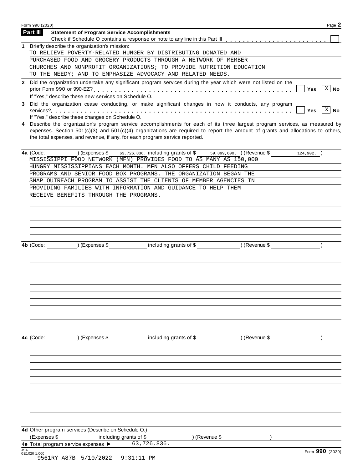|            | Form 990 (2020)                                                                                                                                                                                                                                                                                                                                                                                    | Page 2   |
|------------|----------------------------------------------------------------------------------------------------------------------------------------------------------------------------------------------------------------------------------------------------------------------------------------------------------------------------------------------------------------------------------------------------|----------|
|            | Part III<br><b>Statement of Program Service Accomplishments</b>                                                                                                                                                                                                                                                                                                                                    |          |
|            |                                                                                                                                                                                                                                                                                                                                                                                                    |          |
| 1.         | Briefly describe the organization's mission:                                                                                                                                                                                                                                                                                                                                                       |          |
|            | TO RELIEVE POVERTY-RELATED HUNGER BY DISTRIBUTING DONATED AND                                                                                                                                                                                                                                                                                                                                      |          |
|            | PURCHASED FOOD AND GROCERY PRODUCTS THROUGH A NETWORK OF MEMBER                                                                                                                                                                                                                                                                                                                                    |          |
|            | CHURCHES AND NONPROFIT ORGANIZATIONS; TO PROVIDE NUTRITION EDUCATION                                                                                                                                                                                                                                                                                                                               |          |
|            | TO THE NEEDY; AND TO EMPHASIZE ADVOCACY AND RELATED NEEDS.                                                                                                                                                                                                                                                                                                                                         |          |
|            | 2 Did the organization undertake any significant program services during the year which were not listed on the<br>Yes                                                                                                                                                                                                                                                                              | $X$ No   |
| 3          | If "Yes," describe these new services on Schedule O.<br>Did the organization cease conducting, or make significant changes in how it conducts, any program<br><b>Yes</b>                                                                                                                                                                                                                           | $ X $ No |
| 4          | If "Yes," describe these changes on Schedule O.<br>Describe the organization's program service accomplishments for each of its three largest program services, as measured by<br>expenses. Section $501(c)(3)$ and $501(c)(4)$ organizations are required to report the amount of grants and allocations to others,<br>the total expenses, and revenue, if any, for each program service reported. |          |
|            | 4a (Code:<br>63,726,836. including grants of \$ 59,899,600. ) (Revenue \$<br>) (Expenses \$<br>$124,902.$ )<br>MISSISSIPPI FOOD NETWORK (MFN) PROVIDES FOOD TO AS MANY AS 150,000                                                                                                                                                                                                                  |          |
|            | HUNGRY MISSISSIPPIANS EACH MONTH. MFN ALSO OFFERS CHILD FEEDING                                                                                                                                                                                                                                                                                                                                    |          |
|            | PROGRAMS AND SENIOR FOOD BOX PROGRAMS. THE ORGANIZATION BEGAN THE                                                                                                                                                                                                                                                                                                                                  |          |
|            | SNAP OUTREACH PROGRAM TO ASSIST THE CLIENTS OF MEMBER AGENCIES IN                                                                                                                                                                                                                                                                                                                                  |          |
|            | PROVIDING FAMILIES WITH INFORMATION AND GUIDANCE TO HELP THEM                                                                                                                                                                                                                                                                                                                                      |          |
|            | RECEIVE BENEFITS THROUGH THE PROGRAMS.                                                                                                                                                                                                                                                                                                                                                             |          |
|            |                                                                                                                                                                                                                                                                                                                                                                                                    |          |
|            | including grants of \$ (Revenue \$)<br>$($ Expenses $\$$<br>4b (Code:                                                                                                                                                                                                                                                                                                                              |          |
|            | ) (Expenses \$<br>including grants of \$<br>4c (Code:<br>) (Revenue \$                                                                                                                                                                                                                                                                                                                             |          |
|            |                                                                                                                                                                                                                                                                                                                                                                                                    |          |
|            |                                                                                                                                                                                                                                                                                                                                                                                                    |          |
|            | 4d Other program services (Describe on Schedule O.)                                                                                                                                                                                                                                                                                                                                                |          |
|            | (Expenses \$<br>) (Revenue \$<br>including grants of \$                                                                                                                                                                                                                                                                                                                                            |          |
|            | 63,726,836.<br>4e Total program service expenses >                                                                                                                                                                                                                                                                                                                                                 |          |
| <b>JSA</b> | Form 990 (2020)<br>0E1020 1.000<br>9561RY A87B 5/10/2022<br>$9:31:11$ PM                                                                                                                                                                                                                                                                                                                           |          |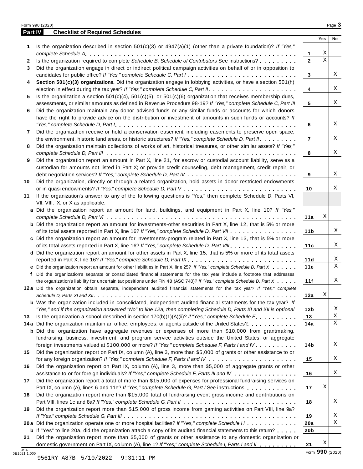| Part IV      | <b>Checklist of Required Schedules</b>                                                                                  |                 |             |    |
|--------------|-------------------------------------------------------------------------------------------------------------------------|-----------------|-------------|----|
|              |                                                                                                                         |                 | Yes         | No |
| 1            | Is the organization described in section $501(c)(3)$ or $4947(a)(1)$ (other than a private foundation)? If "Yes,"       |                 |             |    |
|              |                                                                                                                         | 1               | Χ           |    |
| $\mathbf{2}$ | Is the organization required to complete Schedule B, Schedule of Contributors See instructions?                         | $\mathbf{2}$    | $\mathbf X$ |    |
| 3            | Did the organization engage in direct or indirect political campaign activities on behalf of or in opposition to        |                 |             |    |
|              | candidates for public office? If "Yes," complete Schedule C, Part I.                                                    | 3               |             | Χ  |
| 4            | Section 501(c)(3) organizations. Did the organization engage in lobbying activities, or have a section 501(h)           |                 |             |    |
|              |                                                                                                                         | 4               |             | X  |
| 5            | Is the organization a section $501(c)(4)$ , $501(c)(5)$ , or $501(c)(6)$ organization that receives membership dues,    |                 |             | Χ  |
|              | assessments, or similar amounts as defined in Revenue Procedure 98-19? If "Yes," complete Schedule C, Part III          | 5               |             |    |
| 6            | Did the organization maintain any donor advised funds or any similar funds or accounts for which donors                 |                 |             |    |
|              | have the right to provide advice on the distribution or investment of amounts in such funds or accounts? If             |                 |             | X  |
|              |                                                                                                                         | 6               |             |    |
| 7            | Did the organization receive or hold a conservation easement, including easements to preserve open space,               |                 |             | Χ  |
|              | the environment, historic land areas, or historic structures? If "Yes," complete Schedule D, Part II.                   | $\overline{7}$  |             |    |
| 8            | Did the organization maintain collections of works of art, historical treasures, or other similar assets? If "Yes,"     |                 |             | Χ  |
|              | Did the organization report an amount in Part X, line 21, for escrow or custodial account liability, serve as a         | 8               |             |    |
| 9            | custodian for amounts not listed in Part X; or provide credit counseling, debt management, credit repair, or            |                 |             |    |
|              |                                                                                                                         | 9               |             | X  |
| 10           | Did the organization, directly or through a related organization, hold assets in donor-restricted endowments            |                 |             |    |
|              |                                                                                                                         | 10              |             | Χ  |
| 11           | If the organization's answer to any of the following questions is "Yes," then complete Schedule D, Parts VI,            |                 |             |    |
|              | VII, VIII, IX, or X as applicable.                                                                                      |                 |             |    |
|              | a Did the organization report an amount for land, buildings, and equipment in Part X, line 10? If "Yes,"                |                 |             |    |
|              |                                                                                                                         | 11a             | Χ           |    |
|              | <b>b</b> Did the organization report an amount for investments-other securities in Part X, line 12, that is 5% or more  |                 |             |    |
|              | of its total assets reported in Part X, line 16? If "Yes," complete Schedule D, Part VII                                | 11 <sub>b</sub> |             | Χ  |
|              | c Did the organization report an amount for investments-program related in Part X, line 13, that is 5% or more          |                 |             |    |
|              | of its total assets reported in Part X, line 16? If "Yes," complete Schedule D, Part VIII                               | 11c             |             | Χ  |
|              | d Did the organization report an amount for other assets in Part X, line 15, that is 5% or more of its total assets     |                 |             |    |
|              | reported in Part X, line 16? If "Yes," complete Schedule D, Part IX.                                                    | 11d             |             | Χ  |
|              | e Did the organization report an amount for other liabilities in Part X, line 25? If "Yes," complete Schedule D, Part X | 11e             |             | Χ  |
| f            | Did the organization's separate or consolidated financial statements for the tax year include a footnote that addresses |                 |             |    |
|              | the organization's liability for uncertain tax positions under FIN 48 (ASC 740)? If "Yes," complete Schedule D, Part X  | 11f             |             | Χ  |
|              | 12a Did the organization obtain separate, independent audited financial statements for the tax year? If "Yes," complete |                 |             |    |
|              |                                                                                                                         | 12a             | Χ           |    |
|              | <b>b</b> Was the organization included in consolidated, independent audited financial statements for the tax year? If   |                 |             |    |
|              | "Yes," and if the organization answered "No" to line 12a, then completing Schedule D, Parts XI and XII is optional      | 12 <sub>b</sub> |             | Χ  |
| 13           | Is the organization a school described in section $170(b)(1)(A)(ii)$ ? If "Yes," complete Schedule E.                   | 13              |             | Χ  |
|              | 14a Did the organization maintain an office, employees, or agents outside of the United States?.                        | 14a             |             | Χ  |
|              | <b>b</b> Did the organization have aggregate revenues or expenses of more than \$10,000 from grantmaking,               |                 |             |    |
|              | fundraising, business, investment, and program service activities outside the United States, or aggregate               |                 |             |    |
|              | foreign investments valued at \$100,000 or more? If "Yes," complete Schedule F, Parts I and IV                          | 14b             |             | Χ  |
| 15           | Did the organization report on Part IX, column (A), line 3, more than \$5,000 of grants or other assistance to or       |                 |             |    |
|              |                                                                                                                         | 15              |             | Χ  |
| 16           | Did the organization report on Part IX, column (A), line 3, more than \$5,000 of aggregate grants or other              |                 |             |    |
|              | assistance to or for foreign individuals? If "Yes," complete Schedule F, Parts III and IV                               | 16              |             | Χ  |
| 17           | Did the organization report a total of more than \$15,000 of expenses for professional fundraising services on          |                 |             |    |
|              | Part IX, column (A), lines 6 and 11e? If "Yes," complete Schedule G, Part I See instructions                            | 17              | Χ           |    |
| 18           | Did the organization report more than \$15,000 total of fundraising event gross income and contributions on             |                 |             |    |
|              |                                                                                                                         | 18              |             | Χ  |
| 19           | Did the organization report more than \$15,000 of gross income from gaming activities on Part VIII, line 9a?            |                 |             |    |
|              |                                                                                                                         | 19              |             | Χ  |
|              | 20a Did the organization operate one or more hospital facilities? If "Yes," complete Schedule H                         | 20a             |             | Χ  |
|              | <b>b</b> If "Yes" to line 20a, did the organization attach a copy of its audited financial statements to this return?   | 20 <sub>b</sub> |             |    |
|              |                                                                                                                         |                 |             |    |
| 21           | Did the organization report more than \$5,000 of grants or other assistance to any domestic organization or             |                 |             |    |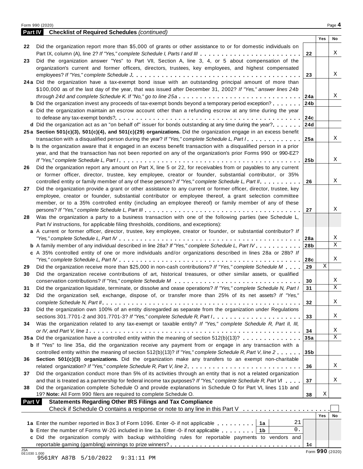|--|--|

| <b>Part IV</b>      | <b>Checklist of Required Schedules (continued)</b>                                                                                                                         |                 |                 |        |
|---------------------|----------------------------------------------------------------------------------------------------------------------------------------------------------------------------|-----------------|-----------------|--------|
|                     |                                                                                                                                                                            |                 | Yes             | No     |
| 22                  | Did the organization report more than \$5,000 of grants or other assistance to or for domestic individuals on                                                              |                 |                 |        |
|                     | Part IX, column (A), line 2? If "Yes," complete Schedule I, Parts I and III                                                                                                | 22              |                 | Χ      |
| 23                  | Did the organization answer "Yes" to Part VII, Section A, line 3, 4, or 5 about compensation of the                                                                        |                 |                 |        |
|                     | organization's current and former officers, directors, trustees, key employees, and highest compensated                                                                    |                 |                 | X      |
|                     |                                                                                                                                                                            | 23              |                 |        |
|                     | 24a Did the organization have a tax-exempt bond issue with an outstanding principal amount of more than                                                                    |                 |                 |        |
|                     | \$100,000 as of the last day of the year, that was issued after December 31, 2002? If "Yes," answer lines 24b                                                              |                 |                 | Χ      |
|                     | through 24d and complete Schedule K. If "No," go to line 25a<br><b>b</b> Did the organization invest any proceeds of tax-exempt bonds beyond a temporary period exception? | 24a             |                 |        |
|                     | c Did the organization maintain an escrow account other than a refunding escrow at any time during the year                                                                | 24b             |                 |        |
|                     |                                                                                                                                                                            | 24c             |                 |        |
|                     | d Did the organization act as an "on behalf of" issuer for bonds outstanding at any time during the year?                                                                  | 24d             |                 |        |
|                     | 25a Section 501(c)(3), 501(c)(4), and 501(c)(29) organizations. Did the organization engage in an excess benefit                                                           |                 |                 |        |
|                     | transaction with a disqualified person during the year? If "Yes," complete Schedule L, Part I.                                                                             | 25a             |                 | X      |
|                     | <b>b</b> Is the organization aware that it engaged in an excess benefit transaction with a disqualified person in a prior                                                  |                 |                 |        |
|                     | year, and that the transaction has not been reported on any of the organization's prior Forms 990 or 990-EZ?                                                               |                 |                 |        |
|                     |                                                                                                                                                                            | 25b             |                 | X      |
| 26                  | Did the organization report any amount on Part X, line 5 or 22, for receivables from or payables to any current                                                            |                 |                 |        |
|                     | or former officer, director, trustee, key employee, creator or founder, substantial contributor, or 35%                                                                    |                 |                 |        |
|                     | controlled entity or family member of any of these persons? If "Yes," complete Schedule L, Part II.                                                                        | 26              |                 | X      |
| 27                  | Did the organization provide a grant or other assistance to any current or former officer, director, trustee, key                                                          |                 |                 |        |
|                     | employee, creator or founder, substantial contributor or employee thereof, a grant selection committee                                                                     |                 |                 |        |
|                     | member, or to a 35% controlled entity (including an employee thereof) or family member of any of these                                                                     |                 |                 |        |
|                     |                                                                                                                                                                            | 27              |                 | Χ      |
| 28                  | Was the organization a party to a business transaction with one of the following parties (see Schedule L,                                                                  |                 |                 |        |
|                     | Part IV instructions, for applicable filing thresholds, conditions, and exceptions):                                                                                       |                 |                 |        |
|                     | a A current or former officer, director, trustee, key employee, creator or founder, or substantial contributor? If                                                         |                 |                 |        |
|                     |                                                                                                                                                                            | 28a             |                 | X      |
|                     | <b>b</b> A family member of any individual described in line 28a? If "Yes," complete Schedule L, Part IV.                                                                  | 28 <sub>b</sub> |                 | X      |
|                     | c A 35% controlled entity of one or more individuals and/or organizations described in lines 28a or 28b? If                                                                |                 |                 |        |
|                     |                                                                                                                                                                            | 28c             |                 | X      |
| 29                  | Did the organization receive more than \$25,000 in non-cash contributions? If "Yes," complete Schedule M                                                                   | 29              | X               |        |
| 30                  | Did the organization receive contributions of art, historical treasures, or other similar assets, or qualified                                                             |                 |                 |        |
|                     |                                                                                                                                                                            | 30              |                 | X      |
| 31                  | Did the organization liquidate, terminate, or dissolve and cease operations? If "Yes," complete Schedule N, Part I                                                         | 31              |                 | X      |
| 32                  | Did the organization sell, exchange, dispose of, or transfer more than 25% of its net assets? If "Yes,"                                                                    |                 |                 |        |
|                     |                                                                                                                                                                            | 32              |                 | Χ      |
| 33                  | Did the organization own 100% of an entity disregarded as separate from the organization under Regulations                                                                 |                 |                 |        |
|                     | sections 301.7701-2 and 301.7701-3? If "Yes," complete Schedule R, Part $l_1, \ldots, l_l, l_l, \ldots, l_l, l_l, l_l, l_l$                                                | 33              |                 | X      |
| 34                  | Was the organization related to any tax-exempt or taxable entity? If "Yes," complete Schedule R, Part II, III,                                                             |                 |                 |        |
|                     | 35a Did the organization have a controlled entity within the meaning of section 512(b)(13)?                                                                                | 34              |                 | X<br>X |
|                     | <b>b</b> If "Yes" to line 35a, did the organization receive any payment from or engage in any transaction with a                                                           | 35a             |                 |        |
|                     | controlled entity within the meaning of section 512(b)(13)? If "Yes," complete Schedule R, Part V, line 2                                                                  | 35 <sub>b</sub> |                 |        |
| 36                  | Section 501(c)(3) organizations. Did the organization make any transfers to an exempt non-charitable                                                                       |                 |                 |        |
|                     | related organization? If "Yes," complete Schedule R, Part V, line 2.                                                                                                       | 36              |                 | Χ      |
| 37                  | Did the organization conduct more than 5% of its activities through an entity that is not a related organization                                                           |                 |                 |        |
|                     | and that is treated as a partnership for federal income tax purposes? If "Yes," complete Schedule R, Part VI                                                               | 37              |                 | Χ      |
| 38                  | Did the organization complete Schedule O and provide explanations in Schedule O for Part VI, lines 11b and                                                                 |                 |                 |        |
|                     | 19? Note: All Form 990 filers are required to complete Schedule O.                                                                                                         | 38              | Χ               |        |
| <b>Part V</b>       | <b>Statements Regarding Other IRS Filings and Tax Compliance</b>                                                                                                           |                 |                 |        |
|                     | Check if Schedule O contains a response or note to any line in this Part V                                                                                                 |                 |                 |        |
|                     |                                                                                                                                                                            |                 | Yes             | No     |
|                     | 21<br>1a Enter the number reported in Box 3 of Form 1096. Enter -0- if not applicable<br>1a                                                                                |                 |                 |        |
|                     | 0.<br><b>b</b> Enter the number of Forms W-2G included in line 1a. Enter -0- if not applicable<br>1b                                                                       |                 |                 |        |
|                     | c Did the organization comply with backup withholding rules for reportable payments to vendors and                                                                         |                 |                 |        |
|                     |                                                                                                                                                                            | 1с              |                 |        |
| JSA<br>0E1030 1.000 |                                                                                                                                                                            |                 | Form 990 (2020) |        |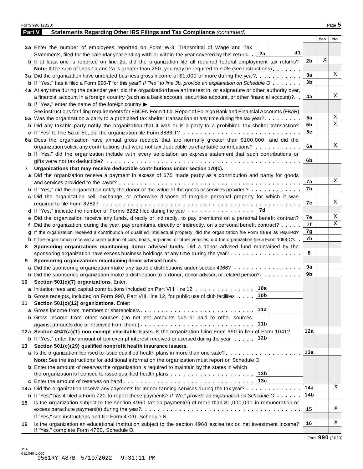|        | Form 990 (2020)                                                                                                                      |     |     | Page 5 |
|--------|--------------------------------------------------------------------------------------------------------------------------------------|-----|-----|--------|
| Part V | Statements Regarding Other IRS Filings and Tax Compliance (continued)                                                                |     |     |        |
|        |                                                                                                                                      |     | Yes | No     |
|        | 2a Enter the number of employees reported on Form W-3, Transmittal of Wage and Tax                                                   |     |     |        |
|        | 41<br>Statements, filed for the calendar year ending with or within the year covered by this return. $2a$                            |     |     |        |
|        | <b>b</b> If at least one is reported on line 2a, did the organization file all required federal employment tax returns?              | 2b  | Χ   |        |
|        | <b>Note:</b> If the sum of lines 1a and 2a is greater than 250, you may be required to e-file (see instructions).                    |     |     |        |
|        | 3a Did the organization have unrelated business gross income of \$1,000 or more during the year?                                     | 3a  |     | Χ      |
|        | <b>b</b> If "Yes," has it filed a Form 990-T for this year? If "No" to line 3b, provide an explanation on Schedule O                 | 3b  |     |        |
|        | 4a At any time during the calendar year, did the organization have an interest in, or a signature or other authority over,           |     |     |        |
|        | a financial account in a foreign country (such as a bank account, securities account, or other financial account)?                   | 4a  |     | Χ      |
|        | <b>b</b> If "Yes," enter the name of the foreign country $\blacktriangleright$                                                       |     |     |        |
|        | See instructions for filing requirements for FinCEN Form 114, Report of Foreign Bank and Financial Accounts (FBAR).                  |     |     |        |
|        | 5a Was the organization a party to a prohibited tax shelter transaction at any time during the tax year?                             | 5a  |     | Χ      |
|        | <b>b</b> Did any taxable party notify the organization that it was or is a party to a prohibited tax shelter transaction?            | 5b  |     | Χ      |
|        | c If "Yes" to line 5a or 5b, did the organization file Form 8886-T?                                                                  | 5c  |     |        |
|        | 6a Does the organization have annual gross receipts that are normally greater than \$100,000, and did the                            |     |     |        |
|        | organization solicit any contributions that were not tax deductible as charitable contributions?                                     | 6a  |     | Χ      |
|        | <b>b</b> If "Yes," did the organization include with every solicitation an express statement that such contributions or              |     |     |        |
|        |                                                                                                                                      | 6b  |     |        |
|        |                                                                                                                                      |     |     |        |
| 7      | Organizations that may receive deductible contributions under section 170(c).                                                        |     |     |        |
|        | a Did the organization receive a payment in excess of \$75 made partly as a contribution and partly for goods                        | 7а  |     | Χ      |
|        |                                                                                                                                      | 7b  |     |        |
|        | <b>b</b> If "Yes," did the organization notify the donor of the value of the goods or services provided?                             |     |     |        |
|        | c Did the organization sell, exchange, or otherwise dispose of tangible personal property for which it was                           |     |     | Χ      |
|        |                                                                                                                                      | 7с  |     |        |
|        | 7d<br>d If "Yes," indicate the number of Forms 8282 filed during the year                                                            |     |     |        |
|        | e Did the organization receive any funds, directly or indirectly, to pay premiums on a personal benefit contract?                    | 7е  |     | Χ      |
|        | f Did the organization, during the year, pay premiums, directly or indirectly, on a personal benefit contract?                       | 7f  |     | Χ      |
|        | g If the organization received a contribution of qualified intellectual property, did the organization file Form 8899 as required?   | 7g  |     |        |
|        | h If the organization received a contribution of cars, boats, airplanes, or other vehicles, did the organization file a Form 1098-C? | 7h  |     |        |
| 8      | Sponsoring organizations maintaining donor advised funds. Did a donor advised fund maintained by the                                 |     |     |        |
|        | sponsoring organization have excess business holdings at any time during the year?                                                   | 8   |     |        |
| 9      | Sponsoring organizations maintaining donor advised funds.                                                                            |     |     |        |
|        | a Did the sponsoring organization make any taxable distributions under section 4966?                                                 | 9а  |     |        |
|        | <b>b</b> Did the sponsoring organization make a distribution to a donor, donor advisor, or related person?                           | 9b  |     |        |
|        | 10 Section 501(c)(7) organizations. Enter:                                                                                           |     |     |        |
|        | 10a <br>a Initiation fees and capital contributions included on Part VIII, line 12                                                   |     |     |        |
|        | 10b<br><b>b</b> Gross receipts, included on Form 990, Part VIII, line 12, for public use of club facilities                          |     |     |        |
| 11     | Section 501(c)(12) organizations. Enter:                                                                                             |     |     |        |
|        | 11a                                                                                                                                  |     |     |        |
|        | b Gross income from other sources (Do not net amounts due or paid to other sources                                                   |     |     |        |
|        | 11b                                                                                                                                  |     |     |        |
|        | 12a Section 4947(a)(1) non-exempt charitable trusts. Is the organization filing Form 990 in lieu of Form 1041?                       | 12a |     |        |
|        | 12b<br><b>b</b> If "Yes," enter the amount of tax-exempt interest received or accrued during the year                                |     |     |        |
| 13.    | Section 501(c)(29) qualified nonprofit health insurance issuers.                                                                     |     |     |        |
|        |                                                                                                                                      | 13а |     |        |
|        | a Is the organization licensed to issue qualified health plans in more than one state?                                               |     |     |        |
|        | Note: See the instructions for additional information the organization must report on Schedule O.                                    |     |     |        |
|        | <b>b</b> Enter the amount of reserves the organization is required to maintain by the states in which<br>13b                         |     |     |        |
|        | the organization is licensed to issue qualified health plans $\ldots \ldots \ldots \ldots \ldots \ldots \ldots$                      |     |     |        |
|        | 13c                                                                                                                                  |     |     | Χ      |
|        | 14a Did the organization receive any payments for indoor tanning services during the tax year?                                       | 14a |     |        |
|        | <b>b</b> If "Yes," has it filed a Form 720 to report these payments? If "No," provide an explanation on Schedule O                   | 14b |     |        |
| 15     | Is the organization subject to the section 4960 tax on payment(s) of more than \$1,000,000 in remuneration or                        |     |     |        |
|        |                                                                                                                                      | 15  |     | Χ      |
|        | If "Yes," see instructions and file Form 4720, Schedule N.                                                                           |     |     |        |
| 16     | Is the organization an educational institution subject to the section 4968 excise tax on net investment income?                      | 16  |     | Χ      |
|        | If "Yes," complete Form 4720, Schedule O.                                                                                            |     |     |        |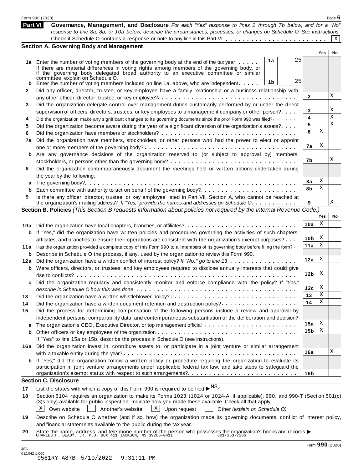|         | Form 990 (2020)                                                                                                                                                                                                         |                 |        | Page $6$ |  |  |  |  |  |
|---------|-------------------------------------------------------------------------------------------------------------------------------------------------------------------------------------------------------------------------|-----------------|--------|----------|--|--|--|--|--|
| Part VI | Governance, Management, and Disclosure For each "Yes" response to lines 2 through 7b below, and for a "No"                                                                                                              |                 |        |          |  |  |  |  |  |
|         | response to line 8a, 8b, or 10b below, describe the circumstances, processes, or changes on Schedule O. See instructions.                                                                                               |                 |        |          |  |  |  |  |  |
|         |                                                                                                                                                                                                                         |                 |        | Χ        |  |  |  |  |  |
|         | <b>Section A. Governing Body and Management</b>                                                                                                                                                                         |                 | Yes    | No       |  |  |  |  |  |
|         | 25                                                                                                                                                                                                                      |                 |        |          |  |  |  |  |  |
|         | 1a<br>1a Enter the number of voting members of the governing body at the end of the tax year<br>If there are material differences in voting rights among members of the governing body, or                              |                 |        |          |  |  |  |  |  |
|         | if the governing body delegated broad authority to an executive committee or similar                                                                                                                                    |                 |        |          |  |  |  |  |  |
|         | committee, explain on Schedule O.<br>25<br>1b                                                                                                                                                                           |                 |        |          |  |  |  |  |  |
| b       | Enter the number of voting members included on line 1a, above, who are independent                                                                                                                                      |                 |        |          |  |  |  |  |  |
| 2       | Did any officer, director, trustee, or key employee have a family relationship or a business relationship with<br>2                                                                                                     |                 |        |          |  |  |  |  |  |
| 3       | Did the organization delegate control over management duties customarily performed by or under the direct                                                                                                               |                 |        |          |  |  |  |  |  |
|         | supervision of officers, directors, trustees, or key employees to a management company or other person?                                                                                                                 | 3               |        | Χ        |  |  |  |  |  |
| 4       | Did the organization make any significant changes to its governing documents since the prior Form 990 was filed?                                                                                                        | 4               |        | Χ        |  |  |  |  |  |
| 5       | Did the organization become aware during the year of a significant diversion of the organization's assets?                                                                                                              | 5               |        | Χ        |  |  |  |  |  |
| 6       |                                                                                                                                                                                                                         | 6               | Χ      |          |  |  |  |  |  |
| 7a      | Did the organization have members, stockholders, or other persons who had the power to elect or appoint                                                                                                                 |                 |        |          |  |  |  |  |  |
|         |                                                                                                                                                                                                                         | 7a              | X      |          |  |  |  |  |  |
| b       | Are any governance decisions of the organization reserved to (or subject to approval by) members,                                                                                                                       |                 |        |          |  |  |  |  |  |
|         |                                                                                                                                                                                                                         | 7b              |        | Χ        |  |  |  |  |  |
| 8       | Did the organization contemporaneously document the meetings held or written actions undertaken during                                                                                                                  |                 |        |          |  |  |  |  |  |
|         | the year by the following:                                                                                                                                                                                              |                 |        |          |  |  |  |  |  |
| a       |                                                                                                                                                                                                                         | 8a              | X      |          |  |  |  |  |  |
| b       |                                                                                                                                                                                                                         | 8b              | Χ      |          |  |  |  |  |  |
| 9       | Is there any officer, director, trustee, or key employee listed in Part VII, Section A, who cannot be reached at<br>the organization's mailing address? If "Yes," provide the names and addresses on Schedule O.        | 9               |        | Χ        |  |  |  |  |  |
|         | Section B. Policies (This Section B requests information about policies not required by the Internal Revenue Code.)                                                                                                     |                 |        |          |  |  |  |  |  |
|         |                                                                                                                                                                                                                         |                 | Yes    | No       |  |  |  |  |  |
|         | 10a Did the organization have local chapters, branches, or affiliates?                                                                                                                                                  | 10a             | Χ      |          |  |  |  |  |  |
| b       | If "Yes," did the organization have written policies and procedures governing the activities of such chapters,                                                                                                          |                 |        |          |  |  |  |  |  |
|         | affiliates, and branches to ensure their operations are consistent with the organization's exempt purposes?                                                                                                             | 10 <sub>b</sub> | X      |          |  |  |  |  |  |
| 11 a    | Has the organization provided a complete copy of this Form 990 to all members of its governing body before filing the form?                                                                                             | 11a             | х      |          |  |  |  |  |  |
| b       | Describe in Schedule O the process, if any, used by the organization to review this Form 990.                                                                                                                           |                 |        |          |  |  |  |  |  |
| 12a     | Did the organization have a written conflict of interest policy? If "No," go to line 13                                                                                                                                 | 12a             | X      |          |  |  |  |  |  |
| b       | Were officers, directors, or trustees, and key employees required to disclose annually interests that could give                                                                                                        |                 |        |          |  |  |  |  |  |
|         |                                                                                                                                                                                                                         | 12 <sub>b</sub> | X      |          |  |  |  |  |  |
| c       | Did the organization regularly and consistently monitor and enforce compliance with the policy? If "Yes,                                                                                                                |                 |        |          |  |  |  |  |  |
|         |                                                                                                                                                                                                                         | 12c             | X<br>х |          |  |  |  |  |  |
| 13      | Did the organization have a written whistleblower policy?                                                                                                                                                               | 13<br>14        | х      |          |  |  |  |  |  |
| 14      | Did the organization have a written document retention and destruction policy?                                                                                                                                          |                 |        |          |  |  |  |  |  |
| 15      | Did the process for determining compensation of the following persons include a review and approval by                                                                                                                  |                 |        |          |  |  |  |  |  |
|         | independent persons, comparability data, and contemporaneous substantiation of the deliberation and decision?                                                                                                           | 15a             | X      |          |  |  |  |  |  |
| b       | The organization's CEO, Executive Director, or top management official                                                                                                                                                  | 15b             | х      |          |  |  |  |  |  |
|         | If "Yes" to line 15a or 15b, describe the process in Schedule O (see instructions).                                                                                                                                     |                 |        |          |  |  |  |  |  |
|         | 16a Did the organization invest in, contribute assets to, or participate in a joint venture or similar arrangement                                                                                                      |                 |        |          |  |  |  |  |  |
|         |                                                                                                                                                                                                                         | 16a             |        | Χ        |  |  |  |  |  |
|         | <b>b</b> If "Yes," did the organization follow a written policy or procedure requiring the organization to evaluate its                                                                                                 |                 |        |          |  |  |  |  |  |
|         | participation in joint venture arrangements under applicable federal tax law, and take steps to safeguard the                                                                                                           |                 |        |          |  |  |  |  |  |
|         |                                                                                                                                                                                                                         | 16 <sub>b</sub> |        |          |  |  |  |  |  |
|         | <b>Section C. Disclosure</b>                                                                                                                                                                                            |                 |        |          |  |  |  |  |  |
| 17      | List the states with which a copy of this Form 990 is required to be filed $\blacktriangleright \frac{\text{MS}}{\text{}}$ .                                                                                            |                 |        |          |  |  |  |  |  |
| 18      | Section 6104 requires an organization to make its Forms 1023 (1024 or 1024-A, if applicable), 990, and 990-T (Section 501(c)                                                                                            |                 |        |          |  |  |  |  |  |
|         | (3)s only) available for public inspection. Indicate how you made these available. Check all that apply.<br>Χ<br>$\vert$ X $\vert$<br>Own website<br>Another's website<br>Upon request<br>Other (explain on Schedule O) |                 |        |          |  |  |  |  |  |
|         |                                                                                                                                                                                                                         |                 |        |          |  |  |  |  |  |
| 19      | Describe on Schedule O whether (and if so, how) the organization made its governing documents, conflict of interest policy,<br>and financial statements available to the public during the tax year.                    |                 |        |          |  |  |  |  |  |
| 20      |                                                                                                                                                                                                                         |                 |        |          |  |  |  |  |  |
|         | State the name, address, and telephone number of the person who possesses the organization's books and records<br>CHARLES H. BEADY, JR. P.O. BOX 411 JACKSON, MS 39205-0411 601-353-7286                                |                 |        |          |  |  |  |  |  |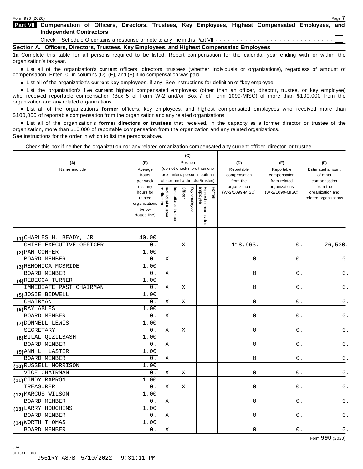**Compensation of Officers, Directors, Trustees, Key Employees, Highest Compensated Employees, and Part VII Independent Contractors**

Check if Schedule O contains a response or note to any line in this Part VII  $\cdots \cdots \cdots \cdots \cdots \cdots \cdots \cdots \cdots$ 

**Section A. Officers, Directors, Trustees, Key Employees, and Highest Compensated Employees**

**1a** Complete this table for all persons required to be listed. Report compensation for the calendar year ending with or within the organization's tax year.

anization's lax year.<br>● List all of the organization's **current** officers, directors, trustees (whether individuals or organizations), regardless of amount of<br>nnensation Enter -0- in columns (D) (E) and (E) if no compensa compensation. Enter -0- in columns (D), (E), and (F) if no compensation was paid.

• List all of the organization's current key employees, if any. See instructions for definition of "key employee."

■ List all of the organization's current key employees, if any. See instructions for definition of "key employee."<br>■ List the organization's five current highest compensated employees (other than an officer, director, tru who received reportable compensation (Box 5 of Form W-2 and/or Box 7 of Form 1099-MISC) of more than \$100,000 from the organization and any related organizations.

organization and any related organizations.<br>• List all of the organization's **former** officers, key employees, and highest compensated employees who received more than<br>\$1.00.000 of reportable componention from the erganiza \$100,000 of reportable compensation from the organization and any related organizations.

% List all of the organization's **former directors or trustees** that received, in the capacity as a former director or trustee of the organization, more than \$10,000 of reportable compensation from the organization and any related organizations. See instructions for the order in which to list the persons above.

Check this box if neither the organization nor any related organization compensated any current officer, director, or trustee.

|                           |                                                                |                                                                  |                       |         | (C)          |                                 |        |                          |                               |                                           |
|---------------------------|----------------------------------------------------------------|------------------------------------------------------------------|-----------------------|---------|--------------|---------------------------------|--------|--------------------------|-------------------------------|-------------------------------------------|
| (A)                       | (B)                                                            | Position                                                         |                       |         |              |                                 |        | (D)                      | (E)                           | (F)                                       |
| Name and title            | Average                                                        |                                                                  |                       |         |              | (do not check more than one     |        | Reportable               | Reportable                    | <b>Estimated amount</b>                   |
|                           | hours                                                          | box, unless person is both an<br>officer and a director/trustee) |                       |         |              |                                 |        | compensation             | compensation                  | of other                                  |
|                           | per week<br>(list any                                          |                                                                  |                       |         |              |                                 |        | from the<br>organization | from related<br>organizations | compensation<br>from the                  |
|                           | hours for<br>related<br>organizations<br>below<br>dotted line) | Individual trustee<br>or director                                | Institutional trustee | Officer | Key employee | Highest compensated<br>employee | Former | (W-2/1099-MISC)          | (W-2/1099-MISC)               | organization and<br>related organizations |
| (1) CHARLES H. BEADY, JR. | 40.00                                                          |                                                                  |                       |         |              |                                 |        |                          |                               |                                           |
| CHIEF EXECUTIVE OFFICER   | 0.                                                             |                                                                  |                       | Χ       |              |                                 |        | 118,963.                 | $0$ .                         | 26,530.                                   |
| (2) PAM CONFER            | 1.00                                                           |                                                                  |                       |         |              |                                 |        |                          |                               |                                           |
| <b>BOARD MEMBER</b>       | 0.                                                             | X                                                                |                       |         |              |                                 |        | 0                        | 0                             | $\mathsf 0$ .                             |
| (3) REMONICA MCBRIDE      | 1.00                                                           |                                                                  |                       |         |              |                                 |        |                          |                               |                                           |
| BOARD MEMBER              | 0.                                                             | $\mathbf X$                                                      |                       |         |              |                                 |        | 0                        | 0                             | $\mathsf 0$ .                             |
| (4) REBECCA TURNER        | 1.00                                                           |                                                                  |                       |         |              |                                 |        |                          |                               |                                           |
| IMMEDIATE PAST CHAIRMAN   | 0.                                                             | Χ                                                                |                       | Χ       |              |                                 |        | 0.                       | 0.                            | 0.                                        |
| (5) JOSIE BIDWELL         | 1.00                                                           |                                                                  |                       |         |              |                                 |        |                          |                               |                                           |
| CHAIRMAN                  | 0.                                                             | Χ                                                                |                       | Х       |              |                                 |        | $\mathsf{O}$ .           | 0                             | 0.                                        |
| (6) RAY ABLES             | 1.00                                                           |                                                                  |                       |         |              |                                 |        |                          |                               |                                           |
| BOARD MEMBER              | 0.                                                             | Χ                                                                |                       |         |              |                                 |        | 0                        | 0                             | 0.                                        |
| (7) DONNELL LEWIS         | 1.00                                                           |                                                                  |                       |         |              |                                 |        |                          |                               |                                           |
| SECRETARY                 | $0$ .                                                          | $\mathbf X$                                                      |                       | Χ       |              |                                 |        | 0                        | 0                             | 0.                                        |
| (8) BILAL QIZILBASH       | 1.00                                                           |                                                                  |                       |         |              |                                 |        |                          |                               |                                           |
| BOARD MEMBER              | 0.                                                             | $\mathbf X$                                                      |                       |         |              |                                 |        | $\mathsf 0$              | 0                             | $0$ .                                     |
| (9) ANN L. LASTER         | 1.00                                                           |                                                                  |                       |         |              |                                 |        |                          |                               |                                           |
| BOARD MEMBER              | 0.                                                             | Χ                                                                |                       |         |              |                                 |        | 0.                       | 0.                            | $0$ .                                     |
| (10) RUSSELL MORRISON     | 1.00                                                           |                                                                  |                       |         |              |                                 |        |                          |                               |                                           |
| VICE CHAIRMAN             | 0.                                                             | Χ                                                                |                       | Χ       |              |                                 |        | 0                        | 0                             | $0$ .                                     |
| (11) CINDY BARRON         | 1.00                                                           |                                                                  |                       |         |              |                                 |        |                          |                               |                                           |
| TREASURER                 | 0.                                                             | Χ                                                                |                       | X       |              |                                 |        | 0                        | 0                             | 0.                                        |
| (12) MARCUS WILSON        | 1.00                                                           |                                                                  |                       |         |              |                                 |        |                          |                               |                                           |
| BOARD MEMBER              | $0$ .                                                          | Χ                                                                |                       |         |              |                                 |        | 0                        | 0                             | 0.                                        |
| (13) LARRY HOUCHINS       | 1.00                                                           |                                                                  |                       |         |              |                                 |        |                          |                               |                                           |
| <b>BOARD MEMBER</b>       | $0$ .                                                          | Χ                                                                |                       |         |              |                                 |        | 0                        | 0                             | $\mathsf 0$ .                             |
| (14) WORTH THOMAS         | 1.00                                                           |                                                                  |                       |         |              |                                 |        |                          |                               |                                           |
| <b>BOARD MEMBER</b>       | 0.                                                             | Χ                                                                |                       |         |              |                                 |        | $0$ .                    | $0$ .                         | $\mathbf 0$ .                             |

Form **990** (2020)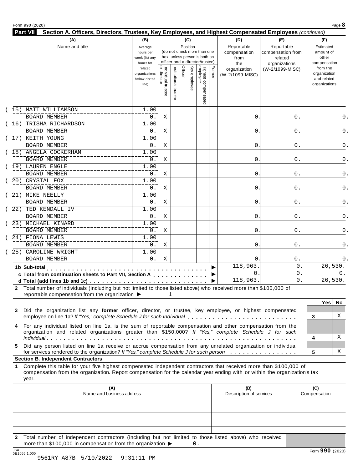#### Form <sup>990</sup> (2020) Page **8**

| Section A. Officers, Directors, Trustees, Key Employees, and Highest Compensated Employees (continued)<br>Part VII                                                     |                                                                |                                   |                       |         |              |                                                                                                 |        |                                        |                                            |                                                                          |
|------------------------------------------------------------------------------------------------------------------------------------------------------------------------|----------------------------------------------------------------|-----------------------------------|-----------------------|---------|--------------|-------------------------------------------------------------------------------------------------|--------|----------------------------------------|--------------------------------------------|--------------------------------------------------------------------------|
| (A)                                                                                                                                                                    | (B)                                                            |                                   |                       |         | (C)          |                                                                                                 |        | (D)                                    | (E)                                        | (F)                                                                      |
| Name and title                                                                                                                                                         | Average<br>hours per<br>week (list any                         |                                   |                       |         | Position     | (do not check more than one<br>box, unless person is both an<br>officer and a director/trustee) |        | Reportable<br>compensation<br>from     | Reportable<br>compensation from<br>related | Estimated<br>amount of<br>other                                          |
|                                                                                                                                                                        | hours for<br>related<br>organizations<br>below dotted<br>line) | Individual trustee<br>or director | Institutional trustee | Officer | Key employee | Highest compensated<br>employee                                                                 | Former | the<br>organization<br>(W-2/1099-MISC) | organizations<br>(W-2/1099-MISC)           | compensation<br>from the<br>organization<br>and related<br>organizations |
| (15) MATT WILLIAMSON                                                                                                                                                   | 1.00                                                           |                                   |                       |         |              |                                                                                                 |        |                                        |                                            |                                                                          |
| <b>BOARD MEMBER</b>                                                                                                                                                    | 0.                                                             | X                                 |                       |         |              |                                                                                                 |        | 0                                      | 0.                                         | 0.                                                                       |
| TRISHA RICHARDSON<br>16)                                                                                                                                               | 1.00                                                           |                                   |                       |         |              |                                                                                                 |        |                                        |                                            |                                                                          |
| <b>BOARD MEMBER</b>                                                                                                                                                    | 0.                                                             | X                                 |                       |         |              |                                                                                                 |        | 0                                      | 0.                                         | 0.                                                                       |
| 17) KEITH YOUNG                                                                                                                                                        | 1.00                                                           |                                   |                       |         |              |                                                                                                 |        |                                        |                                            |                                                                          |
| <b>BOARD MEMBER</b>                                                                                                                                                    | 0.                                                             | X                                 |                       |         |              |                                                                                                 |        | 0                                      | 0.                                         | 0.                                                                       |
| (18) ANGELA COCKERHAM                                                                                                                                                  | 1.00                                                           |                                   |                       |         |              |                                                                                                 |        |                                        |                                            |                                                                          |
| <b>BOARD MEMBER</b>                                                                                                                                                    | 0.                                                             | Χ                                 |                       |         |              |                                                                                                 |        | 0                                      | 0.                                         | $0$ .                                                                    |
| 19) LAUREN ENGLE                                                                                                                                                       | 1.00                                                           |                                   |                       |         |              |                                                                                                 |        |                                        |                                            |                                                                          |
| <b>BOARD MEMBER</b>                                                                                                                                                    | 0.                                                             | Χ                                 |                       |         |              |                                                                                                 |        | $\mathbf 0$                            | 0.                                         | 0.                                                                       |
| 20) CRYSTAL FOX                                                                                                                                                        | 1.00                                                           |                                   |                       |         |              |                                                                                                 |        |                                        |                                            |                                                                          |
| <b>BOARD MEMBER</b>                                                                                                                                                    | 0.                                                             | X                                 |                       |         |              |                                                                                                 |        | 0                                      | 0.                                         | 0.                                                                       |
| 21) MIKE NEELLY                                                                                                                                                        | 1.00                                                           |                                   |                       |         |              |                                                                                                 |        |                                        |                                            |                                                                          |
| <b>BOARD MEMBER</b>                                                                                                                                                    | $0$ .                                                          | X                                 |                       |         |              |                                                                                                 |        | 0                                      | 0.                                         | 0.                                                                       |
| 22) TED KENDALL IV                                                                                                                                                     | 1.00                                                           |                                   |                       |         |              |                                                                                                 |        |                                        |                                            |                                                                          |
| BOARD MEMBER                                                                                                                                                           | $\overline{0}$ .                                               | Χ                                 |                       |         |              |                                                                                                 |        | $\mathsf 0$                            | 0.                                         | 0.                                                                       |
| 23) MICHAEL KINARD                                                                                                                                                     | 1.00                                                           |                                   |                       |         |              |                                                                                                 |        |                                        |                                            |                                                                          |
| <b>BOARD MEMBER</b>                                                                                                                                                    | $0$ .                                                          | X                                 |                       |         |              |                                                                                                 |        | 0                                      | 0.                                         | 0.                                                                       |
| 24) FIONA LEWIS                                                                                                                                                        | $1.\overline{00}$                                              |                                   |                       |         |              |                                                                                                 |        |                                        |                                            |                                                                          |
| <b>BOARD MEMBER</b>                                                                                                                                                    | $\overline{0}$ .                                               | Х                                 |                       |         |              |                                                                                                 |        | 0                                      | 0.                                         | 0.                                                                       |
| 25) CAROLINE WRIGHT                                                                                                                                                    | 1.00                                                           |                                   |                       |         |              |                                                                                                 |        |                                        |                                            |                                                                          |
| <b>BOARD MEMBER</b>                                                                                                                                                    | 0.                                                             | X                                 |                       |         |              |                                                                                                 |        | 0                                      | 0.                                         | 0.                                                                       |
| 1b Sub-total                                                                                                                                                           |                                                                |                                   |                       |         |              |                                                                                                 |        | 118,963                                | 0.                                         | 26,530.                                                                  |
| c Total from continuation sheets to Part VII, Section A                                                                                                                |                                                                |                                   |                       |         |              |                                                                                                 |        | 0<br>118,963                           | $\overline{0}$<br>0.                       | 0.<br>26,530.                                                            |
| d Total (add lines 1b and 1c) $\cdots$ $\cdots$ $\cdots$ $\cdots$ $\cdots$ $\cdots$ $\cdots$                                                                           |                                                                |                                   |                       |         |              |                                                                                                 |        |                                        |                                            |                                                                          |
| 2 Total number of individuals (including but not limited to those listed above) who received more than \$100,000 of<br>reportable compensation from the organization ▶ |                                                                |                                   | 1                     |         |              |                                                                                                 |        |                                        |                                            |                                                                          |
|                                                                                                                                                                        |                                                                |                                   |                       |         |              |                                                                                                 |        |                                        |                                            | Yes<br>No                                                                |
| 3 Did the organization list any former officer, director, or trustee, key employee, or highest compensated                                                             |                                                                |                                   |                       |         |              |                                                                                                 |        |                                        |                                            |                                                                          |

|                                                                                                                                                                                                                        |  | 159 I IV |
|------------------------------------------------------------------------------------------------------------------------------------------------------------------------------------------------------------------------|--|----------|
| 3 Did the organization list any former officer, director, or trustee, key employee, or highest compensated                                                                                                             |  |          |
| employee on line 1a? If "Yes," complete Schedule J for such individual                                                                                                                                                 |  |          |
| 4 For any individual listed on line 1a, is the sum of reportable compensation and other compensation from the<br>organization and related organizations greater than \$150,000? If "Yes," complete Schedule J for such |  |          |
|                                                                                                                                                                                                                        |  |          |
| 5 Did any person listed on line 1a receive or accrue compensation from any unrelated organization or individual                                                                                                        |  |          |
| for services rendered to the organization? If "Yes," complete Schedule J for such person                                                                                                                               |  |          |
| <b>Conting P. Indonendant Contractors</b>                                                                                                                                                                              |  |          |

#### **Section B. Independent Contractors**

**1** Complete this table for your five highest compensated independent contractors that received more than \$100,000 of compensation from the organization. Report compensation for the calendar year ending with or within the organization's tax year.

|     | (A)<br>Name and business address                                                                                                                                                            | (B)<br>Description of services | (C)<br>Compensation |
|-----|---------------------------------------------------------------------------------------------------------------------------------------------------------------------------------------------|--------------------------------|---------------------|
|     |                                                                                                                                                                                             |                                |                     |
|     |                                                                                                                                                                                             |                                |                     |
|     |                                                                                                                                                                                             |                                |                     |
|     |                                                                                                                                                                                             |                                |                     |
|     |                                                                                                                                                                                             |                                |                     |
|     | 2 Total number of independent contractors (including but not limited to those listed above) who received<br>more than \$100,000 in compensation from the organization $\blacktriangleright$ |                                |                     |
| 10A |                                                                                                                                                                                             |                                | $\mathbf{A}$        |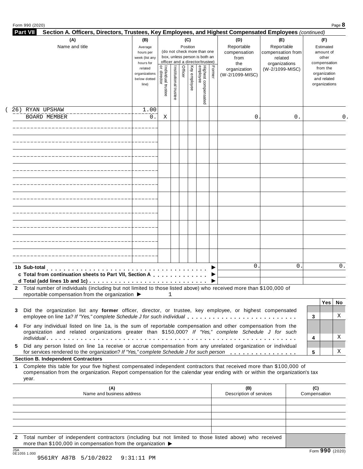| <b>Part VII</b><br>Section A. Officers, Directors, Trustees, Key Employees, and Highest Compensated Employees (continued)                                                                                                                                       |                             |                                                              |                       |                 |              |                                 |        |                         |                          |              |                       |
|-----------------------------------------------------------------------------------------------------------------------------------------------------------------------------------------------------------------------------------------------------------------|-----------------------------|--------------------------------------------------------------|-----------------------|-----------------|--------------|---------------------------------|--------|-------------------------|--------------------------|--------------|-----------------------|
| (A)<br>Name and title                                                                                                                                                                                                                                           | (B)<br>Average              |                                                              |                       | (C)<br>Position |              |                                 |        | (D)<br>Reportable       | (E)<br>Reportable        |              | (F)<br>Estimated      |
|                                                                                                                                                                                                                                                                 | hours per                   | (do not check more than one<br>box, unless person is both an |                       |                 |              |                                 |        | compensation            | compensation from        |              | amount of             |
|                                                                                                                                                                                                                                                                 | week (list any<br>hours for |                                                              |                       |                 |              | officer and a director/trustee) |        | from<br>the             | related<br>organizations |              | other<br>compensation |
|                                                                                                                                                                                                                                                                 | related                     |                                                              |                       |                 |              |                                 |        | organization            | (W-2/1099-MISC)          |              | from the              |
|                                                                                                                                                                                                                                                                 | organizations               |                                                              |                       | Officer         |              |                                 | Former | (W-2/1099-MISC)         |                          |              | organization          |
|                                                                                                                                                                                                                                                                 | below dotted                |                                                              |                       |                 |              |                                 |        |                         |                          |              | and related           |
|                                                                                                                                                                                                                                                                 | line)                       |                                                              |                       |                 | Key employee |                                 |        |                         |                          |              | organizations         |
|                                                                                                                                                                                                                                                                 |                             | <br>  Individual trustee<br>  or director                    | Institutional trustee |                 |              | Highest compensated<br>employee |        |                         |                          |              |                       |
|                                                                                                                                                                                                                                                                 |                             |                                                              |                       |                 |              |                                 |        |                         |                          |              |                       |
| 26) RYAN UPSHAW                                                                                                                                                                                                                                                 | 1.00                        |                                                              |                       |                 |              |                                 |        |                         |                          |              |                       |
| <b>BOARD MEMBER</b>                                                                                                                                                                                                                                             | 0.                          | Χ                                                            |                       |                 |              |                                 |        | 0                       | 0.                       |              | 0.                    |
|                                                                                                                                                                                                                                                                 |                             |                                                              |                       |                 |              |                                 |        |                         |                          |              |                       |
|                                                                                                                                                                                                                                                                 |                             |                                                              |                       |                 |              |                                 |        |                         |                          |              |                       |
|                                                                                                                                                                                                                                                                 |                             |                                                              |                       |                 |              |                                 |        |                         |                          |              |                       |
|                                                                                                                                                                                                                                                                 |                             |                                                              |                       |                 |              |                                 |        |                         |                          |              |                       |
|                                                                                                                                                                                                                                                                 |                             |                                                              |                       |                 |              |                                 |        |                         |                          |              |                       |
|                                                                                                                                                                                                                                                                 |                             |                                                              |                       |                 |              |                                 |        |                         |                          |              |                       |
|                                                                                                                                                                                                                                                                 |                             |                                                              |                       |                 |              |                                 |        |                         |                          |              |                       |
|                                                                                                                                                                                                                                                                 |                             |                                                              |                       |                 |              |                                 |        |                         |                          |              |                       |
|                                                                                                                                                                                                                                                                 |                             |                                                              |                       |                 |              |                                 |        |                         |                          |              |                       |
|                                                                                                                                                                                                                                                                 |                             |                                                              |                       |                 |              |                                 |        |                         |                          |              |                       |
|                                                                                                                                                                                                                                                                 |                             |                                                              |                       |                 |              |                                 |        |                         |                          |              |                       |
|                                                                                                                                                                                                                                                                 |                             |                                                              |                       |                 |              |                                 |        |                         |                          |              |                       |
|                                                                                                                                                                                                                                                                 |                             |                                                              |                       |                 |              |                                 |        |                         |                          |              |                       |
| 1b Sub-total                                                                                                                                                                                                                                                    |                             |                                                              |                       |                 |              |                                 |        | $\mathbf{0}$            | 0                        |              | 0.                    |
| c Total from continuation sheets to Part VII, Section A                                                                                                                                                                                                         |                             |                                                              |                       |                 |              |                                 |        |                         |                          |              |                       |
|                                                                                                                                                                                                                                                                 |                             |                                                              |                       |                 |              |                                 |        |                         |                          |              |                       |
| 2 Total number of individuals (including but not limited to those listed above) who received more than \$100,000 of<br>reportable compensation from the organization ▶                                                                                          |                             |                                                              | 1                     |                 |              |                                 |        |                         |                          |              |                       |
|                                                                                                                                                                                                                                                                 |                             |                                                              |                       |                 |              |                                 |        |                         |                          |              | <b>Yes</b><br>No.     |
| Did the organization list any former officer, director, or trustee, key employee, or highest compensated<br>3                                                                                                                                                   |                             |                                                              |                       |                 |              |                                 |        |                         |                          |              |                       |
| employee on line 1a? If "Yes," complete Schedule J for such individual                                                                                                                                                                                          |                             |                                                              |                       |                 |              |                                 |        |                         |                          | 3            | X                     |
| For any individual listed on line 1a, is the sum of reportable compensation and other compensation from the<br>4                                                                                                                                                |                             |                                                              |                       |                 |              |                                 |        |                         |                          |              |                       |
| organization and related organizations greater than \$150,000? If "Yes," complete Schedule J for such                                                                                                                                                           |                             |                                                              |                       |                 |              |                                 |        |                         |                          |              |                       |
|                                                                                                                                                                                                                                                                 |                             |                                                              |                       |                 |              |                                 |        |                         |                          | 4            | Χ                     |
| Did any person listed on line 1a receive or accrue compensation from any unrelated organization or individual<br>5.<br>for services rendered to the organization? If "Yes," complete Schedule J for such person                                                 |                             |                                                              |                       |                 |              |                                 |        |                         |                          | 5            | Χ                     |
| <b>Section B. Independent Contractors</b>                                                                                                                                                                                                                       |                             |                                                              |                       |                 |              |                                 |        |                         |                          |              |                       |
| Complete this table for your five highest compensated independent contractors that received more than \$100,000 of<br>1.<br>compensation from the organization. Report compensation for the calendar year ending with or within the organization's tax<br>year. |                             |                                                              |                       |                 |              |                                 |        |                         |                          |              |                       |
| (A)                                                                                                                                                                                                                                                             |                             |                                                              |                       |                 |              |                                 |        | (B)                     |                          | (C)          |                       |
| Name and business address                                                                                                                                                                                                                                       |                             |                                                              |                       |                 |              |                                 |        | Description of services |                          | Compensation |                       |
|                                                                                                                                                                                                                                                                 |                             |                                                              |                       |                 |              |                                 |        |                         |                          |              |                       |
|                                                                                                                                                                                                                                                                 |                             |                                                              |                       |                 |              |                                 |        |                         |                          |              |                       |
|                                                                                                                                                                                                                                                                 |                             |                                                              |                       |                 |              |                                 |        |                         |                          |              |                       |

**2** Total number of independent contractors (including but not limited to those listed above) who received more than \$100,000 in compensation from the organization  $\blacktriangleright$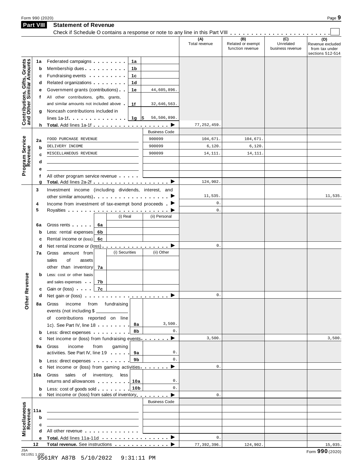| Form 990 (2020) | Page $\rightarrow$ |
|-----------------|--------------------|
|                 |                    |

**Part VIII Statement of Revenue**

|                                                           | <b>Part VIII</b> | <b>Statement of Revenue</b><br>Check if Schedule O contains a response or note to any line in this Part VIII                                          |                      |                                              |                                      |                                                               |
|-----------------------------------------------------------|------------------|-------------------------------------------------------------------------------------------------------------------------------------------------------|----------------------|----------------------------------------------|--------------------------------------|---------------------------------------------------------------|
|                                                           |                  |                                                                                                                                                       | (A)<br>Total revenue | (B)<br>Related or exempt<br>function revenue | (C)<br>Unrelated<br>business revenue | (D)<br>Revenue excluded<br>from tax under<br>sections 512-514 |
| Contributions, Gifts, Grants<br>and Other Similar Amounts | 1a<br>b<br>c     | Federated campaigns <b>Federated</b><br>1а<br>Membership dues <b>All Accords</b> Membership dues<br>1b<br>Fundraising events <b>Fundraising</b><br>1с |                      |                                              |                                      |                                                               |
|                                                           | d<br>е           | Related organizations <b>contains</b><br>1d<br>Government grants (contributions)<br>44,605,896.<br>1е                                                 |                      |                                              |                                      |                                                               |
|                                                           | t.               | All other contributions, gifts, grants,<br>and similar amounts not included above<br>1f<br>32,646,563.                                                |                      |                                              |                                      |                                                               |
|                                                           | g                | Noncash contributions included in<br>lines 1a-1f. $\ldots$ $\ldots$ $\ldots$ $\ldots$ $\frac{10}{5}$<br>56,506,890.                                   |                      |                                              |                                      |                                                               |
|                                                           |                  | h Total. Add lines 1a-1f                                                                                                                              | 77, 252, 459         |                                              |                                      |                                                               |
|                                                           |                  | <b>Business Code</b>                                                                                                                                  |                      |                                              |                                      |                                                               |
| Program Service<br>Revenue                                | 2a               | 900099<br>FOOD PURCHASE REVENUE                                                                                                                       | 104,671.             | 104,671                                      |                                      |                                                               |
|                                                           | b                | 900099<br>DELIVERY INCOME                                                                                                                             | 6,120.               | 6,120                                        |                                      |                                                               |
|                                                           | c                | 900099<br>MISCELLANEOUS REVENUE                                                                                                                       | 14, 111.             | 14,111                                       |                                      |                                                               |
|                                                           | d                |                                                                                                                                                       |                      |                                              |                                      |                                                               |
|                                                           | е                |                                                                                                                                                       |                      |                                              |                                      |                                                               |
|                                                           | f                | All other program service revenue                                                                                                                     |                      |                                              |                                      |                                                               |
|                                                           | g                |                                                                                                                                                       | 124,902.             |                                              |                                      |                                                               |
|                                                           | 3                | Investment income (including dividends, interest, and                                                                                                 |                      |                                              |                                      |                                                               |
|                                                           |                  |                                                                                                                                                       | 11,535.              |                                              |                                      | 11,535.                                                       |
|                                                           | 4                | Income from investment of tax-exempt bond proceeds $\blacktriangleright$                                                                              | $0$ .                |                                              |                                      |                                                               |
|                                                           | 5                |                                                                                                                                                       | $0$ .                |                                              |                                      |                                                               |
|                                                           |                  | (i) Real<br>(ii) Personal                                                                                                                             |                      |                                              |                                      |                                                               |
|                                                           |                  |                                                                                                                                                       |                      |                                              |                                      |                                                               |
|                                                           | 6a               | Gross rents  <br>6а                                                                                                                                   |                      |                                              |                                      |                                                               |
|                                                           | b                | Less: rental expenses<br>6b                                                                                                                           |                      |                                              |                                      |                                                               |
|                                                           | c                | Rental income or (loss)<br>6c                                                                                                                         |                      |                                              |                                      |                                                               |
|                                                           | d                | Net rental income or (loss) ▶                                                                                                                         | $0$ .                |                                              |                                      |                                                               |
|                                                           | 7а               | (i) Securities<br>(ii) Other<br>Gross amount from                                                                                                     |                      |                                              |                                      |                                                               |
|                                                           |                  | sales<br>of<br>assets                                                                                                                                 |                      |                                              |                                      |                                                               |
|                                                           |                  | other than inventory<br>7а                                                                                                                            |                      |                                              |                                      |                                                               |
|                                                           | b                | Less: cost or other basis                                                                                                                             |                      |                                              |                                      |                                                               |
| evenue                                                    |                  | and sales expenses and<br>7b                                                                                                                          |                      |                                              |                                      |                                                               |
|                                                           |                  | 7c<br><b>c</b> Gain or (loss) <b>c</b>                                                                                                                |                      |                                              |                                      |                                                               |
|                                                           | d                | Net gain or (loss) $\cdots$ $\cdots$ $\cdots$ $\cdots$ $\cdots$ $\cdots$                                                                              | $0$ .                |                                              |                                      |                                                               |
| Other <sub>R</sub>                                        | 8а               | income from fundraising<br>Gross                                                                                                                      |                      |                                              |                                      |                                                               |
|                                                           |                  |                                                                                                                                                       |                      |                                              |                                      |                                                               |
|                                                           |                  | events (not including \$                                                                                                                              |                      |                                              |                                      |                                                               |
|                                                           |                  | of contributions reported on line<br>3,500.                                                                                                           |                      |                                              |                                      |                                                               |
|                                                           |                  | 8а<br>1c). See Part IV, line 18                                                                                                                       | $\mathbf{0}$ .       |                                              |                                      |                                                               |
|                                                           | b                | 8b<br>Less: direct expenses                                                                                                                           |                      |                                              |                                      |                                                               |
|                                                           | c                | Net income or (loss) from fundraising events ▶                                                                                                        | 3,500.               |                                              |                                      | 3,500.                                                        |
|                                                           | 9а               | income<br>from<br>gaming<br>Gross                                                                                                                     |                      |                                              |                                      |                                                               |
|                                                           |                  | activities. See Part IV, line 19<br>9а                                                                                                                | 0.                   |                                              |                                      |                                                               |
|                                                           | b                | 9b<br>Less: direct expenses                                                                                                                           | 0.                   |                                              |                                      |                                                               |
|                                                           | c                | Net income or (loss) from gaming activities. $\ldots$ .                                                                                               | 0.                   |                                              |                                      |                                                               |
|                                                           | 10a              | Gross sales of inventory,<br>less                                                                                                                     |                      |                                              |                                      |                                                               |
|                                                           |                  | returns and allowances [10a]                                                                                                                          | 0.                   |                                              |                                      |                                                               |
|                                                           | b                | Less: cost of goods sold 10b                                                                                                                          | $\mathbf{0}$ .       |                                              |                                      |                                                               |
|                                                           | c                | Net income or (loss) from sales of inventory                                                                                                          | 0.                   |                                              |                                      |                                                               |
|                                                           |                  | <b>Business Code</b>                                                                                                                                  |                      |                                              |                                      |                                                               |
|                                                           |                  |                                                                                                                                                       |                      |                                              |                                      |                                                               |
|                                                           | 11a              | the control of the control of the control of the control of the control of the control of                                                             |                      |                                              |                                      |                                                               |
|                                                           | b                | <u> 1989 - Johann Barbara, martin amerikan basar dan berasal dalam basar dalam basar dalam basar dalam basar dala</u>                                 |                      |                                              |                                      |                                                               |
| Miscellaneous<br>Revenue                                  | c                |                                                                                                                                                       |                      |                                              |                                      |                                                               |
|                                                           | d                | All other revenue example and the state of the state of the state of the state of the state of the state of the                                       |                      |                                              |                                      |                                                               |
|                                                           | е                |                                                                                                                                                       | 0.                   |                                              |                                      |                                                               |
| ICA                                                       | 12               | Total revenue. See instructions                                                                                                                       | 77, 392, 396.        | 124,902.                                     |                                      | 15,035.                                                       |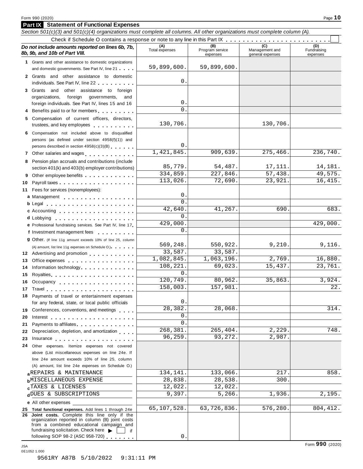## **Part IX Statement of Functional Expenses**

|     | Section 501(c)(3) and 501(c)(4) organizations must complete all columns. All other organizations must complete column (A).                                                                                                     |                       |                                    |                                           |                                |
|-----|--------------------------------------------------------------------------------------------------------------------------------------------------------------------------------------------------------------------------------|-----------------------|------------------------------------|-------------------------------------------|--------------------------------|
|     |                                                                                                                                                                                                                                |                       |                                    |                                           |                                |
|     | Do not include amounts reported on lines 6b, 7b,<br>8b, 9b, and 10b of Part VIII.                                                                                                                                              | (A)<br>Total expenses | (B)<br>Program service<br>expenses | (C)<br>Management and<br>general expenses | (D)<br>Fundraising<br>expenses |
|     | 1 Grants and other assistance to domestic organizations                                                                                                                                                                        |                       |                                    |                                           |                                |
|     | and domestic governments. See Part IV, line 21                                                                                                                                                                                 | 59,899,600.           | 59,899,600.                        |                                           |                                |
|     | 2 Grants and other assistance to domestic<br>individuals. See Part IV, line 22                                                                                                                                                 | 0                     |                                    |                                           |                                |
|     | 3 Grants and other assistance to foreign                                                                                                                                                                                       |                       |                                    |                                           |                                |
|     | organizations,<br>foreign<br>governments,<br>and                                                                                                                                                                               |                       |                                    |                                           |                                |
|     | foreign individuals. See Part IV, lines 15 and 16                                                                                                                                                                              | 0                     |                                    |                                           |                                |
|     | 4 Benefits paid to or for members                                                                                                                                                                                              | 0                     |                                    |                                           |                                |
|     | 5 Compensation of current officers, directors,<br>trustees, and key employees expressed and the state of the state of the state of the state of the state of the                                                               | 130,706               |                                    | 130,706.                                  |                                |
|     | 6 Compensation not included above to disqualified                                                                                                                                                                              |                       |                                    |                                           |                                |
|     | persons (as defined under section 4958(f)(1)) and                                                                                                                                                                              |                       |                                    |                                           |                                |
|     | persons described in section 4958(c)(3)(B)                                                                                                                                                                                     | 0                     |                                    |                                           |                                |
|     | 7 Other salaries and wages <b>container and all the salaries</b>                                                                                                                                                               | 1,421,845.            | 909,639.                           | 275,466.                                  | 236,740.                       |
|     | 8 Pension plan accruals and contributions (include                                                                                                                                                                             |                       |                                    |                                           |                                |
|     | section 401(k) and 403(b) employer contributions)                                                                                                                                                                              | 85,779.               | 54,487.                            | 17,111.                                   | 14,181.                        |
| 9   | Other employee benefits                                                                                                                                                                                                        | 334,859.              | 227,846.                           | 57,438.                                   | 49,575.                        |
| 10  |                                                                                                                                                                                                                                | 113,026.              | 72,690.                            | 23,921.                                   | 16, 415.                       |
|     | 11 Fees for services (nonemployees):                                                                                                                                                                                           | 0                     |                                    |                                           |                                |
|     | a Management                                                                                                                                                                                                                   | 0                     |                                    |                                           |                                |
|     |                                                                                                                                                                                                                                | 42,640                | 41,267.                            | 690                                       | 683.                           |
|     | c Accounting                                                                                                                                                                                                                   | 0                     |                                    |                                           |                                |
|     |                                                                                                                                                                                                                                | 429,000               |                                    |                                           | 429,000.                       |
|     | e Professional fundraising services. See Part IV, line 17<br>f Investment management fees                                                                                                                                      | 0                     |                                    |                                           |                                |
|     | <b>g</b> Other. (If line 11g amount exceeds 10% of line 25, column                                                                                                                                                             |                       |                                    |                                           |                                |
|     | (A) amount, list line 11g expenses on Schedule O.)                                                                                                                                                                             | 569,248.              | 550,922.                           | 9,210.                                    | 9,116.                         |
|     | 12 Advertising and promotion                                                                                                                                                                                                   | 33,587.               | 33,587.                            |                                           |                                |
| 13  | Office expenses expenses                                                                                                                                                                                                       | 1,082,845.            | 1,063,196.                         | 2,769.                                    | 16,880.                        |
| 14  | Information technology                                                                                                                                                                                                         | 108,221.              | 69,023.                            | 15,437.                                   | 23,761.                        |
| 15  |                                                                                                                                                                                                                                | $\Omega$              |                                    |                                           |                                |
| 16  | Occupancy experience and a series are a series of the series of the series of the series of the series of the                                                                                                                  | 120,749.              | 80,962.                            | 35,863.                                   | 3,924.                         |
|     |                                                                                                                                                                                                                                | 158,003.              | 157,981.                           |                                           | 22.                            |
| 18  | Payments of travel or entertainment expenses                                                                                                                                                                                   |                       |                                    |                                           |                                |
|     | for any federal, state, or local public officials                                                                                                                                                                              | 0                     |                                    |                                           |                                |
|     | 19 Conferences, conventions, and meetings                                                                                                                                                                                      | 28,382.               | 28,068.                            |                                           | 314.                           |
| 20  | Interest $\cdots$ , $\cdots$ , $\cdots$ , $\cdots$ , $\cdots$ , $\cdots$ , $\cdots$                                                                                                                                            | 0                     |                                    |                                           |                                |
| 21  | Payments to affiliates <b>Exercise Services</b>                                                                                                                                                                                | 0                     |                                    |                                           |                                |
| 22  | Depreciation, depletion, and amortization                                                                                                                                                                                      | 268,381               | 265,404.<br>93,272.                | 2,229.<br>2,987.                          | 748.                           |
| 23  | Insurance experience and the set of the set of the set of the set of the set of the set of the set of the set of the set of the set of the set of the set of the set of the set of the set of the set of the set of the set of | 96, 259.              |                                    |                                           |                                |
| 24  | Other expenses. Itemize expenses not covered                                                                                                                                                                                   |                       |                                    |                                           |                                |
|     | above (List miscellaneous expenses on line 24e. If<br>line 24e amount exceeds 10% of line 25, column                                                                                                                           |                       |                                    |                                           |                                |
|     | (A) amount, list line 24e expenses on Schedule O.)                                                                                                                                                                             |                       |                                    |                                           |                                |
|     | <b>AREPAIRS &amp; MAINTENANCE</b>                                                                                                                                                                                              | 134,141.              | 133,066.                           | 217.                                      | 858.                           |
|     | <b>b</b> MISCELLANEOUS EXPENSE                                                                                                                                                                                                 | 28,838.               | 28,538.                            | 300.                                      |                                |
|     | CTAXES & LICENSES                                                                                                                                                                                                              | 12,022.               | 12,022.                            |                                           |                                |
|     | dDUES & SUBSCRIPTIONS                                                                                                                                                                                                          | 9,397.                | 5,266.                             | 1,936.                                    | 2,195.                         |
|     | <b>e</b> All other expenses                                                                                                                                                                                                    |                       |                                    |                                           |                                |
|     | 25 Total functional expenses. Add lines 1 through 24e                                                                                                                                                                          | 65,107,528.           | 63,726,836.                        | 576,280.                                  | 804, 412.                      |
| 26. | Joint costs. Complete this line only if the<br>organization reported in column (B) joint costs<br>from a combined educational campaign and                                                                                     |                       |                                    |                                           |                                |
|     | fundraising solicitation. Check here<br>if<br>following SOP 98-2 (ASC 958-720)                                                                                                                                                 | 0                     |                                    |                                           |                                |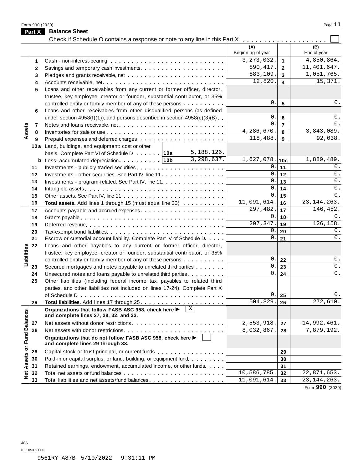Form <sup>990</sup> (2020) Page **11**

|                      | Part X       | <b>Balance Sheet</b>                                                                                                                       |                          |                         |                    |
|----------------------|--------------|--------------------------------------------------------------------------------------------------------------------------------------------|--------------------------|-------------------------|--------------------|
|                      |              | Check if Schedule O contains a response or note to any line in this Part X                                                                 |                          |                         |                    |
|                      |              |                                                                                                                                            | (A)<br>Beginning of year |                         | (B)<br>End of year |
|                      | 1            |                                                                                                                                            | 3, 273, 032.             | $\mathbf{1}$            | 4,850,864.         |
|                      | $\mathbf{2}$ |                                                                                                                                            | 890, 417.                | $\overline{2}$          | 11,401,647.        |
|                      | 3            |                                                                                                                                            | 883, 109.                | $\overline{\mathbf{3}}$ | 1,051,765.         |
|                      | 4            |                                                                                                                                            | 12,820.                  | $\overline{\mathbf{4}}$ | 15,371.            |
|                      | 5            | Loans and other receivables from any current or former officer, director,                                                                  |                          |                         |                    |
|                      |              | trustee, key employee, creator or founder, substantial contributor, or 35%                                                                 |                          |                         |                    |
|                      |              | controlled entity or family member of any of these persons                                                                                 | $\mathbf 0$ .            | 5                       | 0.                 |
|                      | 6            | Loans and other receivables from other disqualified persons (as defined                                                                    |                          |                         |                    |
|                      |              | under section $4958(f)(1)$ , and persons described in section $4958(c)(3)(B)$                                                              | 0.                       | $6\phantom{a}$          | 0.                 |
|                      | 7            |                                                                                                                                            | $\Omega$ .               | $\overline{7}$          | 0.                 |
| Assets               | 8            |                                                                                                                                            | 4,286,670.               | 8                       | 3,843,089.         |
|                      | 9            |                                                                                                                                            | 118, 488.                | 9                       | 92,038.            |
|                      |              | 10a Land, buildings, and equipment: cost or other                                                                                          |                          |                         |                    |
|                      |              | 5, 188, 126.<br>basis. Complete Part VI of Schedule D 10a                                                                                  |                          |                         |                    |
|                      |              | 3,298,637.                                                                                                                                 | $1,627,078.$ 10c         |                         | 1,889,489.         |
|                      | 11           |                                                                                                                                            | 0.                       | 11                      | 0.                 |
|                      | 12           | Investments - other securities. See Part IV, line 11.                                                                                      | 0.                       | 12                      | $0$ .              |
|                      | 13           | Investments - program-related. See Part IV, line 11.                                                                                       | 0.                       | 13                      | $0$ .              |
|                      | 14           |                                                                                                                                            | $\mathbf{0}$             | 14                      | $0$ .              |
|                      | 15           |                                                                                                                                            | $\mathbf 0$ .            | 15                      | 0.                 |
|                      | 16           | Total assets. Add lines 1 through 15 (must equal line 33)                                                                                  | 11,091,614.              | 16                      | 23, 144, 263.      |
|                      | 17           |                                                                                                                                            | 297,482.                 | 17                      | 146,452.           |
|                      | 18           |                                                                                                                                            | 0.                       | 18                      | 0.                 |
|                      | 19           |                                                                                                                                            | 207, 347.                | 19                      | 126, 158.          |
|                      | 20           |                                                                                                                                            | $\mathbf 0$ .<br>0.      | 20                      | 0.                 |
|                      | 21           | Escrow or custodial account liability. Complete Part IV of Schedule D.                                                                     |                          | 21                      | 0.                 |
| Liabilities          | 22           | Loans and other payables to any current or former officer, director,                                                                       |                          |                         |                    |
|                      |              | trustee, key employee, creator or founder, substantial contributor, or 35%                                                                 | $0$ .                    |                         | $0$ .              |
|                      |              | controlled entity or family member of any of these persons                                                                                 | 0.                       | 22<br>23                | $\mathsf{0}$ .     |
|                      | 23<br>24     | Secured mortgages and notes payable to unrelated third parties                                                                             | $0$ .                    | 24                      | $0$ .              |
|                      | 25           | Unsecured notes and loans payable to unrelated third parties<br>Other liabilities (including federal income tax, payables to related third |                          |                         |                    |
|                      |              | parties, and other liabilities not included on lines 17-24). Complete Part X                                                               |                          |                         |                    |
|                      |              |                                                                                                                                            | 0.                       | 25                      | 0.                 |
|                      | 26           |                                                                                                                                            | 504,829.                 | 26                      | 272,610.           |
|                      |              | $\vert x \vert$<br>Organizations that follow FASB ASC 958, check here ▶                                                                    |                          |                         |                    |
|                      |              | and complete lines 27, 28, 32, and 33.                                                                                                     |                          |                         |                    |
|                      | 27           | Net assets without donor restrictions                                                                                                      | 2,553,918.               | 27                      | 14,992,461.        |
|                      | 28           |                                                                                                                                            | 8,032,867.               | 28                      | 7,879,192.         |
| <b>Fund Balances</b> |              | Organizations that do not follow FASB ASC 958, check here ▶<br>and complete lines 29 through 33.                                           |                          |                         |                    |
|                      | 29           | Capital stock or trust principal, or current funds                                                                                         |                          | 29                      |                    |
|                      | 30           | Paid-in or capital surplus, or land, building, or equipment fund.                                                                          |                          | 30                      |                    |
|                      | 31           | Retained earnings, endowment, accumulated income, or other funds                                                                           |                          | 31                      |                    |
| Net Assets or        | 32           |                                                                                                                                            | 10,586,785.              | 32                      | 22,871,653.        |
|                      | 33           | Total liabilities and net assets/fund balances                                                                                             | 11,091,614.              | 33                      | 23, 144, 263.      |

Form **990** (2020)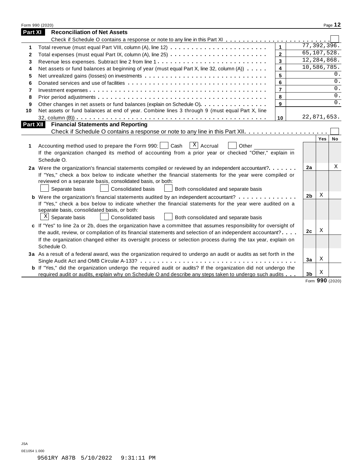|                | Form 990 (2020)                                                                                                       |                         |                |               | Page 12 |
|----------------|-----------------------------------------------------------------------------------------------------------------------|-------------------------|----------------|---------------|---------|
| Part XI        | <b>Reconciliation of Net Assets</b>                                                                                   |                         |                |               |         |
|                |                                                                                                                       |                         |                |               |         |
| 1              |                                                                                                                       | $\mathbf{1}$            |                | 77, 392, 396. |         |
| 2              |                                                                                                                       | $\mathbf{2}$            |                | 65,107,528.   |         |
| 3              |                                                                                                                       |                         | 12, 284, 868.  |               |         |
| 4              | Net assets or fund balances at beginning of year (must equal Part X, line 32, column (A))                             | $\overline{\mathbf{4}}$ |                | 10,586,785.   |         |
| 5              |                                                                                                                       | 5                       |                |               | 0.      |
| 6              |                                                                                                                       | 6                       |                |               | 0.      |
| $\overline{7}$ |                                                                                                                       | $\overline{7}$          |                |               | 0.      |
| 8              |                                                                                                                       | 8                       |                |               | 0.      |
| 9              | Other changes in net assets or fund balances (explain on Schedule O)                                                  | 9                       |                |               | 0.      |
| 10             | Net assets or fund balances at end of year. Combine lines 3 through 9 (must equal Part X, line                        |                         |                |               |         |
|                |                                                                                                                       | 10                      |                | 22,871,653.   |         |
| Part XII       | <b>Financial Statements and Reporting</b>                                                                             |                         |                |               |         |
|                |                                                                                                                       |                         |                |               |         |
|                | $X$ Accrual                                                                                                           |                         |                | Yes           | No      |
| 1              | Accounting method used to prepare the Form 990:     Cash<br>Other                                                     |                         |                |               |         |
|                | If the organization changed its method of accounting from a prior year or checked "Other," explain in                 |                         |                |               |         |
|                | Schedule O.                                                                                                           |                         |                |               |         |
|                | 2a Were the organization's financial statements compiled or reviewed by an independent accountant?                    |                         | 2a             |               | Χ       |
|                | If "Yes," check a box below to indicate whether the financial statements for the year were compiled or                |                         |                |               |         |
|                | reviewed on a separate basis, consolidated basis, or both:                                                            |                         |                |               |         |
|                | Separate basis<br><b>Consolidated basis</b><br>Both consolidated and separate basis                                   |                         |                |               |         |
|                | <b>b</b> Were the organization's financial statements audited by an independent accountant?                           |                         | 2 <sub>b</sub> | X             |         |
|                | If "Yes," check a box below to indicate whether the financial statements for the year were audited on a               |                         |                |               |         |
|                | separate basis, consolidated basis, or both:                                                                          |                         |                |               |         |
|                | $X$ Separate basis<br><b>Consolidated basis</b><br>Both consolidated and separate basis                               |                         |                |               |         |
|                | c If "Yes" to line 2a or 2b, does the organization have a committee that assumes responsibility for oversight of      |                         |                |               |         |
|                | the audit, review, or compilation of its financial statements and selection of an independent accountant?             |                         | 2с             | X             |         |
|                | If the organization changed either its oversight process or selection process during the tax year, explain on         |                         |                |               |         |
|                | Schedule O.                                                                                                           |                         |                |               |         |
|                | 3a As a result of a federal award, was the organization required to undergo an audit or audits as set forth in the    |                         |                |               |         |
|                |                                                                                                                       |                         | 3a             | X             |         |
|                | <b>b</b> If "Yes," did the organization undergo the required audit or audits? If the organization did not undergo the |                         |                | Χ             |         |
|                | required audit or audits, explain why on Schedule O and describe any steps taken to undergo such audits               |                         | 3 <sub>b</sub> | nnn.          |         |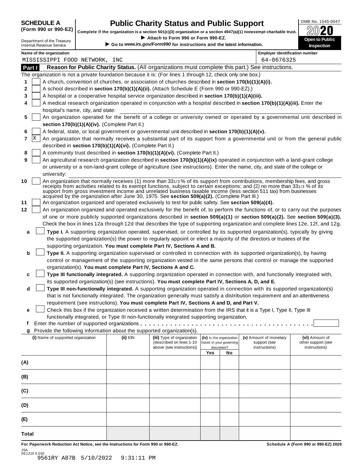# SCHEDULE A **Public Charity Status and Public Support** (Form 990 or 990-EZ) complete if the organization is a section 501(c)(3) organization or a section 4947(a)(1) nonexempt charitable trust. 20020

(Form 990 or 990-EZ) complete if the organization is a section 501(c)(3) organization or a section 4947(a)(1) nonexempt charitable trust.  $2020$ 

|        |                                                               |                                                                                                                                                                                                                                                                |                                                                                  |                                                                                                              |     |                          | Complete if the organization is a section 501(c)(3) organization or a section 4947(a)(1) nonexempt charitable trust.                                                                                                                                                                                                                                                           | ZWŁU                                                                                                                             |  |
|--------|---------------------------------------------------------------|----------------------------------------------------------------------------------------------------------------------------------------------------------------------------------------------------------------------------------------------------------------|----------------------------------------------------------------------------------|--------------------------------------------------------------------------------------------------------------|-----|--------------------------|--------------------------------------------------------------------------------------------------------------------------------------------------------------------------------------------------------------------------------------------------------------------------------------------------------------------------------------------------------------------------------|----------------------------------------------------------------------------------------------------------------------------------|--|
|        | Department of the Treasury<br><b>Internal Revenue Service</b> |                                                                                                                                                                                                                                                                |                                                                                  | Attach to Form 990 or Form 990-EZ.<br>Go to www.irs.gov/Form990 for instructions and the latest information. |     |                          |                                                                                                                                                                                                                                                                                                                                                                                | Open to Public<br><b>Inspection</b>                                                                                              |  |
|        | Name of the organization                                      |                                                                                                                                                                                                                                                                |                                                                                  |                                                                                                              |     |                          | <b>Employer identification number</b>                                                                                                                                                                                                                                                                                                                                          |                                                                                                                                  |  |
|        | MISSISSIPPI FOOD NETWORK, INC                                 |                                                                                                                                                                                                                                                                |                                                                                  |                                                                                                              |     |                          | 64-0676325                                                                                                                                                                                                                                                                                                                                                                     |                                                                                                                                  |  |
| Part I |                                                               |                                                                                                                                                                                                                                                                |                                                                                  |                                                                                                              |     |                          | Reason for Public Charity Status. (All organizations must complete this part.) See instructions.                                                                                                                                                                                                                                                                               |                                                                                                                                  |  |
|        |                                                               |                                                                                                                                                                                                                                                                |                                                                                  | The organization is not a private foundation because it is: (For lines 1 through 12, check only one box.)    |     |                          |                                                                                                                                                                                                                                                                                                                                                                                |                                                                                                                                  |  |
| 1      |                                                               |                                                                                                                                                                                                                                                                |                                                                                  | A church, convention of churches, or association of churches described in section 170(b)(1)(A)(i).           |     |                          |                                                                                                                                                                                                                                                                                                                                                                                |                                                                                                                                  |  |
| 2      |                                                               |                                                                                                                                                                                                                                                                |                                                                                  | A school described in section 170(b)(1)(A)(ii). (Attach Schedule E (Form 990 or 990-EZ).)                    |     |                          |                                                                                                                                                                                                                                                                                                                                                                                |                                                                                                                                  |  |
| 3      |                                                               |                                                                                                                                                                                                                                                                |                                                                                  | A hospital or a cooperative hospital service organization described in section 170(b)(1)(A)(iii).            |     |                          |                                                                                                                                                                                                                                                                                                                                                                                |                                                                                                                                  |  |
| 4      |                                                               |                                                                                                                                                                                                                                                                |                                                                                  |                                                                                                              |     |                          | A medical research organization operated in conjunction with a hospital described in section 170(b)(1)(A)(iii). Enter the                                                                                                                                                                                                                                                      |                                                                                                                                  |  |
|        | hospital's name, city, and state:                             |                                                                                                                                                                                                                                                                |                                                                                  |                                                                                                              |     |                          |                                                                                                                                                                                                                                                                                                                                                                                |                                                                                                                                  |  |
| 5      |                                                               |                                                                                                                                                                                                                                                                |                                                                                  |                                                                                                              |     |                          |                                                                                                                                                                                                                                                                                                                                                                                | An organization operated for the benefit of a college or university owned or operated by a governmental unit described in        |  |
|        |                                                               |                                                                                                                                                                                                                                                                | section 170(b)(1)(A)(iv). (Complete Part II.)                                    |                                                                                                              |     |                          |                                                                                                                                                                                                                                                                                                                                                                                |                                                                                                                                  |  |
| 6<br>7 | X                                                             |                                                                                                                                                                                                                                                                |                                                                                  | A federal, state, or local government or governmental unit described in section 170(b)(1)(A)(v).             |     |                          |                                                                                                                                                                                                                                                                                                                                                                                | An organization that normally receives a substantial part of its support from a governmental unit or from the general public     |  |
|        |                                                               |                                                                                                                                                                                                                                                                | described in section 170(b)(1)(A)(vi). (Complete Part II.)                       |                                                                                                              |     |                          |                                                                                                                                                                                                                                                                                                                                                                                |                                                                                                                                  |  |
| 8      |                                                               |                                                                                                                                                                                                                                                                |                                                                                  | A community trust described in section 170(b)(1)(A)(vi). (Complete Part II.)                                 |     |                          |                                                                                                                                                                                                                                                                                                                                                                                |                                                                                                                                  |  |
| 9      |                                                               |                                                                                                                                                                                                                                                                |                                                                                  |                                                                                                              |     |                          | An agricultural research organization described in section 170(b)(1)(A)(ix) operated in conjunction with a land-grant college                                                                                                                                                                                                                                                  |                                                                                                                                  |  |
|        |                                                               |                                                                                                                                                                                                                                                                |                                                                                  |                                                                                                              |     |                          | or university or a non-land-grant college of agriculture (see instructions). Enter the name, city, and state of the college or                                                                                                                                                                                                                                                 |                                                                                                                                  |  |
|        | university:                                                   |                                                                                                                                                                                                                                                                |                                                                                  |                                                                                                              |     |                          |                                                                                                                                                                                                                                                                                                                                                                                |                                                                                                                                  |  |
| 10     |                                                               |                                                                                                                                                                                                                                                                |                                                                                  | acquired by the organization after June 30, 1975. See section 509(a)(2). (Complete Part III.)                |     |                          | An organization that normally receives (1) more than 331/3% of its support from contributions, membership fees, and gross<br>receipts from activities related to its exempt functions, subject to certain exceptions; and (2) no more than 331/3 % of its<br>support from gross investment income and unrelated business taxable income (less section 511 tax) from businesses |                                                                                                                                  |  |
| 11     |                                                               |                                                                                                                                                                                                                                                                |                                                                                  | An organization organized and operated exclusively to test for public safety. See section 509(a)(4).         |     |                          |                                                                                                                                                                                                                                                                                                                                                                                |                                                                                                                                  |  |
| 12     |                                                               |                                                                                                                                                                                                                                                                |                                                                                  |                                                                                                              |     |                          |                                                                                                                                                                                                                                                                                                                                                                                | An organization organized and operated exclusively for the benefit of, to perform the functions of, or to carry out the purposes |  |
|        |                                                               |                                                                                                                                                                                                                                                                |                                                                                  |                                                                                                              |     |                          |                                                                                                                                                                                                                                                                                                                                                                                | of one or more publicly supported organizations described in section 509(a)(1) or section 509(a)(2). See section 509(a)(3).      |  |
|        |                                                               | Check the box in lines 12a through 12d that describes the type of supporting organization and complete lines 12e, 12f, and 12g.<br>Type I. A supporting organization operated, supervised, or controlled by its supported organization(s), typically by giving |                                                                                  |                                                                                                              |     |                          |                                                                                                                                                                                                                                                                                                                                                                                |                                                                                                                                  |  |
| a      |                                                               |                                                                                                                                                                                                                                                                |                                                                                  |                                                                                                              |     |                          | the supported organization(s) the power to regularly appoint or elect a majority of the directors or trustees of the                                                                                                                                                                                                                                                           |                                                                                                                                  |  |
|        |                                                               |                                                                                                                                                                                                                                                                |                                                                                  | supporting organization. You must complete Part IV, Sections A and B.                                        |     |                          |                                                                                                                                                                                                                                                                                                                                                                                |                                                                                                                                  |  |
| b      |                                                               |                                                                                                                                                                                                                                                                |                                                                                  |                                                                                                              |     |                          | Type II. A supporting organization supervised or controlled in connection with its supported organization(s), by having                                                                                                                                                                                                                                                        |                                                                                                                                  |  |
|        |                                                               |                                                                                                                                                                                                                                                                |                                                                                  |                                                                                                              |     |                          | control or management of the supporting organization vested in the same persons that control or manage the supported                                                                                                                                                                                                                                                           |                                                                                                                                  |  |
|        |                                                               |                                                                                                                                                                                                                                                                |                                                                                  | organization(s). You must complete Part IV, Sections A and C.                                                |     |                          |                                                                                                                                                                                                                                                                                                                                                                                |                                                                                                                                  |  |
| c      |                                                               |                                                                                                                                                                                                                                                                |                                                                                  |                                                                                                              |     |                          | Type III functionally integrated. A supporting organization operated in connection with, and functionally integrated with,                                                                                                                                                                                                                                                     |                                                                                                                                  |  |
|        |                                                               |                                                                                                                                                                                                                                                                |                                                                                  | its supported organization(s) (see instructions). You must complete Part IV, Sections A, D, and E.           |     |                          |                                                                                                                                                                                                                                                                                                                                                                                |                                                                                                                                  |  |
| d      |                                                               |                                                                                                                                                                                                                                                                |                                                                                  |                                                                                                              |     |                          | Type III non-functionally integrated. A supporting organization operated in connection with its supported organization(s)                                                                                                                                                                                                                                                      |                                                                                                                                  |  |
|        |                                                               |                                                                                                                                                                                                                                                                |                                                                                  |                                                                                                              |     |                          | that is not functionally integrated. The organization generally must satisfy a distribution requirement and an attentiveness                                                                                                                                                                                                                                                   |                                                                                                                                  |  |
|        |                                                               |                                                                                                                                                                                                                                                                |                                                                                  | requirement (see instructions). You must complete Part IV, Sections A and D, and Part V.                     |     |                          |                                                                                                                                                                                                                                                                                                                                                                                |                                                                                                                                  |  |
| е      |                                                               |                                                                                                                                                                                                                                                                |                                                                                  |                                                                                                              |     |                          | Check this box if the organization received a written determination from the IRS that it is a Type I, Type II, Type III                                                                                                                                                                                                                                                        |                                                                                                                                  |  |
|        |                                                               |                                                                                                                                                                                                                                                                |                                                                                  | functionally integrated, or Type III non-functionally integrated supporting organization.                    |     |                          |                                                                                                                                                                                                                                                                                                                                                                                |                                                                                                                                  |  |
| f      |                                                               |                                                                                                                                                                                                                                                                |                                                                                  | Provide the following information about the supported organization(s).                                       |     |                          |                                                                                                                                                                                                                                                                                                                                                                                |                                                                                                                                  |  |
| g      | (i) Name of supported organization                            |                                                                                                                                                                                                                                                                | (ii) EIN                                                                         | (iii) Type of organization                                                                                   |     | (iv) Is the organization | (v) Amount of monetary                                                                                                                                                                                                                                                                                                                                                         | (vi) Amount of                                                                                                                   |  |
|        |                                                               |                                                                                                                                                                                                                                                                |                                                                                  | (described on lines 1-10                                                                                     |     | listed in your governing | support (see                                                                                                                                                                                                                                                                                                                                                                   | other support (see                                                                                                               |  |
|        |                                                               |                                                                                                                                                                                                                                                                |                                                                                  | above (see instructions))                                                                                    | Yes | document?<br>No          | instructions)                                                                                                                                                                                                                                                                                                                                                                  | instructions)                                                                                                                    |  |
|        |                                                               |                                                                                                                                                                                                                                                                |                                                                                  |                                                                                                              |     |                          |                                                                                                                                                                                                                                                                                                                                                                                |                                                                                                                                  |  |
| (A)    |                                                               |                                                                                                                                                                                                                                                                |                                                                                  |                                                                                                              |     |                          |                                                                                                                                                                                                                                                                                                                                                                                |                                                                                                                                  |  |
| (B)    |                                                               |                                                                                                                                                                                                                                                                |                                                                                  |                                                                                                              |     |                          |                                                                                                                                                                                                                                                                                                                                                                                |                                                                                                                                  |  |
| (C)    |                                                               |                                                                                                                                                                                                                                                                |                                                                                  |                                                                                                              |     |                          |                                                                                                                                                                                                                                                                                                                                                                                |                                                                                                                                  |  |
| (D)    |                                                               |                                                                                                                                                                                                                                                                |                                                                                  |                                                                                                              |     |                          |                                                                                                                                                                                                                                                                                                                                                                                |                                                                                                                                  |  |
| (E)    |                                                               |                                                                                                                                                                                                                                                                |                                                                                  |                                                                                                              |     |                          |                                                                                                                                                                                                                                                                                                                                                                                |                                                                                                                                  |  |
| Total  |                                                               |                                                                                                                                                                                                                                                                |                                                                                  |                                                                                                              |     |                          |                                                                                                                                                                                                                                                                                                                                                                                |                                                                                                                                  |  |
|        |                                                               |                                                                                                                                                                                                                                                                | For Paperwork Reduction Act Notice, see the Instructions for Form 990 or 990-EZ. |                                                                                                              |     |                          |                                                                                                                                                                                                                                                                                                                                                                                | Schedule A (Form 990 or 990-EZ) 2020                                                                                             |  |

JSA 0E1210 0.030 9561RY A87B 5/10/2022 9:31:11 PM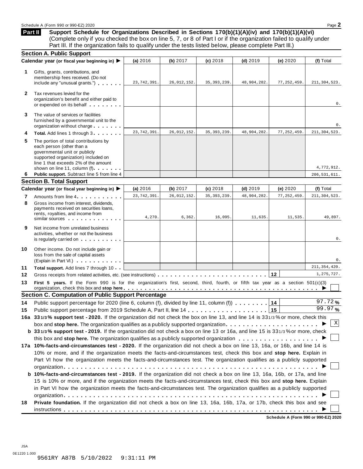**Part II**

## **Support Schedule for Organizations Described in Sections 170(b)(1)(A)(iv) and 170(b)(1)(A)(vi)** (Complete only if you checked the box on line 5, 7, or 8 of Part I or if the organization failed to qualify under Part III. If the organization fails to qualify under the tests listed below, please complete Part III.)

|              | <b>Section A. Public Support</b>                                                                                                                                                                                                                                           |               |               |               |             |               |                |
|--------------|----------------------------------------------------------------------------------------------------------------------------------------------------------------------------------------------------------------------------------------------------------------------------|---------------|---------------|---------------|-------------|---------------|----------------|
|              | Calendar year (or fiscal year beginning in) ▶                                                                                                                                                                                                                              | (a) 2016      | (b) 2017      | $(c)$ 2018    | $(d)$ 2019  | (e) 2020      | (f) Total      |
| 1.           | Gifts, grants, contributions, and<br>membership fees received. (Do not<br>include any "unusual grants.")                                                                                                                                                                   | 23, 742, 391. | 26, 012, 152. | 35, 393, 239. | 48,904,282. | 77, 252, 459. | 211, 304, 523. |
| $\mathbf{2}$ | Tax revenues levied for the<br>organization's benefit and either paid to<br>or expended on its behalf                                                                                                                                                                      |               |               |               |             |               | 0.             |
| 3            | The value of services or facilities<br>furnished by a governmental unit to the<br>organization without charge                                                                                                                                                              |               |               |               |             |               | 0.             |
| 4            | Total. Add lines 1 through 3                                                                                                                                                                                                                                               | 23, 742, 391. | 26, 012, 152. | 35, 393, 239. | 48,904,282. | 77, 252, 459. | 211, 304, 523. |
| 5            | The portion of total contributions by<br>each person (other than a<br>governmental unit or publicly<br>supported organization) included on<br>line 1 that exceeds 2% of the amount<br>shown on line 11, column (f)                                                         |               |               |               |             |               | 4,772,912.     |
| 6            | Public support. Subtract line 5 from line 4                                                                                                                                                                                                                                |               |               |               |             |               | 206, 531, 611. |
|              | <b>Section B. Total Support</b>                                                                                                                                                                                                                                            |               |               |               |             |               |                |
|              | Calendar year (or fiscal year beginning in) ▶                                                                                                                                                                                                                              | (a) 2016      | (b) $2017$    | (c) 2018      | $(d)$ 2019  | (e) 2020      | (f) Total      |
| 7            | Amounts from line 4                                                                                                                                                                                                                                                        | 23, 742, 391. | 26, 012, 152. | 35, 393, 239  | 48,904,282  | 77, 252, 459. | 211, 304, 523. |
| 8            | Gross income from interest, dividends,<br>payments received on securities loans,<br>rents, royalties, and income from<br>similar sources experiences                                                                                                                       | 4,270.        | 6, 362.       | 16,095.       | 11,635.     | 11,535.       | 49,897.        |
| 9            | Net income from unrelated business<br>activities, whether or not the business<br>is regularly carried on the contract of the state of the state of the state of the state of the state of the s                                                                            |               |               |               |             |               | 0.             |
| 10           | Other income. Do not include gain or<br>loss from the sale of capital assets<br>(Explain in Part VI.)                                                                                                                                                                      |               |               |               |             |               | 0.             |
| 11           | Total support. Add lines 7 through 10                                                                                                                                                                                                                                      |               |               |               |             |               | 211, 354, 420. |
| 12           |                                                                                                                                                                                                                                                                            |               |               |               |             | 12            | 1,275,727.     |
| 13           | First 5 years. If the Form 990 is for the organization's first, second, third, fourth, or fifth tax year as a section 501(c)(3)<br>organization, check this box and stop here $\ldots \ldots \ldots \ldots \ldots \ldots \ldots \ldots \ldots \ldots \ldots \ldots \ldots$ |               |               |               |             |               |                |
|              | <b>Section C. Computation of Public Support Percentage</b>                                                                                                                                                                                                                 |               |               |               |             |               |                |
| 14           | Public support percentage for 2020 (line 6, column (f), divided by line 11, column (f) $\ldots \ldots$                                                                                                                                                                     |               |               |               |             | 14            | 97.72%         |
| 15           |                                                                                                                                                                                                                                                                            |               |               |               |             | 15            | 99.97%         |
|              | 16a 331/3% support test - 2020. If the organization did not check the box on line 13, and line 14 is 331/3% or more, check this                                                                                                                                            |               |               |               |             |               |                |
|              | box and stop here. The organization qualifies as a publicly supported organization                                                                                                                                                                                         |               |               |               |             |               | X              |
|              | b 331/3% support test - 2019. If the organization did not check a box on line 13 or 16a, and line 15 is 331/3% or more, check                                                                                                                                              |               |               |               |             |               |                |
|              |                                                                                                                                                                                                                                                                            |               |               |               |             |               |                |
|              | 17a 10%-facts-and-circumstances test - 2020. If the organization did not check a box on line 13, 16a, or 16b, and line 14 is                                                                                                                                               |               |               |               |             |               |                |
|              | 10% or more, and if the organization meets the facts-and-circumstances test, check this box and stop here. Explain in                                                                                                                                                      |               |               |               |             |               |                |
|              | Part VI how the organization meets the facts-and-circumstances test. The organization qualifies as a publicly supported                                                                                                                                                    |               |               |               |             |               |                |
|              |                                                                                                                                                                                                                                                                            |               |               |               |             |               |                |
|              | b 10%-facts-and-circumstances test - 2019. If the organization did not check a box on line 13, 16a, 16b, or 17a, and line                                                                                                                                                  |               |               |               |             |               |                |
|              | 15 is 10% or more, and if the organization meets the facts-and-circumstances test, check this box and stop here. Explain                                                                                                                                                   |               |               |               |             |               |                |
|              | in Part VI how the organization meets the facts-and-circumstances test. The organization qualifies as a publicly supported                                                                                                                                                 |               |               |               |             |               |                |
| 18           | Private foundation. If the organization did not check a box on line 13, 16a, 16b, 17a, or 17b, check this box and see                                                                                                                                                      |               |               |               |             |               |                |
|              |                                                                                                                                                                                                                                                                            |               |               |               |             |               |                |
|              |                                                                                                                                                                                                                                                                            |               |               |               |             |               |                |

**Schedule A (Form 990 or 990-EZ) 2020**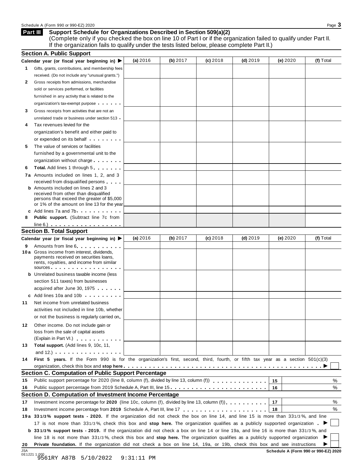#### **Support Schedule for Organizations Described in Section 509(a)(2) Part III**

(Complete only if you checked the box on line 10 of Part I or if the organization failed to qualify under Part II. If the organization fails to qualify under the tests listed below, please complete Part II.)

|          | <b>Section A. Public Support</b>                                                                                                                                                                                                                           |          |          |            |            |          |           |
|----------|------------------------------------------------------------------------------------------------------------------------------------------------------------------------------------------------------------------------------------------------------------|----------|----------|------------|------------|----------|-----------|
|          | Calendar year (or fiscal year beginning in) $\blacktriangleright$                                                                                                                                                                                          | (a) 2016 | (b) 2017 | $(c)$ 2018 | $(d)$ 2019 | (e) 2020 | (f) Total |
| 1        | Gifts, grants, contributions, and membership fees                                                                                                                                                                                                          |          |          |            |            |          |           |
|          | received. (Do not include any "unusual grants.")                                                                                                                                                                                                           |          |          |            |            |          |           |
| 2        | Gross receipts from admissions, merchandise                                                                                                                                                                                                                |          |          |            |            |          |           |
|          | sold or services performed, or facilities                                                                                                                                                                                                                  |          |          |            |            |          |           |
|          | furnished in any activity that is related to the                                                                                                                                                                                                           |          |          |            |            |          |           |
|          | organization's tax-exempt purpose                                                                                                                                                                                                                          |          |          |            |            |          |           |
| 3        | Gross receipts from activities that are not an                                                                                                                                                                                                             |          |          |            |            |          |           |
|          | unrelated trade or business under section 513                                                                                                                                                                                                              |          |          |            |            |          |           |
| 4        | Tax revenues levied for the                                                                                                                                                                                                                                |          |          |            |            |          |           |
|          | organization's benefit and either paid to                                                                                                                                                                                                                  |          |          |            |            |          |           |
|          | or expended on its behalf <b>contained</b> by the set of the set of the set of the set of the set of the set of the set of the set of the set of the set of the set of the set of the set of the set of the set of the set of the s                        |          |          |            |            |          |           |
| 5        | The value of services or facilities                                                                                                                                                                                                                        |          |          |            |            |          |           |
|          | furnished by a governmental unit to the                                                                                                                                                                                                                    |          |          |            |            |          |           |
|          | organization without charge                                                                                                                                                                                                                                |          |          |            |            |          |           |
| 6        | <b>Total.</b> Add lines 1 through 5                                                                                                                                                                                                                        |          |          |            |            |          |           |
|          | 7a Amounts included on lines 1, 2, and 3                                                                                                                                                                                                                   |          |          |            |            |          |           |
|          | received from disqualified persons                                                                                                                                                                                                                         |          |          |            |            |          |           |
|          | <b>b</b> Amounts included on lines 2 and 3                                                                                                                                                                                                                 |          |          |            |            |          |           |
|          | received from other than disqualified<br>persons that exceed the greater of \$5,000                                                                                                                                                                        |          |          |            |            |          |           |
|          | or 1% of the amount on line 13 for the year                                                                                                                                                                                                                |          |          |            |            |          |           |
|          | c Add lines 7a and 7b.                                                                                                                                                                                                                                     |          |          |            |            |          |           |
| 8        | <b>Public support.</b> (Subtract line 7c from                                                                                                                                                                                                              |          |          |            |            |          |           |
|          | $line 6.)$                                                                                                                                                                                                                                                 |          |          |            |            |          |           |
|          | <b>Section B. Total Support</b>                                                                                                                                                                                                                            |          |          |            |            |          |           |
|          | Calendar year (or fiscal year beginning in)                                                                                                                                                                                                                | (a) 2016 | (b) 2017 | $(c)$ 2018 | $(d)$ 2019 | (e) 2020 | (f) Total |
| 9        | Amounts from line 6                                                                                                                                                                                                                                        |          |          |            |            |          |           |
|          | 10 a Gross income from interest, dividends,<br>payments received on securities loans,<br>rents, royalties, and income from similar<br>sources                                                                                                              |          |          |            |            |          |           |
|          | <b>b</b> Unrelated business taxable income (less                                                                                                                                                                                                           |          |          |            |            |          |           |
|          | section 511 taxes) from businesses                                                                                                                                                                                                                         |          |          |            |            |          |           |
|          | acquired after June 30, 1975                                                                                                                                                                                                                               |          |          |            |            |          |           |
|          | c Add lines 10a and 10b                                                                                                                                                                                                                                    |          |          |            |            |          |           |
| 11       | Net income from unrelated business                                                                                                                                                                                                                         |          |          |            |            |          |           |
|          | activities not included in line 10b, whether                                                                                                                                                                                                               |          |          |            |            |          |           |
|          | or not the business is regularly carried on                                                                                                                                                                                                                |          |          |            |            |          |           |
| 12       | Other income. Do not include gain or                                                                                                                                                                                                                       |          |          |            |            |          |           |
|          | loss from the sale of capital assets                                                                                                                                                                                                                       |          |          |            |            |          |           |
|          | (Explain in Part VI.)                                                                                                                                                                                                                                      |          |          |            |            |          |           |
| 13       | Total support. (Add lines 9, 10c, 11,                                                                                                                                                                                                                      |          |          |            |            |          |           |
|          | and $12.$ ) $\cdots$ $\cdots$ $\cdots$ $\cdots$ $\cdots$                                                                                                                                                                                                   |          |          |            |            |          |           |
| 14       | First 5 years. If the Form 990 is for the organization's first, second, third, fourth, or fifth tax year as a section 501(c)(3)                                                                                                                            |          |          |            |            |          |           |
|          |                                                                                                                                                                                                                                                            |          |          |            |            |          |           |
|          | <b>Section C. Computation of Public Support Percentage</b>                                                                                                                                                                                                 |          |          |            |            |          |           |
| 15       | Public support percentage for 2020 (line 8, column (f), divided by line 13, column (f) entitled in the set of the set of the set of the set of the set of the set of the set of the set of the set of the set of the set of th                             |          |          |            |            | 15       | %         |
| 16       | Public support percentage from 2019 Schedule A, Part III, line 15                                                                                                                                                                                          |          |          |            |            | 16       | %         |
|          | Section D. Computation of Investment Income Percentage                                                                                                                                                                                                     |          |          |            |            |          |           |
| 17       | Investment income percentage for 2020 (line 10c, column (f), divided by line 13, column (f)).                                                                                                                                                              |          |          |            |            | 17       | %         |
|          |                                                                                                                                                                                                                                                            |          |          |            |            | 18       | %         |
|          |                                                                                                                                                                                                                                                            |          |          |            |            |          |           |
|          |                                                                                                                                                                                                                                                            |          |          |            |            |          |           |
|          | 19a 331/3% support tests - 2020. If the organization did not check the box on line 14, and line 15 is more than 331/3%, and line                                                                                                                           |          |          |            |            |          |           |
|          | 17 is not more than 331/3%, check this box and stop here. The organization qualifies as a publicly supported organization                                                                                                                                  |          |          |            |            |          |           |
|          | <b>b</b> 331/3% support tests - 2019. If the organization did not check a box on line 14 or line 19a, and line 16 is more than 331/3%, and                                                                                                                 |          |          |            |            |          |           |
| 18<br>20 | line 18 is not more than 331/3%, check this box and stop here. The organization qualifies as a publicly supported organization<br>Private foundation. If the organization did not check a box on line 14, 19a, or 19b, check this box and see instructions |          |          |            |            |          |           |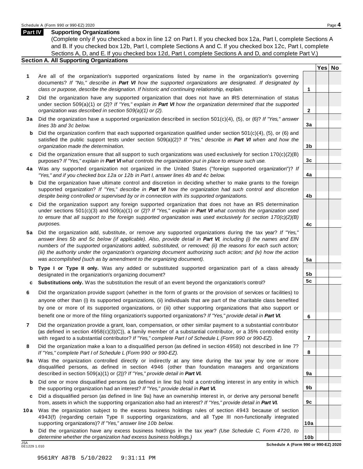#### **Part IV Supporting Organizations**

(Complete only if you checked a box in line 12 on Part I. If you checked box 12a, Part I, complete Sections A and B. If you checked box 12b, Part I, complete Sections A and C. If you checked box 12c, Part I, complete Sections A, D, and E. If you checked box 12d, Part I, complete Sections A and D, and complete Part V.)

### **Section A. All Supporting Organizations**

- **1** Are all of the organization's supported organizations listed by name in the organization's governing documents? *If "No," describe in Part VI how the supported organizations are designated. If designated by class or purpose, describe the designation. If historic and continuing relationship, explain.* **1**
- **2** Did the organization have any supported organization that does not have an IRS determination of status under section 509(a)(1) or (2)? *If"Yes," explain in Part VI how the organization determined that the supported organization was described in section 509(a)(1) or (2).*
- **3 a** Did the organization have a supported organization described in section 501(c)(4), (5), or (6)? *If "Yes," answer lines 3b and 3c below.*
- **b** Did the organization confirm that each supported organization qualified under section 501(c)(4), (5), or (6) and | satisfied the public support tests under section 509(a)(2)? *If "Yes," describe in Part VI when and how the organization made the determination.*
- **c** Did the organization ensure that all support to such organizations was used exclusively for section 170(c)(2)(B) purposes? *If"Yes," explain in Part VI what controls the organization put in place to ensure such use.*
- **4 a** Was any supported organization not organized in the United States ("foreign supported organization")? *If "Yes," and if you checked box 12a or 12b in Part I, answer lines 4b and 4c below.*
- **b** Did the organization have ultimate control and discretion in deciding whether to make grants to the foreign | supported organization? *If "Yes," describe in Part VI how the organization had such control and discretion despite being controlled or supervised by or in connection with its supported organizations.*
- **c** Did the organization support any foreign supported organization that does not have an IRS determination | under sections 501(c)(3) and 509(a)(1) or (2)? *If "Yes," explain in Part VI what controls the organization used to ensure that all support to the foreign supported organization was used exclusively for section 170(c)(2)(B) purposes.*
- **5 a** Did the organization add, substitute, or remove any supported organizations during the tax year? *If "Yes,"* answer lines 5b and 5c below (if applicable). Also, provide detail in Part VI, including (i) the names and EIN *numbers of the supported organizations added, substituted, or removed; (ii) the reasons for each such action;* (iii) the authority under the organization's organizing document authorizing such action; and (iv) how the action *was accomplished (such as by amendment to the organizing document).*
- **b Type I or Type II only.** Was any added or substituted supported organization part of a class already designated in the organization's organizing document?
- **c Substitutions only.** Was the substitution the result of an event beyond the organization's control?
- **6** Did the organization provide support (whether in the form of grants or the provision of services or facilities) to anyone other than (i) its supported organizations, (ii) individuals that are part of the charitable class benefited by one or more of its supported organizations, or (iii) other supporting organizations that also support or benefit one or more of the filing organization's supported organizations? *If"Yes," provide detail in Part VI.*
- **7** Did the organization provide a grant, loan, compensation, or other similar payment to a substantial contributor (as defined in section 4958(c)(3)(C)), a family member of a substantial contributor, or a 35% controlled entity with regard to a substantial contributor? *If"Yes," complete Part I of Schedule L (Form 990 or 990-EZ).*
- **8** Did the organization make a loan to a disqualified person (as defined in section 4958) not described in line 7? *If "Yes," complete Part I of Schedule L (Form 990 or 990-EZ).*
- **9a** Was the organization controlled directly or indirectly at any time during the tax year by one or more | disqualified persons, as defined in section 4946 (other than foundation managers and organizations described in section 509(a)(1) or (2))? *If"Yes," provide detail in Part VI.*
- **b** Did one or more disqualified persons (as defined in line 9a) hold a controlling interest in any entity in which | the supporting organization had an interest? *If"Yes," provide detail in Part VI.*
- **c** Did a disqualified person (as defined in line 9a) have an ownership interest in, or derive any personal benefit from, assets in which the supporting organization also had an interest? *If"Yes," provide detail in Part VI.*
- **10a** Was the organization subject to the excess business holdings rules of section 4943 because of section | 4943(f) (regarding certain Type II supporting organizations, and all Type III non-functionally integrated supporting organizations)? *If"Yes," answer line 10b below.*
- **b** Did the organization have any excess business holdings in the tax year? *(Use Schedule C, Form 4720, to determine whether the organization had excess business holdings.)*

0E1229 1.010

**Yes No**

**2**

**3a**

**3b**

**3c**

**4a**

**4b**

**4c**

**5a**

**5b 5c**

**6**

**7**

**8**

**9a**

**9b**

**9c**

**10a**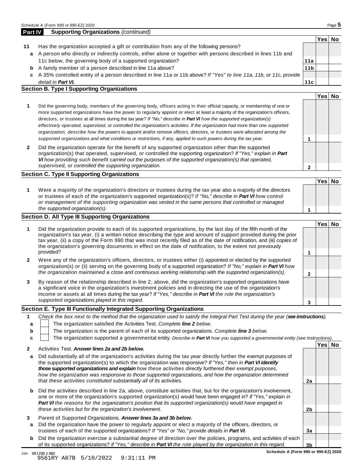|    |                                                                                                                    |                 | Yes⊺ | No |
|----|--------------------------------------------------------------------------------------------------------------------|-----------------|------|----|
| 11 | Has the organization accepted a gift or contribution from any of the following persons?                            |                 |      |    |
| a  | A person who directly or indirectly controls, either alone or together with persons described in lines 11b and     |                 |      |    |
|    | 11c below, the governing body of a supported organization?                                                         | 11a             |      |    |
| b  | A family member of a person described in line 11a above?                                                           | 11 <sub>b</sub> |      |    |
| c  | A 35% controlled entity of a person described in line 11a or 11b above? If "Yes" to line 11a, 11b, or 11c, provide |                 |      |    |
|    | detail in <b>Part VI.</b>                                                                                          | 11c             |      |    |
|    | <b>Section B. Type I Supporting Organizations</b>                                                                  |                 |      |    |
|    |                                                                                                                    |                 | Yes. |    |

|   | Did the governing body, members of the governing body, officers acting in their official capacity, or membership of one or<br>more supported organizations have the power to regularly appoint or elect at least a majority of the organization's officers,<br>directors, or trustees at all times during the tax year? If "No," describe in <b>Part VI</b> how the supported organization(s)<br>effectively operated, supervised, or controlled the organization's activities. If the organization had more than one supported<br>organization, describe how the powers to appoint and/or remove officers, directors, or trustees were allocated among the |  |  |
|---|-------------------------------------------------------------------------------------------------------------------------------------------------------------------------------------------------------------------------------------------------------------------------------------------------------------------------------------------------------------------------------------------------------------------------------------------------------------------------------------------------------------------------------------------------------------------------------------------------------------------------------------------------------------|--|--|
|   | supported organizations and what conditions or restrictions, if any, applied to such powers during the tax year.                                                                                                                                                                                                                                                                                                                                                                                                                                                                                                                                            |  |  |
| 2 | Did the organization operate for the benefit of any supported organization other than the supported                                                                                                                                                                                                                                                                                                                                                                                                                                                                                                                                                         |  |  |

**2** Did the organization operate for the benefit of any supported organization other than the supported organization(s) that operated, supervised, or controlled the supporting organization? *If "Yes," explain in Part VI how providing such benefit carried out the purposes of the supported organization(s) that operated, supervised, or controlled the supporting organization.*

### **Section C. Type II Supporting Organizations**

**1 Yes No 1** Were a majority of the organization's directors or trustees during the tax year also a majority of the directors or trustees of each of the organization's supported organization(s)? *If"No," describe in Part VI how control or management of the supporting organization was vested in the same persons that controlled or managed the supported organization(s).*

### **Section D. All Type III Supporting Organizations**

|              |                                                                                                                                                                                                                                                                                                                                                                                                                                                                             | Yes⊺ |  |
|--------------|-----------------------------------------------------------------------------------------------------------------------------------------------------------------------------------------------------------------------------------------------------------------------------------------------------------------------------------------------------------------------------------------------------------------------------------------------------------------------------|------|--|
|              | Did the organization provide to each of its supported organizations, by the last day of the fifth month of the<br>organization's tax year, (i) a written notice describing the type and amount of support provided during the prior<br>tax year, (ii) a copy of the Form 990 that was most recently filed as of the date of notification, and (iii) copies of<br>the organization's governing documents in effect on the date of notification, to the extent not previously |      |  |
|              | provided?                                                                                                                                                                                                                                                                                                                                                                                                                                                                   |      |  |
| $\mathbf{2}$ | Were any of the organization's officers, directors, or trustees either (i) appointed or elected by the supported<br>organization(s) or (ii) serving on the governing body of a supported organization? If "No," explain in Part VI how                                                                                                                                                                                                                                      |      |  |
|              | the organization maintained a close and continuous working relationship with the supported organization(s).                                                                                                                                                                                                                                                                                                                                                                 |      |  |
| 3            | By reason of the relationship described in line 2, above, did the organization's supported organizations have<br>a significant voice in the organization's investment policies and in directing the use of the organization's<br>income or assets at all times during the tax year? If "Yes," describe in Part VI the role the organization's                                                                                                                               |      |  |
|              | supported organizations played in this regard.                                                                                                                                                                                                                                                                                                                                                                                                                              |      |  |

#### **Section E. Type III Functionally Integrated Supporting Organizations**

|   | Check the box next to the method that the organization used to satisfy the Integral Part Test during the year (see instructions). |      |    |
|---|-----------------------------------------------------------------------------------------------------------------------------------|------|----|
|   | The organization satisfied the Activities Test. Complete line 2 below.                                                            |      |    |
| b | The organization is the parent of each of its supported organizations. Complete line 3 below.                                     |      |    |
|   | The organization supported a governmental entity. Describe in Part VI how you supported a governmental entity (see instructions). |      |    |
|   | Activities Test Answer lines 23 and 2h holew                                                                                      | Yesl | No |
|   |                                                                                                                                   |      |    |

|   | AUTORO TEST. ANSWEI MIES ZO ONU ZU UEIUW.                                                                                                                                                                                                                                                                                                                                                                                                                 |                |  |
|---|-----------------------------------------------------------------------------------------------------------------------------------------------------------------------------------------------------------------------------------------------------------------------------------------------------------------------------------------------------------------------------------------------------------------------------------------------------------|----------------|--|
| a | Did substantially all of the organization's activities during the tax year directly further the exempt purposes of<br>the supported organization(s) to which the organization was responsive? If "Yes," then in Part VI identify<br>those supported organizations and explain how these activities directly furthered their exempt purposes,<br>how the organization was responsive to those supported organizations, and how the organization determined |                |  |
|   | that these activities constituted substantially all of its activities.                                                                                                                                                                                                                                                                                                                                                                                    | 2a             |  |
|   | <b>b</b> Did the activities described in line 2a, above, constitute activities that, but for the organization's involvement,<br>one or more of the organization's supported organization(s) would have been engaged in? If "Yes," explain in<br><b>Part VI</b> the reasons for the organization's position that its supported organization(s) would have engaged in<br>these activities but for the organization's involvement.                           | 2b             |  |
|   |                                                                                                                                                                                                                                                                                                                                                                                                                                                           |                |  |
| 3 | Parent of Supported Organizations. Answer lines 3a and 3b below.                                                                                                                                                                                                                                                                                                                                                                                          |                |  |
| a | Did the organization have the power to regularly appoint or elect a majority of the officers, directors, or                                                                                                                                                                                                                                                                                                                                               |                |  |
|   | trustees of each of the supported organizations? If "Yes" or "No," provide details in Part VI.                                                                                                                                                                                                                                                                                                                                                            | 3a             |  |
| b | Did the organization exercise a substantial degree of direction over the policies, programs, and activities of each                                                                                                                                                                                                                                                                                                                                       |                |  |
|   | of its supported organizations? If "Yes," describe in <b>Part VI</b> the role played by the organization in this regard.                                                                                                                                                                                                                                                                                                                                  | 3 <sub>b</sub> |  |

**Schedule A (Form 990 or 990-EZ) 2020**

**2**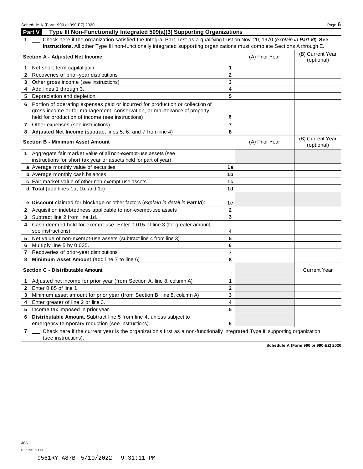**Part V Type III Non-Functionally Integrated 509(a)(3) Supporting Organizations**

**1** Check here if the organization satisfied the Integral Part Test as a qualifying trust on Nov. 20, 1970 (*explain in Part VI*). **See instructions.** All other Type III non-functionally integrated supporting organizations must complete Sections A through E.

|              | <b>Section A - Adjusted Net Income</b>                                                                                    |                         | (A) Prior Year | (B) Current Year<br>(optional) |
|--------------|---------------------------------------------------------------------------------------------------------------------------|-------------------------|----------------|--------------------------------|
|              | 1 Net short-term capital gain                                                                                             | 1                       |                |                                |
|              | 2 Recoveries of prior-year distributions                                                                                  | $\overline{\mathbf{2}}$ |                |                                |
|              | 3 Other gross income (see instructions)                                                                                   | 3                       |                |                                |
|              | 4 Add lines 1 through 3.                                                                                                  | 4                       |                |                                |
|              | 5 Depreciation and depletion                                                                                              | 5                       |                |                                |
|              | 6 Portion of operating expenses paid or incurred for production or collection of                                          |                         |                |                                |
|              | gross income or for management, conservation, or maintenance of property                                                  |                         |                |                                |
|              | held for production of income (see instructions)                                                                          | 6                       |                |                                |
| $\mathbf{7}$ | Other expenses (see instructions)                                                                                         | $\overline{7}$          |                |                                |
|              | 8 Adjusted Net Income (subtract lines 5, 6, and 7 from line 4)                                                            | 8                       |                |                                |
|              | <b>Section B - Minimum Asset Amount</b>                                                                                   |                         | (A) Prior Year | (B) Current Year<br>(optional) |
|              | 1 Aggregate fair market value of all non-exempt-use assets (see                                                           |                         |                |                                |
|              | instructions for short tax year or assets held for part of year):                                                         |                         |                |                                |
|              | a Average monthly value of securities                                                                                     | 1a                      |                |                                |
|              | <b>b</b> Average monthly cash balances                                                                                    | 1 <sub>b</sub>          |                |                                |
|              | c Fair market value of other non-exempt-use assets                                                                        | 1c                      |                |                                |
|              | d Total (add lines 1a, 1b, and 1c)                                                                                        | 1 <sub>d</sub>          |                |                                |
|              | e Discount claimed for blockage or other factors (explain in detail in Part VI):                                          | 1e                      |                |                                |
|              | 2 Acquisition indebtedness applicable to non-exempt-use assets                                                            | $\overline{2}$          |                |                                |
|              | 3 Subtract line 2 from line 1d.                                                                                           | $\overline{\mathbf{3}}$ |                |                                |
|              | 4 Cash deemed held for exempt use. Enter 0.015 of line 3 (for greater amount,<br>see instructions).                       | 4                       |                |                                |
| 5            | Net value of non-exempt-use assets (subtract line 4 from line 3)                                                          | 5                       |                |                                |
| 6            | Multiply line 5 by 0.035.                                                                                                 | 6                       |                |                                |
| $\mathbf{7}$ | Recoveries of prior-year distributions                                                                                    | $\overline{7}$          |                |                                |
| 8            | Minimum Asset Amount (add line 7 to line 6)                                                                               | 8                       |                |                                |
|              | <b>Section C - Distributable Amount</b>                                                                                   |                         |                | <b>Current Year</b>            |
| $\mathbf{1}$ | Adjusted net income for prior year (from Section A, line 8, column A)                                                     | 1                       |                |                                |
| $2^{\circ}$  | Enter 0.85 of line 1.                                                                                                     | $\mathbf 2$             |                |                                |
| 3            | Minimum asset amount for prior year (from Section B, line 8, column A)                                                    | 3                       |                |                                |
| 4            | Enter greater of line 2 or line 3.                                                                                        | 4                       |                |                                |
| 5            | Income tax imposed in prior year                                                                                          | 5                       |                |                                |
| 6            | Distributable Amount. Subtract line 5 from line 4, unless subject to<br>emergency temporary reduction (see instructions). | 6                       |                |                                |

**7** Check here if the current year is the organization's first as a non-functionally integrated Type III supporting organization (see instructions).

**Schedule A (Form 990 or 990-EZ) 2020**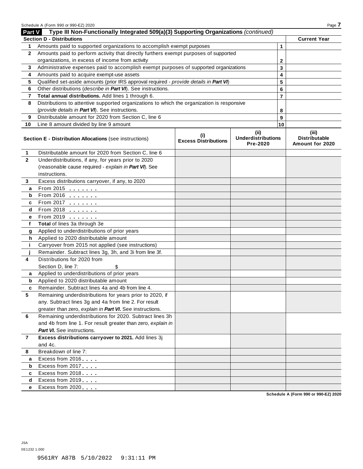|                | Schedule A (Form 990 or 990-EZ) 2020                                                       |                                    |                                       |                | Page 7                                  |
|----------------|--------------------------------------------------------------------------------------------|------------------------------------|---------------------------------------|----------------|-----------------------------------------|
| Part V         | Type III Non-Functionally Integrated 509(a)(3) Supporting Organizations (continued)        |                                    |                                       |                |                                         |
|                | <b>Section D - Distributions</b>                                                           |                                    |                                       |                | <b>Current Year</b>                     |
| 1              | Amounts paid to supported organizations to accomplish exempt purposes                      | 1                                  |                                       |                |                                         |
| $\mathbf{2}$   | Amounts paid to perform activity that directly furthers exempt purposes of supported       |                                    |                                       |                |                                         |
|                | organizations, in excess of income from activity                                           | $\mathbf{2}$                       |                                       |                |                                         |
| 3              | Administrative expenses paid to accomplish exempt purposes of supported organizations      | 3                                  |                                       |                |                                         |
| 4              | Amounts paid to acquire exempt-use assets                                                  |                                    |                                       | 4              |                                         |
| 5              | Qualified set-aside amounts (prior IRS approval required - provide details in Part VI)     |                                    |                                       | 5              |                                         |
| 6              | Other distributions (describe in Part VI). See instructions.                               |                                    |                                       | 6              |                                         |
| 7              | Total annual distributions. Add lines 1 through 6.                                         |                                    |                                       | $\overline{7}$ |                                         |
| 8              | Distributions to attentive supported organizations to which the organization is responsive |                                    |                                       |                |                                         |
|                | (provide details in Part VI). See instructions.                                            |                                    |                                       | 8              |                                         |
| 9              | Distributable amount for 2020 from Section C, line 6                                       |                                    |                                       | 9              |                                         |
| 10             | Line 8 amount divided by line 9 amount                                                     |                                    |                                       | 10             |                                         |
|                |                                                                                            |                                    | (iii)                                 |                | (iii)                                   |
|                | Section E - Distribution Allocations (see instructions)                                    | (i)<br><b>Excess Distributions</b> | <b>Underdistributions</b><br>Pre-2020 |                | <b>Distributable</b><br>Amount for 2020 |
| 1              | Distributable amount for 2020 from Section C, line 6                                       |                                    |                                       |                |                                         |
| $\mathbf{2}$   | Underdistributions, if any, for years prior to 2020                                        |                                    |                                       |                |                                         |
|                | (reasonable cause required - explain in Part VI). See                                      |                                    |                                       |                |                                         |
|                | instructions.                                                                              |                                    |                                       |                |                                         |
| 3              | Excess distributions carryover, if any, to 2020                                            |                                    |                                       |                |                                         |
| a              | From 2015 $\frac{1}{2}$                                                                    |                                    |                                       |                |                                         |
| b              | From 2016 <b>Figure 1.1</b>                                                                |                                    |                                       |                |                                         |
| c              | From 2017 <b>Figure 1.1 (19)</b>                                                           |                                    |                                       |                |                                         |
| d              | $From 2018$                                                                                |                                    |                                       |                |                                         |
| е              | From 2019                                                                                  |                                    |                                       |                |                                         |
| f              | Total of lines 3a through 3e                                                               |                                    |                                       |                |                                         |
| g              | Applied to underdistributions of prior years                                               |                                    |                                       |                |                                         |
| h              | Applied to 2020 distributable amount                                                       |                                    |                                       |                |                                         |
| j.             | Carryover from 2015 not applied (see instructions)                                         |                                    |                                       |                |                                         |
|                | Remainder. Subtract lines 3g, 3h, and 3i from line 3f.                                     |                                    |                                       |                |                                         |
| 4              | Distributions for 2020 from                                                                |                                    |                                       |                |                                         |
|                | Section D, line 7:<br>\$                                                                   |                                    |                                       |                |                                         |
| a              | Applied to underdistributions of prior years                                               |                                    |                                       |                |                                         |
| b              | Applied to 2020 distributable amount                                                       |                                    |                                       |                |                                         |
| c              | Remainder. Subtract lines 4a and 4b from line 4                                            |                                    |                                       |                |                                         |
| 5              | Remaining underdistributions for years prior to 2020, if                                   |                                    |                                       |                |                                         |
|                | any. Subtract lines 3g and 4a from line 2. For result                                      |                                    |                                       |                |                                         |
|                | greater than zero, explain in Part VI. See instructions.                                   |                                    |                                       |                |                                         |
| 6              | Remaining underdistributions for 2020. Subtract lines 3h                                   |                                    |                                       |                |                                         |
|                | and 4b from line 1. For result greater than zero, explain in                               |                                    |                                       |                |                                         |
|                | Part VI. See instructions.                                                                 |                                    |                                       |                |                                         |
| $\overline{7}$ | Excess distributions carryover to 2021. Add lines 3j                                       |                                    |                                       |                |                                         |
|                | and 4c.                                                                                    |                                    |                                       |                |                                         |
| 8              | Breakdown of line 7:                                                                       |                                    |                                       |                |                                         |
| a              | Excess from 2016                                                                           |                                    |                                       |                |                                         |
| b              | Excess from 2017                                                                           |                                    |                                       |                |                                         |
| c              | Excess from 2018                                                                           |                                    |                                       |                |                                         |
| d              | Excess from 2019                                                                           |                                    |                                       |                |                                         |
| e              | Excess from 2020                                                                           |                                    |                                       |                |                                         |

**Schedule A (Form 990 or 990-EZ) 2020**

JSA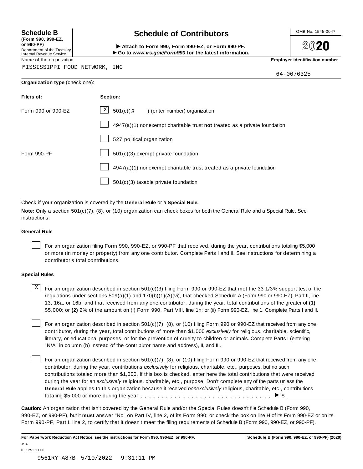**(Form 990, 990-EZ, or 990-PF)** Department of the Treasury<br>Internal Revenue Service

# **Schedule B chedule of Contributors**

(Form 990, 990-EZ,<br>
or 990-PF,<br>
Department of the Treasury **COLOCY**<br>
Internal Revenue Service **COLOCY**<br>
Name of the organization<br>
Name of the organization

**2020** 

MISSISSIPPI FOOD NETWORK, INC

64-0676325

|  | Organization type (check one): |
|--|--------------------------------|
|--|--------------------------------|

| Filers of:         | Section:                                                                  |
|--------------------|---------------------------------------------------------------------------|
| Form 990 or 990-EZ | $X$ 501(c)(3) (enter number) organization                                 |
|                    | 4947(a)(1) nonexempt charitable trust not treated as a private foundation |
|                    | 527 political organization                                                |
| Form 990-PF        | 501(c)(3) exempt private foundation                                       |
|                    | 4947(a)(1) nonexempt charitable trust treated as a private foundation     |
|                    | $501(c)(3)$ taxable private foundation                                    |

Check if your organization is covered by the **General Rule** or a **Special Rule.**

**Note:** Only a section 501(c)(7), (8), or (10) organization can check boxes for both the General Rule and a Special Rule. See instructions.

#### **General Rule**

For an organization filing Form 990, 990-EZ, or 990-PF that received, during the year, contributions totaling \$5,000 or more (in money or property) from any one contributor. Complete Parts I and II. See instructions for determining a contributor's total contributions.

#### **Special Rules**

 $\text{X}$  For an organization described in section 501(c)(3) filing Form 990 or 990-EZ that met the 33 1/3% support test of the regulations under sections 509(a)(1) and 170(b)(1)(A)(vi), that checked Schedule A (Form 990 or 990-EZ), Part II, line 13, 16a, or 16b, and that received from any one contributor, during the year, total contributions of the greater of **(1)** \$5,000; or **(2)** 2% of the amount on (i) Form 990, Part VIII, line 1h; or (ii) Form 990-EZ, line 1. Complete Parts I and II.

For an organization described in section 501(c)(7), (8), or (10) filing Form 990 or 990-EZ that received from any one contributor, during the year, total contributions of more than \$1,000 *exclusively* for religious, charitable, scientific, literary, or educational purposes, or for the prevention of cruelty to children or animals. Complete Parts I (entering "N/A" in column (b) instead of the contributor name and address), II, and III.

For an organization described in section 501(c)(7), (8), or (10) filing Form 990 or 990-EZ that received from any one contributor, during the year, contributions *exclusively* for religious, charitable, etc., purposes, but no such contributions totaled more than \$1,000. If this box is checked, enter here the total contributions that were received during the year for an *exclusively* religious, charitable, etc., purpose. Don't complete any of the parts unless the **General Rule** applies to this organization because it received *nonexclusively* religious, charitable, etc., contributions totaling \$5,000 or more during the year  $\ldots \ldots \ldots \ldots \ldots \ldots \ldots \ldots \ldots \vdots$ 

**Caution:** An organization that isn't covered by the General Rule and/or the Special Rules doesn't file Schedule B (Form 990, 990-EZ, or 990-PF), but it **must** answer "No" on Part IV, line 2, of its Form 990; or check the box on line H of its Form 990-EZ or on its Form 990-PF, Part I, line 2, to certify that it doesn't meet the filing requirements of Schedule B (Form 990, 990-EZ, or 990-PF).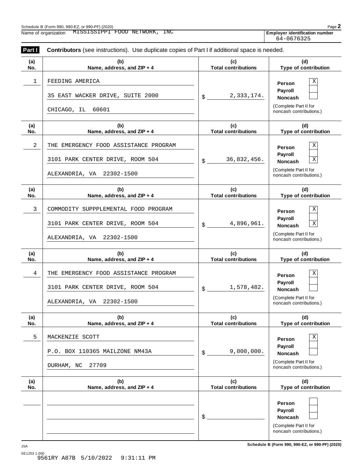Employer identification number<br>64-0676325

| Part I     | Contributors (see instructions). Use duplicate copies of Part I if additional space is needed. |                                   |                                                  |
|------------|------------------------------------------------------------------------------------------------|-----------------------------------|--------------------------------------------------|
| (a)<br>No. | (b)<br>Name, address, and ZIP + 4                                                              | (c)<br><b>Total contributions</b> | (d)<br>Type of contribution                      |
| 1          | FEEDING AMERICA                                                                                |                                   | Χ<br>Person<br>Payroll                           |
|            | 35 EAST WACKER DRIVE, SUITE 2000                                                               | 2,333,174.<br>\$                  | Noncash<br>(Complete Part II for                 |
|            | 60601<br>CHICAGO, IL                                                                           |                                   | noncash contributions.)                          |
| (a)<br>No. | (b)<br>Name, address, and ZIP + 4                                                              | (c)<br><b>Total contributions</b> | (d)<br>Type of contribution                      |
| 2          | THE EMERGENCY FOOD ASSISTANCE PROGRAM                                                          |                                   | Χ<br>Person<br>Payroll                           |
|            | 3101 PARK CENTER DRIVE, ROOM 504                                                               | 36,832,456.<br>\$                 | $\overline{\textbf{X}}$<br>Noncash               |
|            | ALEXANDRIA, VA 22302-1500                                                                      |                                   | (Complete Part II for<br>noncash contributions.) |
| (a)<br>No. | (b)<br>Name, address, and ZIP + 4                                                              | (c)<br><b>Total contributions</b> | (d)<br>Type of contribution                      |
| 3          | COMMODITY SUPPPLEMENTAL FOOD PROGRAM                                                           |                                   | Χ<br>Person                                      |
|            | 3101 PARK CENTER DRIVE, ROOM 504                                                               | 4,896,961.<br>\$                  | Payroll<br>$\overline{\textbf{X}}$<br>Noncash    |
|            | ALEXANDRIA, VA 22302-1500                                                                      |                                   | (Complete Part II for<br>noncash contributions.) |
| (a)<br>No. | (b)<br>Name, address, and ZIP + 4                                                              | (c)<br><b>Total contributions</b> | (d)<br>Type of contribution                      |
| 4          | THE EMERGENCY FOOD ASSISTANCE PROGRAM                                                          |                                   | Χ<br>Person                                      |
|            | 3101 PARK CENTER DRIVE, ROOM 504                                                               | 1,578,482.<br>\$                  | Payroll<br>Noncash                               |
|            | ALEXANDRIA, VA 22302-1500                                                                      |                                   | (Complete Part II for<br>noncash contributions.) |
| (a)<br>No. | (b)<br>Name, address, and ZIP + 4                                                              | (c)<br><b>Total contributions</b> | (d)<br>Type of contribution                      |
| 5          | MACKENZIE SCOTT                                                                                |                                   | Χ<br>Person                                      |
|            | P.O. BOX 110365 MAILZONE NM43A                                                                 | 9,000,000.<br>\$                  | Payroll<br>Noncash                               |
|            | 27709<br>DURHAM, NC                                                                            |                                   | (Complete Part II for<br>noncash contributions.) |
| (a)<br>No. | (b)<br>Name, address, and ZIP + 4                                                              | (c)<br><b>Total contributions</b> | (d)<br>Type of contribution                      |
|            |                                                                                                |                                   | Person                                           |
|            |                                                                                                | \$                                | Payroll<br>Noncash                               |
|            |                                                                                                |                                   | (Complete Part II for<br>noncash contributions.) |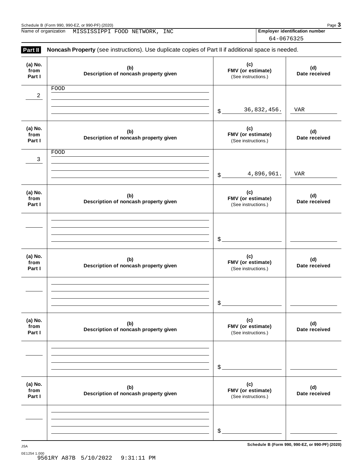| Schedule B (Form 990, 990-EZ, or 990-PF) (2020)   |  |     |                                       |  | Page 3     |  |
|---------------------------------------------------|--|-----|---------------------------------------|--|------------|--|
| Name of organization<br>MISSISSIPPI FOOD NETWORK, |  | INC | <b>Employer identification number</b> |  |            |  |
|                                                   |  |     |                                       |  | 64-0676325 |  |

| Part II                   | Noncash Property (see instructions). Use duplicate copies of Part II if additional space is needed. |                                                 |                      |
|---------------------------|-----------------------------------------------------------------------------------------------------|-------------------------------------------------|----------------------|
| (a) No.<br>from<br>Part I | (b)<br>Description of noncash property given                                                        | (c)<br>FMV (or estimate)<br>(See instructions.) | (d)<br>Date received |
| 2                         | FOOD                                                                                                |                                                 |                      |
|                           |                                                                                                     | 36,832,456.<br>$$^{\circ}$                      | VAR                  |
| (a) No.<br>from<br>Part I | (b)<br>Description of noncash property given                                                        | (c)<br>FMV (or estimate)<br>(See instructions.) | (d)<br>Date received |
| 3                         | FOOD                                                                                                |                                                 |                      |
|                           |                                                                                                     | 4,896,961.<br>$\mathsf{\$}$ .                   | VAR                  |
| (a) No.<br>from<br>Part I | (b)<br>Description of noncash property given                                                        | (c)<br>FMV (or estimate)<br>(See instructions.) | (d)<br>Date received |
|                           |                                                                                                     |                                                 |                      |
|                           |                                                                                                     | $\mathcal{L}$                                   |                      |
| (a) No.<br>from<br>Part I | (b)<br>Description of noncash property given                                                        | (c)<br>FMV (or estimate)<br>(See instructions.) | (d)<br>Date received |
|                           |                                                                                                     |                                                 |                      |
|                           |                                                                                                     | $\$\$                                           |                      |
| (a) No.<br>from<br>Part I | (b)<br>Description of noncash property given                                                        | (c)<br>FMV (or estimate)<br>(See instructions.) | (d)<br>Date received |
|                           |                                                                                                     |                                                 |                      |
|                           |                                                                                                     | \$                                              |                      |
| (a) No.<br>from<br>Part I | (b)<br>Description of noncash property given                                                        | (c)<br>FMV (or estimate)<br>(See instructions.) | (d)<br>Date received |
|                           |                                                                                                     |                                                 |                      |
|                           |                                                                                                     | $\$\$                                           |                      |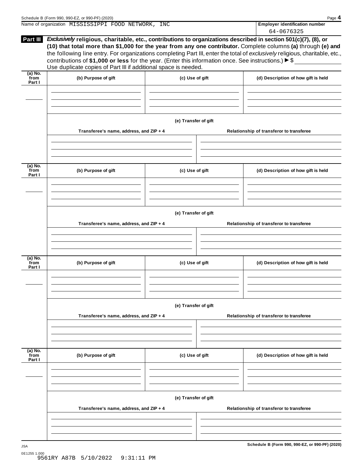|                             | Name of organization MISSISSIPPI FOOD NETWORK, INC                                                                                                                                                                                                                                                                                                                                                                                                                                                                                                                       |                      | <b>Employer identification number</b><br>64-0676325 |
|-----------------------------|--------------------------------------------------------------------------------------------------------------------------------------------------------------------------------------------------------------------------------------------------------------------------------------------------------------------------------------------------------------------------------------------------------------------------------------------------------------------------------------------------------------------------------------------------------------------------|----------------------|-----------------------------------------------------|
|                             | Part III Exclusively religious, charitable, etc., contributions to organizations described in section 501(c)(7), (8), or<br>(10) that total more than \$1,000 for the year from any one contributor. Complete columns (a) through (e) and<br>the following line entry. For organizations completing Part III, enter the total of exclusively religious, charitable, etc.,<br>contributions of \$1,000 or less for the year. (Enter this information once. See instructions.) $\blacktriangleright$ \$<br>Use duplicate copies of Part III if additional space is needed. |                      |                                                     |
| (a) No.<br>from<br>Part I   | (b) Purpose of gift                                                                                                                                                                                                                                                                                                                                                                                                                                                                                                                                                      | (c) Use of gift      | (d) Description of how gift is held                 |
|                             |                                                                                                                                                                                                                                                                                                                                                                                                                                                                                                                                                                          |                      |                                                     |
|                             | Transferee's name, address, and ZIP + 4                                                                                                                                                                                                                                                                                                                                                                                                                                                                                                                                  | (e) Transfer of gift | Relationship of transferor to transferee            |
| (a) No.<br>from<br>Part I   | (b) Purpose of gift                                                                                                                                                                                                                                                                                                                                                                                                                                                                                                                                                      | (c) Use of gift      | (d) Description of how gift is held                 |
|                             | Transferee's name, address, and ZIP + 4                                                                                                                                                                                                                                                                                                                                                                                                                                                                                                                                  | (e) Transfer of gift | Relationship of transferor to transferee            |
| (a) No.<br>from<br>Part I   | (b) Purpose of gift                                                                                                                                                                                                                                                                                                                                                                                                                                                                                                                                                      | (c) Use of gift      | (d) Description of how gift is held                 |
|                             |                                                                                                                                                                                                                                                                                                                                                                                                                                                                                                                                                                          | (e) Transfer of gift |                                                     |
|                             | Transferee's name, address, and ZIP + 4                                                                                                                                                                                                                                                                                                                                                                                                                                                                                                                                  |                      | Relationship of transferor to transferee            |
| $(a)$ No.<br>from<br>Part I | (b) Purpose of gift                                                                                                                                                                                                                                                                                                                                                                                                                                                                                                                                                      | (c) Use of gift      | (d) Description of how gift is held                 |
|                             | Transferee's name, address, and ZIP + 4                                                                                                                                                                                                                                                                                                                                                                                                                                                                                                                                  | (e) Transfer of gift | Relationship of transferor to transferee            |
|                             |                                                                                                                                                                                                                                                                                                                                                                                                                                                                                                                                                                          |                      |                                                     |
|                             |                                                                                                                                                                                                                                                                                                                                                                                                                                                                                                                                                                          |                      | Schedule B (Form 990, 990-EZ, or 990-PF) (2020)     |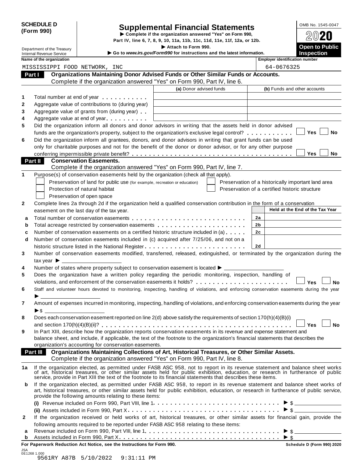| <b>SCHEDULE D</b> |  |
|-------------------|--|
| (Form 990)        |  |

# SCHEDULE D<br>
Supplemental Financial Statements<br>
Form 990)<br>
Part IV, line 6, 7, 8, 9, 10, 11a, 11b, 11c, 11d, 11e, 11f, 12a, or 12b.<br>
Part IV, line 6, 7, 8, 9, 10, 11a, 11b, 11c, 11d, 11e, 11f, 12a, or 12b.

|                                                             |                            |                                                                                                                                                                           | Part IV, line 6, 7, 8, 9, 10, 11a, 11b, 11c, 11d, 11e, 11f, 12a, or 12b.                      |                |                                                                                                                                                                                                                                                                        |
|-------------------------------------------------------------|----------------------------|---------------------------------------------------------------------------------------------------------------------------------------------------------------------------|-----------------------------------------------------------------------------------------------|----------------|------------------------------------------------------------------------------------------------------------------------------------------------------------------------------------------------------------------------------------------------------------------------|
| <b>Internal Revenue Service</b><br>Name of the organization | Department of the Treasury |                                                                                                                                                                           | Attach to Form 990.<br>Go to www.irs.gov/Form990 for instructions and the latest information. |                | <b>Open to Public</b><br><b>Inspection</b><br><b>Employer identification number</b>                                                                                                                                                                                    |
|                                                             |                            | MISSISSIPPI FOOD NETWORK, INC                                                                                                                                             |                                                                                               |                | 64-0676325                                                                                                                                                                                                                                                             |
| Part I                                                      |                            | Organizations Maintaining Donor Advised Funds or Other Similar Funds or Accounts.                                                                                         |                                                                                               |                |                                                                                                                                                                                                                                                                        |
|                                                             |                            | Complete if the organization answered "Yes" on Form 990, Part IV, line 6.                                                                                                 |                                                                                               |                |                                                                                                                                                                                                                                                                        |
|                                                             |                            |                                                                                                                                                                           | (a) Donor advised funds                                                                       |                | (b) Funds and other accounts                                                                                                                                                                                                                                           |
|                                                             |                            |                                                                                                                                                                           |                                                                                               |                |                                                                                                                                                                                                                                                                        |
| 1                                                           |                            | Total number at end of year example.                                                                                                                                      |                                                                                               |                |                                                                                                                                                                                                                                                                        |
| $\mathbf{2}$<br>3                                           |                            | Aggregate value of contributions to (during year)                                                                                                                         |                                                                                               |                |                                                                                                                                                                                                                                                                        |
| 4                                                           |                            | Aggregate value of grants from (during year)<br>Aggregate value at end of year                                                                                            |                                                                                               |                |                                                                                                                                                                                                                                                                        |
| 5                                                           |                            | Did the organization inform all donors and donor advisors in writing that the assets held in donor advised                                                                |                                                                                               |                |                                                                                                                                                                                                                                                                        |
|                                                             |                            | funds are the organization's property, subject to the organization's exclusive legal control?                                                                             |                                                                                               |                | Yes<br>No                                                                                                                                                                                                                                                              |
| 6                                                           |                            | Did the organization inform all grantees, donors, and donor advisors in writing that grant funds can be used                                                              |                                                                                               |                |                                                                                                                                                                                                                                                                        |
|                                                             |                            | only for charitable purposes and not for the benefit of the donor or donor advisor, or for any other purpose                                                              |                                                                                               |                |                                                                                                                                                                                                                                                                        |
|                                                             |                            |                                                                                                                                                                           |                                                                                               |                | Yes<br>No.                                                                                                                                                                                                                                                             |
| Part II                                                     |                            | <b>Conservation Easements.</b>                                                                                                                                            |                                                                                               |                |                                                                                                                                                                                                                                                                        |
|                                                             |                            | Complete if the organization answered "Yes" on Form 990, Part IV, line 7.                                                                                                 |                                                                                               |                |                                                                                                                                                                                                                                                                        |
| 1                                                           |                            | Purpose(s) of conservation easements held by the organization (check all that apply).                                                                                     |                                                                                               |                |                                                                                                                                                                                                                                                                        |
|                                                             |                            | Preservation of land for public use (for example, recreation or education)                                                                                                |                                                                                               |                | Preservation of a historically important land area                                                                                                                                                                                                                     |
|                                                             |                            | Protection of natural habitat                                                                                                                                             |                                                                                               |                | Preservation of a certified historic structure                                                                                                                                                                                                                         |
|                                                             |                            | Preservation of open space                                                                                                                                                |                                                                                               |                |                                                                                                                                                                                                                                                                        |
| $\mathbf{2}$                                                |                            | Complete lines 2a through 2d if the organization held a qualified conservation contribution in the form of a conservation                                                 |                                                                                               |                |                                                                                                                                                                                                                                                                        |
|                                                             |                            | easement on the last day of the tax year.                                                                                                                                 |                                                                                               |                | Held at the End of the Tax Year                                                                                                                                                                                                                                        |
| a                                                           |                            |                                                                                                                                                                           |                                                                                               | 2a             |                                                                                                                                                                                                                                                                        |
| b                                                           |                            | Total acreage restricted by conservation easements                                                                                                                        |                                                                                               | 2b             |                                                                                                                                                                                                                                                                        |
| c                                                           |                            | Number of conservation easements on a certified historic structure included in (a)                                                                                        |                                                                                               | 2 <sub>c</sub> |                                                                                                                                                                                                                                                                        |
| d                                                           |                            | Number of conservation easements included in (c) acquired after 7/25/06, and not on a                                                                                     |                                                                                               |                |                                                                                                                                                                                                                                                                        |
|                                                             |                            |                                                                                                                                                                           |                                                                                               | 2d             |                                                                                                                                                                                                                                                                        |
| 3                                                           |                            |                                                                                                                                                                           |                                                                                               |                | Number of conservation easements modified, transferred, released, extinguished, or terminated by the organization during the                                                                                                                                           |
|                                                             | tax year                   |                                                                                                                                                                           |                                                                                               |                |                                                                                                                                                                                                                                                                        |
| 4                                                           |                            | Number of states where property subject to conservation easement is located >                                                                                             |                                                                                               |                |                                                                                                                                                                                                                                                                        |
| 5                                                           |                            | Does the organization have a written policy regarding the periodic monitoring, inspection, handling of                                                                    |                                                                                               |                |                                                                                                                                                                                                                                                                        |
|                                                             |                            | violations, and enforcement of the conservation easements it holds?                                                                                                       |                                                                                               |                | Yes<br><b>No</b>                                                                                                                                                                                                                                                       |
| 6                                                           |                            |                                                                                                                                                                           |                                                                                               |                | Staff and volunteer hours devoted to monitoring, inspecting, handling of violations, and enforcing conservation easements during the year                                                                                                                              |
| $\overline{7}$                                              |                            |                                                                                                                                                                           |                                                                                               |                | Amount of expenses incurred in monitoring, inspecting, handling of violations, and enforcing conservation easements during the year                                                                                                                                    |
| 8                                                           |                            | Does each conservation easement reported on line 2(d) above satisfy the requirements of section 170(h)(4)(B)(i)                                                           |                                                                                               |                |                                                                                                                                                                                                                                                                        |
|                                                             |                            |                                                                                                                                                                           |                                                                                               |                | <b>No</b><br><b>Yes</b>                                                                                                                                                                                                                                                |
| 9                                                           |                            | In Part XIII, describe how the organization reports conservation easements in its revenue and expense statement and                                                       |                                                                                               |                |                                                                                                                                                                                                                                                                        |
|                                                             |                            | balance sheet, and include, if applicable, the text of the footnote to the organization's financial statements that describes the                                         |                                                                                               |                |                                                                                                                                                                                                                                                                        |
|                                                             |                            | organization's accounting for conservation easements.                                                                                                                     |                                                                                               |                |                                                                                                                                                                                                                                                                        |
| Part III                                                    |                            | Organizations Maintaining Collections of Art, Historical Treasures, or Other Similar Assets.<br>Complete if the organization answered "Yes" on Form 990, Part IV, line 8. |                                                                                               |                |                                                                                                                                                                                                                                                                        |
| 1а                                                          |                            | service, provide in Part XIII the text of the footnote to its financial statements that describes these items.                                                            |                                                                                               |                | If the organization elected, as permitted under FASB ASC 958, not to report in its revenue statement and balance sheet works<br>of art, historical treasures, or other similar assets held for public exhibition, education, or r                                      |
| b                                                           |                            | provide the following amounts relating to these items:                                                                                                                    |                                                                                               |                | If the organization elected, as permitted under FASB ASC 958, to report in its revenue statement and balance sheet works of<br>art, historical treasures, or other similar assets held for public exhibition, education, or research in furtherance of public service, |
|                                                             |                            |                                                                                                                                                                           |                                                                                               |                |                                                                                                                                                                                                                                                                        |
|                                                             |                            |                                                                                                                                                                           |                                                                                               |                |                                                                                                                                                                                                                                                                        |
| $\mathbf{2}$                                                |                            |                                                                                                                                                                           |                                                                                               |                | If the organization received or held works of art, historical treasures, or other similar assets for financial gain, provide the                                                                                                                                       |
|                                                             |                            | following amounts required to be reported under FASB ASC 958 relating to these items:                                                                                     |                                                                                               |                |                                                                                                                                                                                                                                                                        |
| а                                                           |                            |                                                                                                                                                                           |                                                                                               |                |                                                                                                                                                                                                                                                                        |
| b                                                           |                            |                                                                                                                                                                           |                                                                                               |                |                                                                                                                                                                                                                                                                        |

**For Paperwork Reduction Act Notice, see the Instructions for Form 990. Schedule D (Form 990) 2020**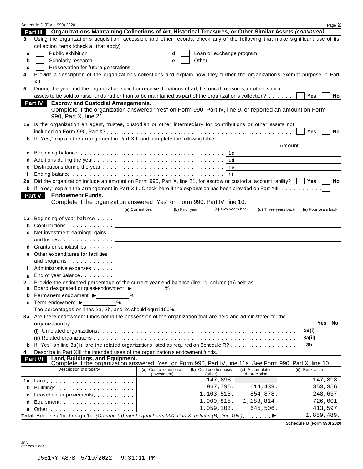|    | Schedule D (Form 990) 2020                                                                                                                                                  |                  |                         |                          |                        |                     |            | Page 2    |
|----|-----------------------------------------------------------------------------------------------------------------------------------------------------------------------------|------------------|-------------------------|--------------------------|------------------------|---------------------|------------|-----------|
|    | Part III Organizations Maintaining Collections of Art, Historical Treasures, or Other Similar Assets (continued)                                                            |                  |                         |                          |                        |                     |            |           |
| 3  | Using the organization's acquisition, accession, and other records, check any of the following that make significant use of its<br>collection items (check all that apply): |                  |                         |                          |                        |                     |            |           |
| a  | Public exhibition                                                                                                                                                           |                  | d                       | Loan or exchange program |                        |                     |            |           |
| b  | Scholarly research                                                                                                                                                          |                  | e                       |                          | Other <u>contracts</u> |                     |            |           |
| c  | Preservation for future generations                                                                                                                                         |                  |                         |                          |                        |                     |            |           |
| 4  | Provide a description of the organization's collections and explain how they further the organization's exempt purpose in Part                                              |                  |                         |                          |                        |                     |            |           |
|    | XIII.                                                                                                                                                                       |                  |                         |                          |                        |                     |            |           |
| 5  | During the year, did the organization solicit or receive donations of art, historical treasures, or other similar                                                           |                  |                         |                          |                        |                     |            |           |
|    | assets to be sold to raise funds rather than to be maintained as part of the organization's collection?                                                                     |                  |                         |                          |                        | Yes                 |            | No        |
|    | <b>Escrow and Custodial Arrangements.</b><br><b>Part IV</b>                                                                                                                 |                  |                         |                          |                        |                     |            |           |
|    | Complete if the organization answered "Yes" on Form 990, Part IV, line 9, or reported an amount on Form                                                                     |                  |                         |                          |                        |                     |            |           |
|    | 990, Part X, line 21.                                                                                                                                                       |                  |                         |                          |                        |                     |            |           |
|    | 1a Is the organization an agent, trustee, custodian or other intermediary for contributions or other assets not                                                             |                  |                         |                          |                        |                     |            |           |
|    |                                                                                                                                                                             |                  |                         |                          |                        | Yes                 |            | No        |
| b  | If "Yes," explain the arrangement in Part XIII and complete the following table:                                                                                            |                  |                         |                          |                        |                     |            |           |
|    |                                                                                                                                                                             |                  |                         |                          | Amount                 |                     |            |           |
| c  |                                                                                                                                                                             |                  |                         |                          |                        |                     |            |           |
|    |                                                                                                                                                                             |                  |                         | 1d                       |                        |                     |            |           |
| e  |                                                                                                                                                                             |                  |                         | 1е                       |                        |                     |            |           |
|    |                                                                                                                                                                             |                  |                         | 1f                       |                        |                     |            |           |
| 2a | Did the organization include an amount on Form 990, Part X, line 21, for escrow or custodial account liability?                                                             |                  |                         |                          |                        | <b>Yes</b>          |            | <b>No</b> |
|    | b If "Yes," explain the arrangement in Part XIII. Check here if the explanation has been provided on Part XIII                                                              |                  |                         |                          |                        |                     |            |           |
|    | <b>Endowment Funds.</b><br>Part V                                                                                                                                           |                  |                         |                          |                        |                     |            |           |
|    | Complete if the organization answered "Yes" on Form 990, Part IV, line 10.                                                                                                  |                  |                         |                          |                        |                     |            |           |
|    |                                                                                                                                                                             | (a) Current year | (b) Prior year          | (c) Two years back       | (d) Three years back   | (e) Four years back |            |           |
| 1a | Beginning of year balance $\qquad \qquad \downarrow$                                                                                                                        |                  |                         |                          |                        |                     |            |           |
| b  | Contributions <b>Contributions</b>                                                                                                                                          |                  |                         |                          |                        |                     |            |           |
| c  | Net investment earnings, gains,                                                                                                                                             |                  |                         |                          |                        |                     |            |           |
|    | and losses $\ldots$                                                                                                                                                         |                  |                         |                          |                        |                     |            |           |
| d  | Grants or scholarships                                                                                                                                                      |                  |                         |                          |                        |                     |            |           |
|    | e Other expenditures for facilities                                                                                                                                         |                  |                         |                          |                        |                     |            |           |
|    | and programs $\ldots \ldots \ldots$                                                                                                                                         |                  |                         |                          |                        |                     |            |           |
| f  | Administrative expenses L                                                                                                                                                   |                  |                         |                          |                        |                     |            |           |
| g  | End of year balance <b>End of year</b>                                                                                                                                      |                  |                         |                          |                        |                     |            |           |
| 2  | Provide the estimated percentage of the current year end balance (line 1g, column (a)) held as:                                                                             |                  |                         |                          |                        |                     |            |           |
| а  | Board designated or quasi-endowment >                                                                                                                                       |                  | $\frac{0}{0}$           |                          |                        |                     |            |           |
| b  | Permanent endowment ▶                                                                                                                                                       | %                |                         |                          |                        |                     |            |           |
| c  | Term endowment ▶                                                                                                                                                            | %                |                         |                          |                        |                     |            |           |
|    | The percentages on lines 2a, 2b, and 2c should equal 100%.                                                                                                                  |                  |                         |                          |                        |                     |            |           |
|    | 3a Are there endowment funds not in the possession of the organization that are held and administered for the                                                               |                  |                         |                          |                        |                     |            |           |
|    | organization by:                                                                                                                                                            |                  |                         |                          |                        |                     | <b>Yes</b> | No        |
|    |                                                                                                                                                                             |                  |                         |                          |                        | 3a(i)               |            |           |
|    |                                                                                                                                                                             |                  |                         |                          |                        | 3a(ii)              |            |           |
|    | If "Yes" on line 3a(ii), are the related organizations listed as required on Schedule R?                                                                                    |                  |                         |                          |                        | 3b                  |            |           |
| 4  | Describe in Part XIII the intended uses of the organization's endowment funds.                                                                                              |                  |                         |                          |                        |                     |            |           |
|    | Land, Buildings, and Equipment.<br><b>Part VI</b><br>Complete if the organization answered "Yes" on Form 990, Part IV, line 11a. See Form 990, Part X, line 10.             |                  |                         |                          |                        |                     |            |           |
|    | Description of property                                                                                                                                                     |                  | (a) Cost or other basis | (b) Cost or other basis  | (c) Accumulated        | (d) Book value      |            |           |
|    |                                                                                                                                                                             |                  | (investment)            | (other)                  | depreciation           |                     |            |           |
| 1a | $Land.$                                                                                                                                                                     |                  |                         | 147,898.                 |                        |                     | 147,898.   |           |
| b  | Buildings                                                                                                                                                                   |                  |                         | 967,795.                 | 614,439                |                     | 353, 356.  |           |
| c  | Leasehold improvements entitled and the set of the set of the set of the set of the set of the set of the set o                                                             |                  |                         | 1,103,515.               | 854,878                |                     | 248,637.   |           |
| d  |                                                                                                                                                                             |                  |                         | 1,909,815.               | 1,183,814.             |                     | 726,001.   |           |
| е  |                                                                                                                                                                             |                  |                         | 1,059,103.               | 645,506                |                     | 413,597.   |           |
|    | Total. Add lines 1a through 1e. (Column (d) must equal Form 990, Part X, column (B), line 10c.).                                                                            |                  |                         |                          | ▶                      |                     | 1,889,489. |           |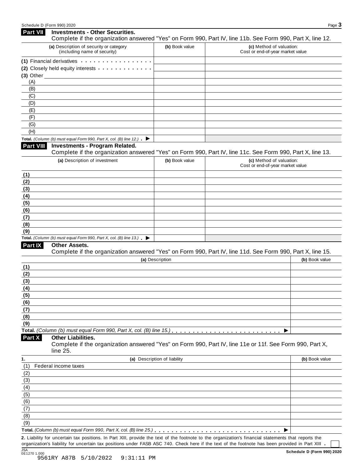| Part VII         | <b>Investments - Other Securities.</b><br>Complete if the organization answered "Yes" on Form 990, Part IV, line 11b. See Form 990, Part X, line 12.                                                                          |                              |                                                              |                |
|------------------|-------------------------------------------------------------------------------------------------------------------------------------------------------------------------------------------------------------------------------|------------------------------|--------------------------------------------------------------|----------------|
|                  | (a) Description of security or category<br>(including name of security)                                                                                                                                                       | (b) Book value               | (c) Method of valuation:<br>Cost or end-of-year market value |                |
|                  |                                                                                                                                                                                                                               |                              |                                                              |                |
|                  | (1) Financial derivatives experiences and the set of the set of the set of the set of the set of the set of the set of the set of the set of the set of the set of the set of the set of the set of the set of the set of the |                              |                                                              |                |
|                  | (2) Closely held equity interests                                                                                                                                                                                             |                              |                                                              |                |
| (A)              | $(3)$ Other                                                                                                                                                                                                                   |                              |                                                              |                |
| (B)              |                                                                                                                                                                                                                               |                              |                                                              |                |
| (C)              |                                                                                                                                                                                                                               |                              |                                                              |                |
| (D)              |                                                                                                                                                                                                                               |                              |                                                              |                |
| (E)              |                                                                                                                                                                                                                               |                              |                                                              |                |
| (F)              |                                                                                                                                                                                                                               |                              |                                                              |                |
| (G)              |                                                                                                                                                                                                                               |                              |                                                              |                |
| (H)              |                                                                                                                                                                                                                               |                              |                                                              |                |
|                  | Total. (Column (b) must equal Form 990, Part X, col. (B) line 12.) $\blacktriangleright$                                                                                                                                      |                              |                                                              |                |
| <b>Part VIII</b> | <b>Investments - Program Related.</b>                                                                                                                                                                                         |                              |                                                              |                |
|                  | Complete if the organization answered "Yes" on Form 990, Part IV, line 11c. See Form 990, Part X, line 13.                                                                                                                    |                              |                                                              |                |
|                  | (a) Description of investment                                                                                                                                                                                                 | (b) Book value               | (c) Method of valuation:                                     |                |
|                  |                                                                                                                                                                                                                               |                              | Cost or end-of-year market value                             |                |
| (1)              |                                                                                                                                                                                                                               |                              |                                                              |                |
| (2)              |                                                                                                                                                                                                                               |                              |                                                              |                |
| (3)              |                                                                                                                                                                                                                               |                              |                                                              |                |
| (4)              |                                                                                                                                                                                                                               |                              |                                                              |                |
| (5)<br>(6)       |                                                                                                                                                                                                                               |                              |                                                              |                |
| (7)              |                                                                                                                                                                                                                               |                              |                                                              |                |
| (8)              |                                                                                                                                                                                                                               |                              |                                                              |                |
| (9)              |                                                                                                                                                                                                                               |                              |                                                              |                |
|                  | Total. (Column (b) must equal Form 990, Part X, col. (B) line 13.) $\blacktriangleright$                                                                                                                                      |                              |                                                              |                |
| Part IX          | Other Assets.                                                                                                                                                                                                                 |                              |                                                              |                |
|                  | Complete if the organization answered "Yes" on Form 990, Part IV, line 11d. See Form 990, Part X, line 15.                                                                                                                    |                              |                                                              |                |
|                  |                                                                                                                                                                                                                               | (a) Description              |                                                              | (b) Book value |
| (1)              |                                                                                                                                                                                                                               |                              |                                                              |                |
| (2)              |                                                                                                                                                                                                                               |                              |                                                              |                |
| (3)              |                                                                                                                                                                                                                               |                              |                                                              |                |
| (4)              |                                                                                                                                                                                                                               |                              |                                                              |                |
| (5)              |                                                                                                                                                                                                                               |                              |                                                              |                |
| (6)              |                                                                                                                                                                                                                               |                              |                                                              |                |
| (7)              |                                                                                                                                                                                                                               |                              |                                                              |                |
| (8)              |                                                                                                                                                                                                                               |                              |                                                              |                |
| (9)              |                                                                                                                                                                                                                               |                              |                                                              |                |
|                  |                                                                                                                                                                                                                               |                              |                                                              |                |
| Part X           | <b>Other Liabilities.</b>                                                                                                                                                                                                     |                              |                                                              |                |
|                  | Complete if the organization answered "Yes" on Form 990, Part IV, line 11e or 11f. See Form 990, Part X,                                                                                                                      |                              |                                                              |                |
|                  | line 25.                                                                                                                                                                                                                      |                              |                                                              |                |
| 1.               |                                                                                                                                                                                                                               | (a) Description of liability |                                                              | (b) Book value |
| (1)              | Federal income taxes                                                                                                                                                                                                          |                              |                                                              |                |
| (2)              |                                                                                                                                                                                                                               |                              |                                                              |                |
| (3)              |                                                                                                                                                                                                                               |                              |                                                              |                |
| (4)              |                                                                                                                                                                                                                               |                              |                                                              |                |
| (5)              |                                                                                                                                                                                                                               |                              |                                                              |                |
| (6)              |                                                                                                                                                                                                                               |                              |                                                              |                |
| (7)              |                                                                                                                                                                                                                               |                              |                                                              |                |
| (8)              |                                                                                                                                                                                                                               |                              |                                                              |                |
| (9)              |                                                                                                                                                                                                                               |                              |                                                              |                |
|                  |                                                                                                                                                                                                                               |                              |                                                              |                |
|                  | 2. Liability for uncertain tax positions. In Part XIII, provide the text of the footnote to the organization's financial statements that reports the                                                                          |                              |                                                              |                |

organization's liability for uncertain tax positions under FASB ASC 740. Check here if the text of the footnote has been provided in Part XIII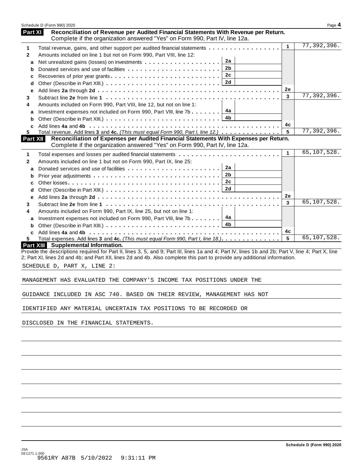|                   | Schedule D (Form 990) 2020                                                                                                                                                                |              | Page 4      |
|-------------------|-------------------------------------------------------------------------------------------------------------------------------------------------------------------------------------------|--------------|-------------|
| <b>Part XI</b>    | Reconciliation of Revenue per Audited Financial Statements With Revenue per Return.<br>Complete if the organization answered "Yes" on Form 990, Part IV, line 12a.                        |              |             |
| 1                 | Total revenue, gains, and other support per audited financial statements                                                                                                                  | $\mathbf{1}$ | 77,392,396. |
| $\mathbf{2}$      | Amounts included on line 1 but not on Form 990, Part VIII, line 12:                                                                                                                       |              |             |
| a                 | 2a                                                                                                                                                                                        |              |             |
| b                 | 2b                                                                                                                                                                                        |              |             |
| с                 | 2c<br>Recoveries of prior year grants                                                                                                                                                     |              |             |
| d                 | 2d                                                                                                                                                                                        |              |             |
| е                 |                                                                                                                                                                                           | 2e<br>3      | 77,392,396. |
| 3                 |                                                                                                                                                                                           |              |             |
| 4                 | Amounts included on Form 990, Part VIII, line 12, but not on line 1:<br>4a                                                                                                                |              |             |
| a                 | Investment expenses not included on Form 990, Part VIII, line 7b<br>4b.                                                                                                                   |              |             |
| b<br>c            |                                                                                                                                                                                           | 4c           |             |
| 5.                | Total revenue. Add lines 3 and 4c. (This must equal Form 990, Part I, line 12.)                                                                                                           | 5            | 77,392,396. |
| <b>Part XII</b>   | Reconciliation of Expenses per Audited Financial Statements With Expenses per Return.<br>Complete if the organization answered "Yes" on Form 990, Part IV, line 12a.                      |              |             |
|                   |                                                                                                                                                                                           | $\mathbf{1}$ | 65,107,528. |
| 1<br>$\mathbf{2}$ | Amounts included on line 1 but not on Form 990, Part IX, line 25:                                                                                                                         |              |             |
|                   | 2a                                                                                                                                                                                        |              |             |
| a<br>b            | 2b                                                                                                                                                                                        |              |             |
| c                 | 2c                                                                                                                                                                                        |              |             |
| d                 | 2d                                                                                                                                                                                        |              |             |
| е                 |                                                                                                                                                                                           | 2e           |             |
| 3                 |                                                                                                                                                                                           | 3            | 65,107,528. |
| 4                 | Amounts included on Form 990, Part IX, line 25, but not on line 1:                                                                                                                        |              |             |
| a                 | 4a<br>Investment expenses not included on Form 990, Part VIII, line 7b                                                                                                                    |              |             |
| b                 | 4b                                                                                                                                                                                        |              |             |
| c                 |                                                                                                                                                                                           | 4c           |             |
| 5.                | Total expenses. Add lines 3 and 4c. (This must equal Form 990, Part I, line 18.)                                                                                                          | 5            | 65,107,528. |
|                   | Part XIII Supplemental Information.<br>Provide the descriptions required for Part II, lines 3, 5, and 9; Part III, lines 1a and 4; Part IV, lines 1b and 2b; Part V, line 4; Part X, line |              |             |
|                   | 2; Part XI, lines 2d and 4b; and Part XII, lines 2d and 4b. Also complete this part to provide any additional information.                                                                |              |             |
|                   | SCHEDULE D, PART X, LINE 2:                                                                                                                                                               |              |             |
|                   | MANAGEMENT HAS EVALUATED THE COMPANY'S INCOME TAX POSITIONS UNDER THE                                                                                                                     |              |             |
|                   | GUIDANCE INCLUDED IN ASC 740. BASED ON THEIR REVIEW, MANAGEMENT HAS NOT                                                                                                                   |              |             |
|                   |                                                                                                                                                                                           |              |             |
|                   | IDENTIFIED ANY MATERIAL UNCERTAIN TAX POSITIONS TO BE RECORDED OR                                                                                                                         |              |             |
|                   | DISCLOSED IN THE FINANCIAL STATEMENTS.                                                                                                                                                    |              |             |
|                   |                                                                                                                                                                                           |              |             |
|                   |                                                                                                                                                                                           |              |             |
|                   |                                                                                                                                                                                           |              |             |
|                   |                                                                                                                                                                                           |              |             |
|                   |                                                                                                                                                                                           |              |             |
|                   |                                                                                                                                                                                           |              |             |
|                   |                                                                                                                                                                                           |              |             |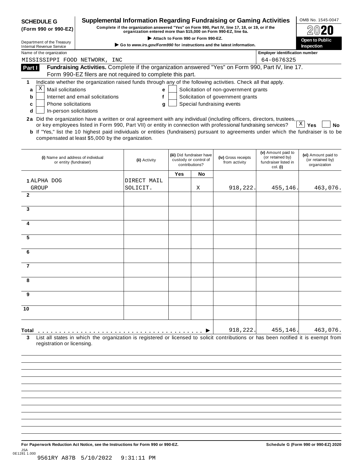| (Form 990 or 990-EZ)<br><b>Internal Revenue Service</b><br>MISSISSIPPI FOOD NETWORK, INC<br>Part I                                                                                                                                                                     |                                                   | organization entered more than \$15,000 on Form 990-EZ, line 6a.                                                                    |                                                                                                                                            |                                                                      |                                       |                                                                            |                                                         |  |  |  |  |  |  |  |  |
|------------------------------------------------------------------------------------------------------------------------------------------------------------------------------------------------------------------------------------------------------------------------|---------------------------------------------------|-------------------------------------------------------------------------------------------------------------------------------------|--------------------------------------------------------------------------------------------------------------------------------------------|----------------------------------------------------------------------|---------------------------------------|----------------------------------------------------------------------------|---------------------------------------------------------|--|--|--|--|--|--|--|--|
|                                                                                                                                                                                                                                                                        |                                                   |                                                                                                                                     | Attach to Form 990 or Form 990-EZ.<br>Department of the Treasury<br>Go to www.irs.gov/Form990 for instructions and the latest information. |                                                                      |                                       |                                                                            |                                                         |  |  |  |  |  |  |  |  |
|                                                                                                                                                                                                                                                                        |                                                   | Name of the organization                                                                                                            |                                                                                                                                            |                                                                      |                                       |                                                                            |                                                         |  |  |  |  |  |  |  |  |
|                                                                                                                                                                                                                                                                        |                                                   |                                                                                                                                     |                                                                                                                                            |                                                                      |                                       | <b>Employer identification number</b>                                      |                                                         |  |  |  |  |  |  |  |  |
|                                                                                                                                                                                                                                                                        |                                                   |                                                                                                                                     |                                                                                                                                            |                                                                      |                                       | 64-0676325                                                                 |                                                         |  |  |  |  |  |  |  |  |
|                                                                                                                                                                                                                                                                        |                                                   | Fundraising Activities. Complete if the organization answered "Yes" on Form 990, Part IV, line 17.                                  |                                                                                                                                            |                                                                      |                                       |                                                                            |                                                         |  |  |  |  |  |  |  |  |
|                                                                                                                                                                                                                                                                        |                                                   | Form 990-EZ filers are not required to complete this part.                                                                          |                                                                                                                                            |                                                                      |                                       |                                                                            |                                                         |  |  |  |  |  |  |  |  |
| 1                                                                                                                                                                                                                                                                      |                                                   | Indicate whether the organization raised funds through any of the following activities. Check all that apply.                       |                                                                                                                                            |                                                                      |                                       |                                                                            |                                                         |  |  |  |  |  |  |  |  |
| X<br>Mail solicitations<br>a                                                                                                                                                                                                                                           |                                                   | е                                                                                                                                   |                                                                                                                                            |                                                                      | Solicitation of non-government grants |                                                                            |                                                         |  |  |  |  |  |  |  |  |
| b                                                                                                                                                                                                                                                                      | Internet and email solicitations                  | f                                                                                                                                   |                                                                                                                                            |                                                                      | Solicitation of government grants     |                                                                            |                                                         |  |  |  |  |  |  |  |  |
| Phone solicitations<br>c<br>In-person solicitations<br>d                                                                                                                                                                                                               |                                                   | g                                                                                                                                   |                                                                                                                                            |                                                                      | Special fundraising events            |                                                                            |                                                         |  |  |  |  |  |  |  |  |
| 2a Did the organization have a written or oral agreement with any individual (including officers, directors, trustees,<br><b>b</b> If "Yes," list the 10 highest paid individuals or entities (fundraisers) pursuant to agreements under which the fundraiser is to be | compensated at least \$5,000 by the organization. | or key employees listed in Form 990, Part VII) or entity in connection with professional fundraising services?                      |                                                                                                                                            |                                                                      |                                       |                                                                            | $\mathbf{X}$<br>Yes<br>No                               |  |  |  |  |  |  |  |  |
| (i) Name and address of individual<br>or entity (fundraiser)                                                                                                                                                                                                           |                                                   | (ii) Activity                                                                                                                       |                                                                                                                                            | (iii) Did fundraiser have<br>custody or control of<br>contributions? | (iv) Gross receipts<br>from activity  | (v) Amount paid to<br>(or retained by)<br>fundraiser listed in<br>col. (i) | (vi) Amount paid to<br>(or retained by)<br>organization |  |  |  |  |  |  |  |  |
|                                                                                                                                                                                                                                                                        |                                                   |                                                                                                                                     | Yes                                                                                                                                        | No                                                                   |                                       |                                                                            |                                                         |  |  |  |  |  |  |  |  |
| 1 ALPHA DOG                                                                                                                                                                                                                                                            |                                                   | DIRECT MAIL                                                                                                                         |                                                                                                                                            |                                                                      |                                       |                                                                            |                                                         |  |  |  |  |  |  |  |  |
| <b>GROUP</b>                                                                                                                                                                                                                                                           |                                                   | SOLICIT.                                                                                                                            |                                                                                                                                            | х                                                                    | 918,222                               | 455,146                                                                    | 463,076.                                                |  |  |  |  |  |  |  |  |
| $\mathbf{2}$                                                                                                                                                                                                                                                           |                                                   |                                                                                                                                     |                                                                                                                                            |                                                                      |                                       |                                                                            |                                                         |  |  |  |  |  |  |  |  |
| 3                                                                                                                                                                                                                                                                      |                                                   |                                                                                                                                     |                                                                                                                                            |                                                                      |                                       |                                                                            |                                                         |  |  |  |  |  |  |  |  |
|                                                                                                                                                                                                                                                                        |                                                   |                                                                                                                                     |                                                                                                                                            |                                                                      |                                       |                                                                            |                                                         |  |  |  |  |  |  |  |  |
| 4                                                                                                                                                                                                                                                                      |                                                   |                                                                                                                                     |                                                                                                                                            |                                                                      |                                       |                                                                            |                                                         |  |  |  |  |  |  |  |  |
| 5                                                                                                                                                                                                                                                                      |                                                   |                                                                                                                                     |                                                                                                                                            |                                                                      |                                       |                                                                            |                                                         |  |  |  |  |  |  |  |  |
| 6                                                                                                                                                                                                                                                                      |                                                   |                                                                                                                                     |                                                                                                                                            |                                                                      |                                       |                                                                            |                                                         |  |  |  |  |  |  |  |  |
| $\overline{7}$                                                                                                                                                                                                                                                         |                                                   |                                                                                                                                     |                                                                                                                                            |                                                                      |                                       |                                                                            |                                                         |  |  |  |  |  |  |  |  |
|                                                                                                                                                                                                                                                                        |                                                   |                                                                                                                                     |                                                                                                                                            |                                                                      |                                       |                                                                            |                                                         |  |  |  |  |  |  |  |  |
| 9                                                                                                                                                                                                                                                                      |                                                   |                                                                                                                                     |                                                                                                                                            |                                                                      |                                       |                                                                            |                                                         |  |  |  |  |  |  |  |  |
| 10                                                                                                                                                                                                                                                                     |                                                   |                                                                                                                                     |                                                                                                                                            |                                                                      |                                       |                                                                            |                                                         |  |  |  |  |  |  |  |  |
| Total                                                                                                                                                                                                                                                                  |                                                   |                                                                                                                                     |                                                                                                                                            |                                                                      | 918,222.                              | 455,146.                                                                   | 463,076.                                                |  |  |  |  |  |  |  |  |
| 3<br>registration or licensing.                                                                                                                                                                                                                                        |                                                   | List all states in which the organization is registered or licensed to solicit contributions or has been notified it is exempt from |                                                                                                                                            |                                                                      |                                       |                                                                            |                                                         |  |  |  |  |  |  |  |  |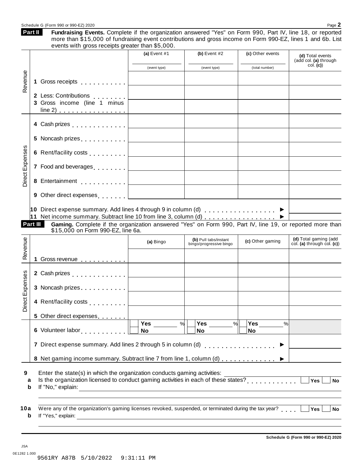|                                                                                               |                                                                                                                                                                                                                                                                                                                                                                                                        | (a) Event $#1$                                                                                                      | (b) Event $#2$                                   | (c) Other events           | (d) Total events<br>(add col. (a) through           |
|-----------------------------------------------------------------------------------------------|--------------------------------------------------------------------------------------------------------------------------------------------------------------------------------------------------------------------------------------------------------------------------------------------------------------------------------------------------------------------------------------------------------|---------------------------------------------------------------------------------------------------------------------|--------------------------------------------------|----------------------------|-----------------------------------------------------|
| Revenue                                                                                       |                                                                                                                                                                                                                                                                                                                                                                                                        | (event type)                                                                                                        | (event type)                                     | (total number)             | col. (c)                                            |
|                                                                                               | Gross receipts<br>1                                                                                                                                                                                                                                                                                                                                                                                    | <u> 1980 - Johann Barn, mars ann an t-</u>                                                                          |                                                  |                            |                                                     |
|                                                                                               | 2 Less: Contributions [1994]<br>3 Gross income (line 1 minus<br>$line 2)$                                                                                                                                                                                                                                                                                                                              | <u> 1989 - Johann Barbara, martxa a</u>                                                                             |                                                  |                            |                                                     |
|                                                                                               |                                                                                                                                                                                                                                                                                                                                                                                                        |                                                                                                                     |                                                  |                            |                                                     |
|                                                                                               |                                                                                                                                                                                                                                                                                                                                                                                                        |                                                                                                                     |                                                  |                            |                                                     |
|                                                                                               |                                                                                                                                                                                                                                                                                                                                                                                                        |                                                                                                                     |                                                  |                            |                                                     |
| Direct Expenses                                                                               |                                                                                                                                                                                                                                                                                                                                                                                                        |                                                                                                                     |                                                  |                            |                                                     |
|                                                                                               |                                                                                                                                                                                                                                                                                                                                                                                                        |                                                                                                                     |                                                  |                            |                                                     |
|                                                                                               | 9 Other direct expenses [1,1,1,1,1]                                                                                                                                                                                                                                                                                                                                                                    | <u> 1990 - John Harry Harry Harry Harry Harry Harry Harry Harry Harry Harry Harry Harry Harry Harry Harry Harry</u> |                                                  |                            |                                                     |
| 10 Direct expense summary. Add lines 4 through 9 in column (d) $\ldots$ $\blacktriangleright$ | 11 Net income summary. Subtract line 10 from line 3, column (d)<br>Gaming. Complete if the organization answered "Yes" on Form 990, Part IV, line 19, or reported more than<br>\$15,000 on Form 990-EZ, line 6a.                                                                                                                                                                                       |                                                                                                                     |                                                  |                            |                                                     |
|                                                                                               |                                                                                                                                                                                                                                                                                                                                                                                                        | (a) Bingo                                                                                                           | (b) Pull tabs/instant<br>bingo/progressive bingo | (c) Other gaming           | (d) Total gaming (add<br>col. (a) through col. (c)) |
|                                                                                               |                                                                                                                                                                                                                                                                                                                                                                                                        |                                                                                                                     |                                                  |                            |                                                     |
|                                                                                               | 1 Gross revenue                                                                                                                                                                                                                                                                                                                                                                                        |                                                                                                                     |                                                  |                            |                                                     |
|                                                                                               | 3 Noncash prizes                                                                                                                                                                                                                                                                                                                                                                                       |                                                                                                                     |                                                  |                            |                                                     |
|                                                                                               | 4 Rent/facility costs                                                                                                                                                                                                                                                                                                                                                                                  |                                                                                                                     |                                                  |                            |                                                     |
|                                                                                               | 5 Other direct expenses                                                                                                                                                                                                                                                                                                                                                                                |                                                                                                                     |                                                  |                            |                                                     |
|                                                                                               |                                                                                                                                                                                                                                                                                                                                                                                                        | Yes<br><b>No</b>                                                                                                    | %<br>Yes<br>$\frac{9}{6}$<br><b>No</b>           | Yes<br>$\frac{9}{6}$<br>No |                                                     |
|                                                                                               |                                                                                                                                                                                                                                                                                                                                                                                                        |                                                                                                                     |                                                  |                            |                                                     |
|                                                                                               | 8 Net gaming income summary. Subtract line 7 from line 1, column (d) ▶                                                                                                                                                                                                                                                                                                                                 |                                                                                                                     |                                                  |                            |                                                     |
| a<br>b                                                                                        | Enter the state(s) in which the organization conducts gaming activities:<br>Is the organization licensed to conduct gaming activities in each of these states?<br>If "No," explain: <u>contract and a set of the set of the set of the set of the set of the set of the set of the set of the set of the set of the set of the set of the set of the set of the set of the set of the set of the s</u> |                                                                                                                     |                                                  |                            | Yes<br><b>No</b>                                    |
| Part III<br>Revenue<br>Expenses<br>ಕ<br>e<br>Ōi<br>9                                          | Were any of the organization's gaming licenses revoked, suspended, or terminated during the tax year?                                                                                                                                                                                                                                                                                                  |                                                                                                                     |                                                  |                            |                                                     |

Schedule G (Form 990 or 990-EZ) 2020 Page 2

Fundraising Events. Complete if the organization answered "Yes" on Form 990, Part IV, line 18, or reported

**Part II**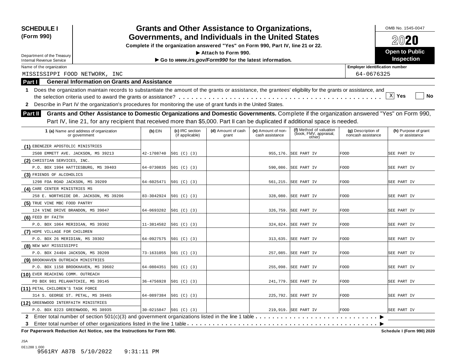| <b>SCHEDULE I</b><br>(Form 990)      |                                                                                                                                                                                                                                                                                                                                                                                                                             |            |                                    | <b>Grants and Other Assistance to Organizations,</b><br>Governments, and Individuals in the United States |                                       |                                                             |                                          | OMB No. 1545-0047<br>2020             |
|--------------------------------------|-----------------------------------------------------------------------------------------------------------------------------------------------------------------------------------------------------------------------------------------------------------------------------------------------------------------------------------------------------------------------------------------------------------------------------|------------|------------------------------------|-----------------------------------------------------------------------------------------------------------|---------------------------------------|-------------------------------------------------------------|------------------------------------------|---------------------------------------|
|                                      |                                                                                                                                                                                                                                                                                                                                                                                                                             |            |                                    | Complete if the organization answered "Yes" on Form 990, Part IV, line 21 or 22.                          |                                       |                                                             |                                          |                                       |
| Department of the Treasury           |                                                                                                                                                                                                                                                                                                                                                                                                                             |            |                                    | Attach to Form 990.                                                                                       |                                       |                                                             |                                          | <b>Open to Public</b>                 |
| Internal Revenue Service             |                                                                                                                                                                                                                                                                                                                                                                                                                             |            |                                    | Go to www.irs.gov/Form990 for the latest information.                                                     |                                       |                                                             |                                          | <b>Inspection</b>                     |
| Name of the organization             |                                                                                                                                                                                                                                                                                                                                                                                                                             |            |                                    |                                                                                                           |                                       |                                                             | <b>Employer identification number</b>    |                                       |
| MISSISSIPPI FOOD NETWORK, INC        |                                                                                                                                                                                                                                                                                                                                                                                                                             |            |                                    |                                                                                                           |                                       |                                                             | 64-0676325                               |                                       |
| Part I                               | <b>General Information on Grants and Assistance</b>                                                                                                                                                                                                                                                                                                                                                                         |            |                                    |                                                                                                           |                                       |                                                             |                                          |                                       |
| <b>Part II</b>                       | 1 Does the organization maintain records to substantiate the amount of the grants or assistance, the grantees' eligibility for the grants or assistance, and<br>2 Describe in Part IV the organization's procedures for monitoring the use of grant funds in the United States.<br>Grants and Other Assistance to Domestic Organizations and Domestic Governments. Complete if the organization answered "Yes" on Form 990, |            |                                    |                                                                                                           |                                       |                                                             |                                          | $X$ Yes<br>No                         |
|                                      | Part IV, line 21, for any recipient that received more than \$5,000. Part II can be duplicated if additional space is needed.                                                                                                                                                                                                                                                                                               |            |                                    |                                                                                                           |                                       |                                                             |                                          |                                       |
|                                      | 1 (a) Name and address of organization<br>or government                                                                                                                                                                                                                                                                                                                                                                     | $(b)$ EIN  | (c) IRC section<br>(if applicable) | (d) Amount of cash<br>grant                                                                               | (e) Amount of non-<br>cash assistance | (f) Method of valuation<br>(book, FMV, appraisal,<br>other) | (g) Description of<br>noncash assistance | (h) Purpose of grant<br>or assistance |
| (1) EBENEZER APOSTOLIC MINISTRIES    |                                                                                                                                                                                                                                                                                                                                                                                                                             |            |                                    |                                                                                                           |                                       |                                                             |                                          |                                       |
| 2508 EMMETT AVE. JACKSON, MS 39213   |                                                                                                                                                                                                                                                                                                                                                                                                                             | 42-1708740 | 501 (C) (3)                        |                                                                                                           |                                       | 955,176. SEE PART IV                                        | FOOD                                     | SEE PART IV                           |
| (2) CHRISTIAN SERVICES, INC.         |                                                                                                                                                                                                                                                                                                                                                                                                                             |            |                                    |                                                                                                           |                                       |                                                             |                                          |                                       |
|                                      | P.O. BOX 1994 HATTIESBURG, MS 39403                                                                                                                                                                                                                                                                                                                                                                                         | 64-0730835 | 501 (C) (3)                        |                                                                                                           |                                       | 590,086. SEE PART IV                                        | <b>FOOD</b>                              | SEE PART IV                           |
| (3) FRIENDS OF ALCOHOLICS            |                                                                                                                                                                                                                                                                                                                                                                                                                             |            |                                    |                                                                                                           |                                       |                                                             |                                          |                                       |
| 1298 FOA ROAD JACKSON, MS 39209      |                                                                                                                                                                                                                                                                                                                                                                                                                             | 64-6025471 | 501 (C) (3)                        |                                                                                                           |                                       | 561,215. SEE PART IV                                        | FOOD                                     | SEE PART IV                           |
| (4) CARE CENTER MINISTRIES MS        |                                                                                                                                                                                                                                                                                                                                                                                                                             |            |                                    |                                                                                                           |                                       |                                                             |                                          |                                       |
|                                      | 258 E. NORTHSIDE DR. JACKSON, MS 39206                                                                                                                                                                                                                                                                                                                                                                                      | 83-3042924 | 501 (C) (3)                        |                                                                                                           |                                       | 328,080. SEE PART IV                                        | FOOD                                     | SEE PART IV                           |
| (5) TRUE VINE MBC FOOD PANTRY        |                                                                                                                                                                                                                                                                                                                                                                                                                             |            |                                    |                                                                                                           |                                       |                                                             |                                          |                                       |
| 124 VINE DRIVE BRANDON, MS 39047     |                                                                                                                                                                                                                                                                                                                                                                                                                             | 64-0693282 | 501 (C) (3)                        |                                                                                                           |                                       | 326,759. SEE PART IV                                        | FOOD                                     | SEE PART IV                           |
| (6) FEED BY FAITH                    |                                                                                                                                                                                                                                                                                                                                                                                                                             |            |                                    |                                                                                                           |                                       |                                                             |                                          |                                       |
| P.O. BOX 1064 MERIDIAN, MS 39302     |                                                                                                                                                                                                                                                                                                                                                                                                                             | 11-3814582 | 501 (C) (3)                        |                                                                                                           | 324,824.                              | SEE PART IV                                                 | <b>FOOD</b>                              | SEE PART IV                           |
| (7) HOPE VILLAGE FOR CHILDREN        |                                                                                                                                                                                                                                                                                                                                                                                                                             |            |                                    |                                                                                                           |                                       |                                                             |                                          |                                       |
| P.O. BOX 26 MERIDIAN, MS 39302       |                                                                                                                                                                                                                                                                                                                                                                                                                             | 64-0927575 | 501 (C) (3)                        |                                                                                                           |                                       | 313,635. SEE PART IV                                        | FOOD                                     | SEE PART IV                           |
| (8) NEW WAY MISSISSIPPI              |                                                                                                                                                                                                                                                                                                                                                                                                                             |            |                                    |                                                                                                           |                                       |                                                             |                                          |                                       |
| P.O. BOX 24404 JACKSON, MS 39209     |                                                                                                                                                                                                                                                                                                                                                                                                                             | 73-1631055 | 501 (C) (3)                        |                                                                                                           |                                       | 257,085. SEE PART IV                                        | FOOD                                     | SEE PART IV                           |
| (9) BROOKHAVEN OUTREACH MINISTRIES   |                                                                                                                                                                                                                                                                                                                                                                                                                             |            |                                    |                                                                                                           |                                       |                                                             |                                          |                                       |
| P.O. BOX 1158 BROOKHAVEN, MS 39602   |                                                                                                                                                                                                                                                                                                                                                                                                                             | 64-0804351 | 501 (C) (3)                        |                                                                                                           |                                       | 255,098. SEE PART IV                                        | FOOD                                     | SEE PART IV                           |
| (10) EVER REACHING COMM. OUTREACH    |                                                                                                                                                                                                                                                                                                                                                                                                                             |            |                                    |                                                                                                           |                                       |                                                             |                                          |                                       |
| PO BOX 981 PELAHATCHIE, MS 39145     |                                                                                                                                                                                                                                                                                                                                                                                                                             | 36-4756928 | 501 (C) (3)                        |                                                                                                           |                                       | 241,779. SEE PART IV                                        | <b>FOOD</b>                              | SEE PART IV                           |
| (11) PETAL CHILDREN'S TASK FORCE     |                                                                                                                                                                                                                                                                                                                                                                                                                             |            |                                    |                                                                                                           |                                       |                                                             |                                          |                                       |
| 314 S. GEORGE ST. PETAL, MS 39465    |                                                                                                                                                                                                                                                                                                                                                                                                                             | 64-0897384 | 501 (C) (3)                        |                                                                                                           |                                       | 225,792. SEE PART IV                                        | <b>FOOD</b>                              | SEE PART IV                           |
| (12) GREENWOOD INTERFAITH MINISTRIES |                                                                                                                                                                                                                                                                                                                                                                                                                             |            |                                    |                                                                                                           |                                       |                                                             |                                          |                                       |
| P.O. BOX 8223 GREENWOOD, MS 38935    |                                                                                                                                                                                                                                                                                                                                                                                                                             | 30-0215847 | 501 (C) (3)                        |                                                                                                           |                                       | 219,919. SEE PART IV                                        | <b>FOOD</b>                              | SEE PART IV                           |
|                                      |                                                                                                                                                                                                                                                                                                                                                                                                                             |            |                                    |                                                                                                           |                                       |                                                             |                                          |                                       |
| 3                                    |                                                                                                                                                                                                                                                                                                                                                                                                                             |            |                                    |                                                                                                           |                                       |                                                             |                                          |                                       |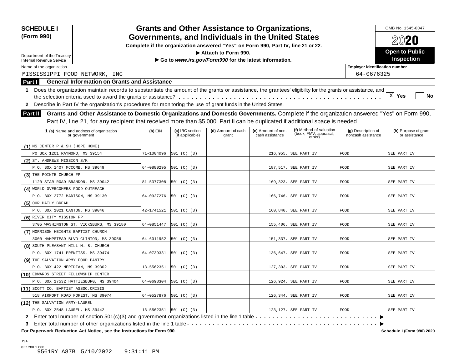| <b>SCHEDULE I</b><br>(Form 990)                                                                                                                                                                                                                                                                                                                                                                                                                          |            |                                    | <b>Grants and Other Assistance to Organizations,</b><br>Governments, and Individuals in the United States |                                       |                                                             |                                          | OMB No. 1545-0047<br>2020             |
|----------------------------------------------------------------------------------------------------------------------------------------------------------------------------------------------------------------------------------------------------------------------------------------------------------------------------------------------------------------------------------------------------------------------------------------------------------|------------|------------------------------------|-----------------------------------------------------------------------------------------------------------|---------------------------------------|-------------------------------------------------------------|------------------------------------------|---------------------------------------|
|                                                                                                                                                                                                                                                                                                                                                                                                                                                          |            |                                    | Complete if the organization answered "Yes" on Form 990, Part IV, line 21 or 22.                          |                                       |                                                             |                                          |                                       |
|                                                                                                                                                                                                                                                                                                                                                                                                                                                          |            |                                    | Attach to Form 990.                                                                                       |                                       |                                                             |                                          | <b>Open to Public</b>                 |
| Department of the Treasury<br><b>Internal Revenue Service</b>                                                                                                                                                                                                                                                                                                                                                                                            |            |                                    | Go to www.irs.gov/Form990 for the latest information.                                                     |                                       |                                                             |                                          | <b>Inspection</b>                     |
| Name of the organization                                                                                                                                                                                                                                                                                                                                                                                                                                 |            |                                    |                                                                                                           |                                       |                                                             | <b>Employer identification number</b>    |                                       |
| MISSISSIPPI FOOD NETWORK, INC                                                                                                                                                                                                                                                                                                                                                                                                                            |            |                                    |                                                                                                           |                                       |                                                             | 64-0676325                               |                                       |
| <b>General Information on Grants and Assistance</b><br>Part I                                                                                                                                                                                                                                                                                                                                                                                            |            |                                    |                                                                                                           |                                       |                                                             |                                          |                                       |
| Does the organization maintain records to substantiate the amount of the grants or assistance, the grantees' eligibility for the grants or assistance, and<br>1.<br>Describe in Part IV the organization's procedures for monitoring the use of grant funds in the United States.<br>$\mathbf{2}$<br>Grants and Other Assistance to Domestic Organizations and Domestic Governments. Complete if the organization answered "Yes" on Form 990,<br>Part II |            |                                    |                                                                                                           |                                       |                                                             |                                          | $X$ Yes<br>No                         |
| Part IV, line 21, for any recipient that received more than \$5,000. Part II can be duplicated if additional space is needed.                                                                                                                                                                                                                                                                                                                            |            |                                    |                                                                                                           |                                       |                                                             |                                          |                                       |
| 1 (a) Name and address of organization<br>or government                                                                                                                                                                                                                                                                                                                                                                                                  | $(b)$ EIN  | (c) IRC section<br>(if applicable) | (d) Amount of cash<br>grant                                                                               | (e) Amount of non-<br>cash assistance | (f) Method of valuation<br>(book, FMV, appraisal,<br>other) | (g) Description of<br>noncash assistance | (h) Purpose of grant<br>or assistance |
| $(1)$ MS CENTER P & SH. (HOPE HOME)                                                                                                                                                                                                                                                                                                                                                                                                                      |            |                                    |                                                                                                           |                                       |                                                             |                                          |                                       |
| PO BOX 1201 RAYMOND, MS 39154                                                                                                                                                                                                                                                                                                                                                                                                                            | 71-1004096 | 501 (C) (3)                        |                                                                                                           |                                       | 216,955. SEE PART IV                                        | <b>FOOD</b>                              | SEE PART IV                           |
| (2) ST. ANDREWS MISSION S/K                                                                                                                                                                                                                                                                                                                                                                                                                              |            |                                    |                                                                                                           |                                       |                                                             |                                          |                                       |
| P.O. BOX 1407 MCCOMB, MS 39649                                                                                                                                                                                                                                                                                                                                                                                                                           | 64-0880295 | 501 (C) (3)                        |                                                                                                           |                                       | 187,517. SEE PART IV                                        | FOOD                                     | SEE PART IV                           |
| (3) THE POINTE CHURCH FP                                                                                                                                                                                                                                                                                                                                                                                                                                 |            |                                    |                                                                                                           |                                       |                                                             |                                          |                                       |
| 1120 STAR ROAD BRANDON, MS 39042                                                                                                                                                                                                                                                                                                                                                                                                                         | 81-5377308 | [501 (C) (3)                       |                                                                                                           |                                       | 169,323. SEE PART IV                                        | FOOD                                     | SEE PART IV                           |
| (4) WORLD OVERCOMERS FOOD OUTREACH                                                                                                                                                                                                                                                                                                                                                                                                                       |            |                                    |                                                                                                           |                                       |                                                             |                                          |                                       |
| P.O. BOX 2772 MADISON, MS 39130                                                                                                                                                                                                                                                                                                                                                                                                                          | 64-0927276 | 501 (C) (3)                        |                                                                                                           |                                       | 166,746. SEE PART IV                                        | FOOD                                     | SEE PART IV                           |
| (5) OUR DAILY BREAD                                                                                                                                                                                                                                                                                                                                                                                                                                      |            |                                    |                                                                                                           |                                       |                                                             |                                          |                                       |
| P.O. BOX 1021 CANTON, MS 39046                                                                                                                                                                                                                                                                                                                                                                                                                           | 42-1741521 | 501 (C) (3)                        |                                                                                                           |                                       | 160,840. SEE PART IV                                        | FOOD                                     | SEE PART IV                           |
| (6) RIVER CITY MISSION FP                                                                                                                                                                                                                                                                                                                                                                                                                                |            |                                    |                                                                                                           |                                       |                                                             |                                          |                                       |
| 3705 WASHINGTON ST. VICKSBURG, MS 39180                                                                                                                                                                                                                                                                                                                                                                                                                  | 64-0851447 | 501 (C) (3)                        |                                                                                                           |                                       | 155,406. SEE PART IV                                        | <b>FOOD</b>                              | SEE PART IV                           |
| (7) MORRISON HEIGHTS BAPTIST CHURCH                                                                                                                                                                                                                                                                                                                                                                                                                      |            |                                    |                                                                                                           |                                       |                                                             |                                          |                                       |
| 3000 HAMPSTEAD BLVD CLINTON, MS 39056                                                                                                                                                                                                                                                                                                                                                                                                                    | 64-6011952 | 501 (C) (3)                        |                                                                                                           |                                       | 151,337. SEE PART IV                                        | FOOD                                     | SEE PART IV                           |
| (8) SOUTH PLEASANT HILL M. B. CHURCH                                                                                                                                                                                                                                                                                                                                                                                                                     |            |                                    |                                                                                                           |                                       |                                                             |                                          |                                       |
| P.O. BOX 1741 PRENTISS, MS 39474                                                                                                                                                                                                                                                                                                                                                                                                                         | 64-0739331 | 501 (C) (3)                        |                                                                                                           |                                       | 136,647. SEE PART IV                                        | FOOD                                     | SEE PART IV                           |
| (9) THE SALVATION ARMY FOOD PANTRY                                                                                                                                                                                                                                                                                                                                                                                                                       |            |                                    |                                                                                                           |                                       |                                                             |                                          |                                       |
| P.O. BOX 422 MERIDIAN, MS 39302                                                                                                                                                                                                                                                                                                                                                                                                                          | 13-5562351 | 501 (C) (3)                        |                                                                                                           |                                       | 127,303. SEE PART IV                                        | <b>FOOD</b>                              | SEE PART IV                           |
| (10) EDWARDS STREET FELLOWSHIP CENTER                                                                                                                                                                                                                                                                                                                                                                                                                    |            |                                    |                                                                                                           |                                       |                                                             |                                          |                                       |
| P.O. BOX 17532 HATTIESBURG, MS 39404                                                                                                                                                                                                                                                                                                                                                                                                                     | 64-0698304 | 501 (C) (3)                        |                                                                                                           |                                       | 126,924. SEE PART IV                                        | <b>FOOD</b>                              | SEE PART IV                           |
|                                                                                                                                                                                                                                                                                                                                                                                                                                                          |            |                                    |                                                                                                           |                                       |                                                             |                                          |                                       |
|                                                                                                                                                                                                                                                                                                                                                                                                                                                          |            |                                    |                                                                                                           |                                       |                                                             |                                          |                                       |
| (11) SCOTT CO. BAPTIST ASSOC.CRISIS<br>518 AIRPORT ROAD FOREST, MS 39074                                                                                                                                                                                                                                                                                                                                                                                 | 64-0527876 | 501 (C) (3)                        |                                                                                                           |                                       | 126,344. SEE PART IV                                        | <b>FOOD</b>                              | SEE PART IV                           |
| (12) THE SALVATION ARMY-LAUREL                                                                                                                                                                                                                                                                                                                                                                                                                           |            |                                    |                                                                                                           |                                       |                                                             |                                          |                                       |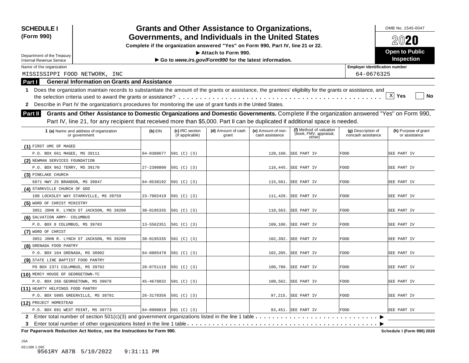| <b>SCHEDULE I</b><br>(Form 990)                                                                                                                                                                                                                                                                                                                                                                                                               |            |                                    | <b>Grants and Other Assistance to Organizations,</b><br>Governments, and Individuals in the United States |                                       |                                                             |                                          | OMB No. 1545-0047<br>2020             |
|-----------------------------------------------------------------------------------------------------------------------------------------------------------------------------------------------------------------------------------------------------------------------------------------------------------------------------------------------------------------------------------------------------------------------------------------------|------------|------------------------------------|-----------------------------------------------------------------------------------------------------------|---------------------------------------|-------------------------------------------------------------|------------------------------------------|---------------------------------------|
|                                                                                                                                                                                                                                                                                                                                                                                                                                               |            |                                    | Complete if the organization answered "Yes" on Form 990, Part IV, line 21 or 22.                          |                                       |                                                             |                                          |                                       |
|                                                                                                                                                                                                                                                                                                                                                                                                                                               |            |                                    | Attach to Form 990.                                                                                       |                                       |                                                             |                                          | <b>Open to Public</b>                 |
| Department of the Treasury<br><b>Internal Revenue Service</b>                                                                                                                                                                                                                                                                                                                                                                                 |            |                                    | Go to www.irs.gov/Form990 for the latest information.                                                     |                                       |                                                             |                                          | <b>Inspection</b>                     |
| Name of the organization                                                                                                                                                                                                                                                                                                                                                                                                                      |            |                                    |                                                                                                           |                                       |                                                             | <b>Employer identification number</b>    |                                       |
| MISSISSIPPI FOOD NETWORK, INC                                                                                                                                                                                                                                                                                                                                                                                                                 |            |                                    |                                                                                                           |                                       |                                                             | 64-0676325                               |                                       |
| <b>General Information on Grants and Assistance</b><br>Part I                                                                                                                                                                                                                                                                                                                                                                                 |            |                                    |                                                                                                           |                                       |                                                             |                                          |                                       |
| 1 Does the organization maintain records to substantiate the amount of the grants or assistance, the grantees' eligibility for the grants or assistance, and<br>2 Describe in Part IV the organization's procedures for monitoring the use of grant funds in the United States.<br>Grants and Other Assistance to Domestic Organizations and Domestic Governments. Complete if the organization answered "Yes" on Form 990,<br><b>Part II</b> |            |                                    |                                                                                                           |                                       |                                                             |                                          | X Yes<br><b>No</b>                    |
| Part IV, line 21, for any recipient that received more than \$5,000. Part II can be duplicated if additional space is needed.                                                                                                                                                                                                                                                                                                                 |            |                                    |                                                                                                           |                                       |                                                             |                                          |                                       |
| 1 (a) Name and address of organization<br>or government                                                                                                                                                                                                                                                                                                                                                                                       | $(b)$ EIN  | (c) IRC section<br>(if applicable) | (d) Amount of cash<br>grant                                                                               | (e) Amount of non-<br>cash assistance | (f) Method of valuation<br>(book, FMV, appraisal,<br>other) | (g) Description of<br>noncash assistance | (h) Purpose of grant<br>or assistance |
| (1) FIRST UMC OF MAGEE                                                                                                                                                                                                                                                                                                                                                                                                                        |            |                                    |                                                                                                           |                                       |                                                             |                                          |                                       |
| P.O. BOX 661 MAGEE, MS 39111                                                                                                                                                                                                                                                                                                                                                                                                                  | 64-0388677 | 501 (C) (3)                        |                                                                                                           |                                       | 120,168. SEE PART IV                                        | FOOD                                     | SEE PART IV                           |
| (2) NEWMAN SERVICES FOUNDATION                                                                                                                                                                                                                                                                                                                                                                                                                |            |                                    |                                                                                                           |                                       |                                                             |                                          |                                       |
| P.O. BOX 962 TERRY, MS 39170                                                                                                                                                                                                                                                                                                                                                                                                                  | 27-2390800 | 501 (C) (3)                        |                                                                                                           |                                       | 116,445. SEE PART IV                                        | FOOD                                     | SEE PART IV                           |
| (3) PINELAKE CHURCH                                                                                                                                                                                                                                                                                                                                                                                                                           |            |                                    |                                                                                                           |                                       |                                                             |                                          |                                       |
| 6071 HWY 25 BRANDON, MS 39047                                                                                                                                                                                                                                                                                                                                                                                                                 | 64-0538192 | 501 (C) (3)                        |                                                                                                           |                                       | 115,561. SEE PART IV                                        | FOOD                                     | SEE PART IV                           |
| (4) STARKVILLE CHURCH OF GOD                                                                                                                                                                                                                                                                                                                                                                                                                  |            |                                    |                                                                                                           |                                       |                                                             |                                          |                                       |
| 100 LOCKSLEY WAY STARKVILLE, MS 39759                                                                                                                                                                                                                                                                                                                                                                                                         | 23-7002419 | 501 (C) (3)                        |                                                                                                           |                                       | 111,428. SEE PART IV                                        | <b>FOOD</b>                              | SEE PART IV                           |
| (5) WORD OF CHRIST MINISTRY                                                                                                                                                                                                                                                                                                                                                                                                                   |            |                                    |                                                                                                           |                                       |                                                             |                                          |                                       |
| 3051 JOHN R. LYNCH ST JACKSON, MS 39209                                                                                                                                                                                                                                                                                                                                                                                                       | 30-0195335 | 501 (C) (3)                        |                                                                                                           | 110,563.                              | SEE PART IV                                                 | <b>FOOD</b>                              | SEE PART IV                           |
| (6) SALVATION ARMY- COLUMBUS                                                                                                                                                                                                                                                                                                                                                                                                                  |            |                                    |                                                                                                           |                                       |                                                             |                                          |                                       |
| P.O. BOX 8 COLUMBUS, MS 39703                                                                                                                                                                                                                                                                                                                                                                                                                 | 13-5562351 | 501 (C) (3)                        |                                                                                                           | 109, 106.                             | SEE PART IV                                                 | FOOD                                     | SEE PART IV                           |
| (7) WORD OF CHRIST                                                                                                                                                                                                                                                                                                                                                                                                                            |            |                                    |                                                                                                           |                                       |                                                             |                                          |                                       |
| 3051 JOHN R. LYNCH ST JACKSON, MS 39209                                                                                                                                                                                                                                                                                                                                                                                                       | 30-0195335 | 501 (C) (3)                        |                                                                                                           |                                       | 102,392. SEE PART IV                                        | FOOD                                     | SEE PART IV                           |
| (8) GRENADA FOOD PANTRY                                                                                                                                                                                                                                                                                                                                                                                                                       |            |                                    |                                                                                                           |                                       |                                                             |                                          |                                       |
| P.O. BOX 104 GRENADA, MS 38902                                                                                                                                                                                                                                                                                                                                                                                                                | 64-0805470 | 501 (C) (3)                        |                                                                                                           |                                       | 102,205. SEE PART IV                                        | FOOD                                     | SEE PART IV                           |
| (9) STATE LINE BAPTIST FOOD PANTRY                                                                                                                                                                                                                                                                                                                                                                                                            |            |                                    |                                                                                                           |                                       |                                                             |                                          |                                       |
| PO BOX 2371 COLUMBUS, MS 39702                                                                                                                                                                                                                                                                                                                                                                                                                | 20-0751119 | 501 (C) (3)                        |                                                                                                           |                                       | 100,788. SEE PART IV                                        | FOOD                                     | SEE PART IV                           |
| (10) MERCY HOUSE OF GEORGETOWN-TC                                                                                                                                                                                                                                                                                                                                                                                                             |            |                                    |                                                                                                           |                                       |                                                             |                                          |                                       |
| P.O. BOX 266 GEORGETOWN, MS 39078                                                                                                                                                                                                                                                                                                                                                                                                             | 45-4670832 | 501 (C) (3)                        |                                                                                                           |                                       | 100,562. SEE PART IV                                        | FOOD                                     | SEE PART IV                           |
| (11) HEARTY HELPINGS FOOD PANTRY                                                                                                                                                                                                                                                                                                                                                                                                              |            |                                    |                                                                                                           |                                       |                                                             |                                          |                                       |
| P.O. BOX 5005 GREENVILLE, MS 38701                                                                                                                                                                                                                                                                                                                                                                                                            | 26-3170356 | 501 (C) (3)                        |                                                                                                           |                                       | 97,215. SEE PART IV                                         | <b>FOOD</b>                              | SEE PART IV                           |
| (12) PROJECT HOMESTEAD                                                                                                                                                                                                                                                                                                                                                                                                                        |            |                                    |                                                                                                           |                                       |                                                             |                                          |                                       |
| P.O. BOX 891 WEST POINT, MS 39773                                                                                                                                                                                                                                                                                                                                                                                                             | 64-0908819 | 501 (C) (3)                        |                                                                                                           |                                       | 93,451. SEE PART IV                                         | <b>FOOD</b>                              | SEE PART IV                           |
| 2 Enter total number of section 501(c)(3) and government organizations listed in the line 1 table                                                                                                                                                                                                                                                                                                                                             |            |                                    |                                                                                                           |                                       |                                                             |                                          |                                       |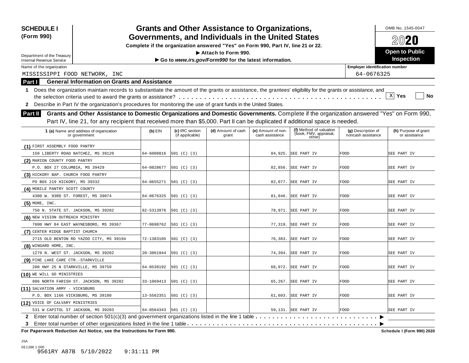| <b>SCHEDULE I</b><br>(Form 990)                                                                                                                                                                                                                                                                                                                                                                                                                          |            |                                    | <b>Grants and Other Assistance to Organizations,</b><br>Governments, and Individuals in the United States |                                       |                                                             |                                          | OMB No. 1545-0047<br>2020             |
|----------------------------------------------------------------------------------------------------------------------------------------------------------------------------------------------------------------------------------------------------------------------------------------------------------------------------------------------------------------------------------------------------------------------------------------------------------|------------|------------------------------------|-----------------------------------------------------------------------------------------------------------|---------------------------------------|-------------------------------------------------------------|------------------------------------------|---------------------------------------|
|                                                                                                                                                                                                                                                                                                                                                                                                                                                          |            |                                    | Complete if the organization answered "Yes" on Form 990, Part IV, line 21 or 22.                          |                                       |                                                             |                                          |                                       |
|                                                                                                                                                                                                                                                                                                                                                                                                                                                          |            |                                    | Attach to Form 990.                                                                                       |                                       |                                                             |                                          | <b>Open to Public</b>                 |
| Department of the Treasury<br><b>Internal Revenue Service</b>                                                                                                                                                                                                                                                                                                                                                                                            |            |                                    | Go to www.irs.gov/Form990 for the latest information.                                                     |                                       |                                                             |                                          | <b>Inspection</b>                     |
| Name of the organization                                                                                                                                                                                                                                                                                                                                                                                                                                 |            |                                    |                                                                                                           |                                       |                                                             | <b>Employer identification number</b>    |                                       |
| MISSISSIPPI FOOD NETWORK, INC                                                                                                                                                                                                                                                                                                                                                                                                                            |            |                                    |                                                                                                           |                                       |                                                             | 64-0676325                               |                                       |
| <b>General Information on Grants and Assistance</b><br>Part I                                                                                                                                                                                                                                                                                                                                                                                            |            |                                    |                                                                                                           |                                       |                                                             |                                          |                                       |
| Does the organization maintain records to substantiate the amount of the grants or assistance, the grantees' eligibility for the grants or assistance, and<br>1.<br>Describe in Part IV the organization's procedures for monitoring the use of grant funds in the United States.<br>$\mathbf{2}$<br>Grants and Other Assistance to Domestic Organizations and Domestic Governments. Complete if the organization answered "Yes" on Form 990,<br>Part II |            |                                    |                                                                                                           |                                       |                                                             |                                          | $X$ Yes<br>No                         |
| Part IV, line 21, for any recipient that received more than \$5,000. Part II can be duplicated if additional space is needed.                                                                                                                                                                                                                                                                                                                            |            |                                    |                                                                                                           |                                       |                                                             |                                          |                                       |
| 1 (a) Name and address of organization<br>or government                                                                                                                                                                                                                                                                                                                                                                                                  | $(b)$ EIN  | (c) IRC section<br>(if applicable) | (d) Amount of cash<br>grant                                                                               | (e) Amount of non-<br>cash assistance | (f) Method of valuation<br>(book, FMV, appraisal,<br>other) | (g) Description of<br>noncash assistance | (h) Purpose of grant<br>or assistance |
| (1) FIRST ASSEMBLY FOOD PANTRY                                                                                                                                                                                                                                                                                                                                                                                                                           |            |                                    |                                                                                                           |                                       |                                                             |                                          |                                       |
| 150 LIBERTY ROAD NATCHEZ, MS 39120                                                                                                                                                                                                                                                                                                                                                                                                                       | 64-6008816 | 501 (C) (3)                        |                                                                                                           |                                       | 84,925. SEE PART IV                                         | <b>FOOD</b>                              | SEE PART IV                           |
| (2) MARION COUNTY FOOD PANTRY                                                                                                                                                                                                                                                                                                                                                                                                                            |            |                                    |                                                                                                           |                                       |                                                             |                                          |                                       |
| P.O. BOX 27 COLUMBIA, MS 39429                                                                                                                                                                                                                                                                                                                                                                                                                           | 64-0828677 | [501 (C) (3)                       |                                                                                                           |                                       | 82,856. SEE PART IV                                         | FOOD                                     | SEE PART IV                           |
| (3) HICKORY BAP. CHURCH FOOD PANTRY                                                                                                                                                                                                                                                                                                                                                                                                                      |            |                                    |                                                                                                           |                                       |                                                             |                                          |                                       |
| PO BOX 219 HICKORY, MS 39332                                                                                                                                                                                                                                                                                                                                                                                                                             | 64-0655271 | 501 (C) (3)                        |                                                                                                           |                                       | 82,077. SEE PART IV                                         | FOOD                                     | SEE PART IV                           |
| (4) MOBILE PANTRY SCOTT COUNTY                                                                                                                                                                                                                                                                                                                                                                                                                           |            |                                    |                                                                                                           |                                       |                                                             |                                          |                                       |
| 4300 W. 93RD ST. FOREST, MS 39074                                                                                                                                                                                                                                                                                                                                                                                                                        | 64-0676325 | 501 (C) (3)                        |                                                                                                           |                                       | 81,846. SEE PART IV                                         | FOOD                                     | SEE PART IV                           |
| $(5)$ MORE, INC.                                                                                                                                                                                                                                                                                                                                                                                                                                         |            |                                    |                                                                                                           |                                       |                                                             |                                          |                                       |
| 750 N. STATE ST. JACKSON, MS 39202                                                                                                                                                                                                                                                                                                                                                                                                                       | 82-5313976 | 501 (C) (3)                        |                                                                                                           | 78,971.                               | SEE PART IV                                                 | FOOD                                     | SEE PART IV                           |
| (6) NEW VISION OUTREACH MINISTRY                                                                                                                                                                                                                                                                                                                                                                                                                         |            |                                    |                                                                                                           |                                       |                                                             |                                          |                                       |
| 7600 HWY 84 EAST WAYNESBORO, MS 39367                                                                                                                                                                                                                                                                                                                                                                                                                    | 77-0698762 | 501 (C) (3)                        |                                                                                                           | 77,319.                               | SEE PART IV                                                 | <b>FOOD</b>                              | SEE PART IV                           |
| (7) CENTER RIDGE BAPTIST CHURCH                                                                                                                                                                                                                                                                                                                                                                                                                          |            |                                    |                                                                                                           |                                       |                                                             |                                          |                                       |
| 2715 OLD BENTON RD YAZOO CITY, MS 39194                                                                                                                                                                                                                                                                                                                                                                                                                  | 72-1383105 | 501 (C) (3)                        |                                                                                                           |                                       | 76,383. SEE PART IV                                         | FOOD                                     | SEE PART IV                           |
| (8) WINGARD HOME, INC.                                                                                                                                                                                                                                                                                                                                                                                                                                   |            |                                    |                                                                                                           |                                       |                                                             |                                          |                                       |
| 1279 N. WEST ST. JACKSON, MS 39202                                                                                                                                                                                                                                                                                                                                                                                                                       | 20-3861944 | 501 (C) (3)                        |                                                                                                           |                                       | 74,394. SEE PART IV                                         | FOOD                                     | SEE PART IV                           |
| (9) PINE LAKE CARE CTR. - STARKVILLE                                                                                                                                                                                                                                                                                                                                                                                                                     |            |                                    |                                                                                                           |                                       |                                                             |                                          |                                       |
| 200 HWY 25 N STARKVILLE, MS 39759                                                                                                                                                                                                                                                                                                                                                                                                                        | 64-0538192 | 501 (C) (3)                        |                                                                                                           |                                       | 68,072. SEE PART IV                                         | <b>FOOD</b>                              | SEE PART IV                           |
| (10) WE WILL GO MINISTRIES                                                                                                                                                                                                                                                                                                                                                                                                                               |            |                                    |                                                                                                           |                                       |                                                             |                                          |                                       |
| 806 NORTH FARISH ST. JACKSON, MS 39202                                                                                                                                                                                                                                                                                                                                                                                                                   | 33-1069413 | 501 (C) (3)                        |                                                                                                           |                                       | 65,267. SEE PART IV                                         | <b>FOOD</b>                              | SEE PART IV                           |
|                                                                                                                                                                                                                                                                                                                                                                                                                                                          |            |                                    |                                                                                                           |                                       |                                                             |                                          |                                       |
|                                                                                                                                                                                                                                                                                                                                                                                                                                                          |            |                                    |                                                                                                           |                                       |                                                             |                                          |                                       |
| (11) SALVATION ARMY - VICKSBURG<br>P.O. BOX 1166 VICKSBURG, MS 39180                                                                                                                                                                                                                                                                                                                                                                                     | 13-5562351 | 501 (C) (3)                        |                                                                                                           |                                       | 61,603. SEE PART IV                                         | <b>FOOD</b>                              | SEE PART IV                           |
| (12) VOICE OF CALVARY MINISTRIES                                                                                                                                                                                                                                                                                                                                                                                                                         |            |                                    |                                                                                                           |                                       |                                                             |                                          |                                       |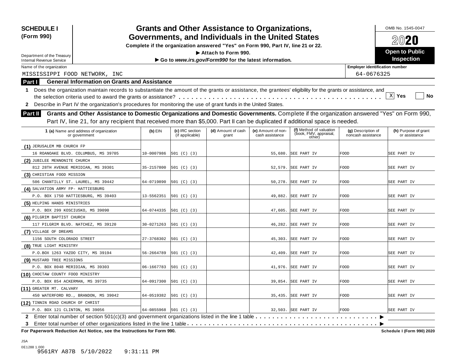| <b>SCHEDULE I</b><br>(Form 990)                               |                                                                                                                                                                                                                                                                                                                                                                                                                             |                        |                                    | <b>Grants and Other Assistance to Organizations,</b><br>Governments, and Individuals in the United States |                                       |                                                             |                                          | OMB No. 1545-0047<br>2020             |
|---------------------------------------------------------------|-----------------------------------------------------------------------------------------------------------------------------------------------------------------------------------------------------------------------------------------------------------------------------------------------------------------------------------------------------------------------------------------------------------------------------|------------------------|------------------------------------|-----------------------------------------------------------------------------------------------------------|---------------------------------------|-------------------------------------------------------------|------------------------------------------|---------------------------------------|
|                                                               |                                                                                                                                                                                                                                                                                                                                                                                                                             |                        |                                    | Complete if the organization answered "Yes" on Form 990, Part IV, line 21 or 22.                          |                                       |                                                             |                                          |                                       |
|                                                               |                                                                                                                                                                                                                                                                                                                                                                                                                             |                        |                                    | Attach to Form 990.                                                                                       |                                       |                                                             |                                          | <b>Open to Public</b>                 |
| Department of the Treasury<br><b>Internal Revenue Service</b> |                                                                                                                                                                                                                                                                                                                                                                                                                             |                        |                                    | Go to www.irs.gov/Form990 for the latest information.                                                     |                                       |                                                             |                                          | <b>Inspection</b>                     |
| Name of the organization                                      |                                                                                                                                                                                                                                                                                                                                                                                                                             |                        |                                    |                                                                                                           |                                       |                                                             | <b>Employer identification number</b>    |                                       |
| MISSISSIPPI FOOD NETWORK, INC                                 |                                                                                                                                                                                                                                                                                                                                                                                                                             |                        |                                    |                                                                                                           |                                       |                                                             | 64-0676325                               |                                       |
| Part I                                                        | <b>General Information on Grants and Assistance</b>                                                                                                                                                                                                                                                                                                                                                                         |                        |                                    |                                                                                                           |                                       |                                                             |                                          |                                       |
| <b>Part II</b>                                                | 1 Does the organization maintain records to substantiate the amount of the grants or assistance, the grantees' eligibility for the grants or assistance, and<br>2 Describe in Part IV the organization's procedures for monitoring the use of grant funds in the United States.<br>Grants and Other Assistance to Domestic Organizations and Domestic Governments. Complete if the organization answered "Yes" on Form 990, |                        |                                    |                                                                                                           |                                       |                                                             |                                          | X Yes<br><b>No</b>                    |
|                                                               | Part IV, line 21, for any recipient that received more than \$5,000. Part II can be duplicated if additional space is needed.                                                                                                                                                                                                                                                                                               |                        |                                    |                                                                                                           |                                       |                                                             |                                          |                                       |
|                                                               | 1 (a) Name and address of organization<br>or government                                                                                                                                                                                                                                                                                                                                                                     | $(b)$ EIN              | (c) IRC section<br>(if applicable) | (d) Amount of cash<br>grant                                                                               | (e) Amount of non-<br>cash assistance | (f) Method of valuation<br>(book, FMV, appraisal,<br>other) | (g) Description of<br>noncash assistance | (h) Purpose of grant<br>or assistance |
| (1) JERUSALEM MB CHURCH FP                                    |                                                                                                                                                                                                                                                                                                                                                                                                                             |                        |                                    |                                                                                                           |                                       |                                                             |                                          |                                       |
| 16 ROANOAKE BLVD. COLUMBUS, MS 39705                          |                                                                                                                                                                                                                                                                                                                                                                                                                             | 10-0007986             | 501 (C) (3)                        |                                                                                                           |                                       | 55,680. SEE PART IV                                         | FOOD                                     | SEE PART IV                           |
| (2) JUBILEE MENNONITE CHURCH                                  |                                                                                                                                                                                                                                                                                                                                                                                                                             |                        |                                    |                                                                                                           |                                       |                                                             |                                          |                                       |
| 812 28TH AVENUE MERIDIAN, MS 39301                            |                                                                                                                                                                                                                                                                                                                                                                                                                             | 35-2157800             | 501 (C) (3)                        |                                                                                                           |                                       | 52,579. SEE PART IV                                         | FOOD                                     | SEE PART IV                           |
| (3) CHRISTIAN FOOD MISSION                                    |                                                                                                                                                                                                                                                                                                                                                                                                                             |                        |                                    |                                                                                                           |                                       |                                                             |                                          |                                       |
| 506 CHANTILLY ST. LAUREL, MS 39442                            |                                                                                                                                                                                                                                                                                                                                                                                                                             | 64-0719890             | 501 (C) (3)                        |                                                                                                           |                                       | 50,278. SEE PART IV                                         | FOOD                                     | SEE PART IV                           |
| (4) SALVATION ARMY FP- HATTIESBURG                            |                                                                                                                                                                                                                                                                                                                                                                                                                             |                        |                                    |                                                                                                           |                                       |                                                             |                                          |                                       |
| P.O. BOX 1750 HATTIESBURG, MS 39403                           |                                                                                                                                                                                                                                                                                                                                                                                                                             | 13-5562351             | 501 (C) (3)                        |                                                                                                           |                                       | 49,882. SEE PART IV                                         | <b>FOOD</b>                              | SEE PART IV                           |
| (5) HELPING HANDS MINISTRIES                                  |                                                                                                                                                                                                                                                                                                                                                                                                                             |                        |                                    |                                                                                                           |                                       |                                                             |                                          |                                       |
| P.O. BOX 299 KOSCIUSKO, MS 39090                              |                                                                                                                                                                                                                                                                                                                                                                                                                             | 64-0744335             | 501 (C) (3)                        |                                                                                                           | 47,605.                               | SEE PART IV                                                 | <b>FOOD</b>                              | SEE PART IV                           |
| (6) PILGRIM BAPTIST CHURCH                                    |                                                                                                                                                                                                                                                                                                                                                                                                                             |                        |                                    |                                                                                                           |                                       |                                                             |                                          |                                       |
| 117 PILGRIM BLVD. NATCHEZ, MS 39120                           |                                                                                                                                                                                                                                                                                                                                                                                                                             | 30-0271263             | 501 (C) (3)                        |                                                                                                           | 46,282.                               | SEE PART IV                                                 | FOOD                                     | SEE PART IV                           |
| (7) VILLAGE OF DREAMS                                         |                                                                                                                                                                                                                                                                                                                                                                                                                             |                        |                                    |                                                                                                           |                                       |                                                             |                                          |                                       |
| 1156 SOUTH COLORADO STREET                                    |                                                                                                                                                                                                                                                                                                                                                                                                                             | 27-3768302             | 501 (C) (3)                        |                                                                                                           |                                       | 45,303. SEE PART IV                                         | FOOD                                     | SEE PART IV                           |
| (8) TRUE LIGHT MINISTRY                                       |                                                                                                                                                                                                                                                                                                                                                                                                                             |                        |                                    |                                                                                                           |                                       |                                                             |                                          |                                       |
| P.O.BOX 1263 YAZOO CITY, MS 39194                             |                                                                                                                                                                                                                                                                                                                                                                                                                             | 56-2664789             | 501 (C) (3)                        |                                                                                                           | 42,409.                               | SEE PART IV                                                 | FOOD                                     | SEE PART IV                           |
| (9) MUSTARD TREE MISSIONS                                     |                                                                                                                                                                                                                                                                                                                                                                                                                             |                        |                                    |                                                                                                           |                                       |                                                             |                                          |                                       |
| P.O. BOX 8048 MERIDIAN, MS 39303                              |                                                                                                                                                                                                                                                                                                                                                                                                                             | 06-1667783             | 501 (C) (3)                        |                                                                                                           |                                       | 41,976. SEE PART IV                                         | FOOD                                     | SEE PART IV                           |
| (10) CHOCTAW COUNTY FOOD MINISTRY                             |                                                                                                                                                                                                                                                                                                                                                                                                                             |                        |                                    |                                                                                                           |                                       |                                                             |                                          |                                       |
| P.O. BOX 854 ACKERMAN, MS 39735                               |                                                                                                                                                                                                                                                                                                                                                                                                                             | 64-0917300             | 501 (C) (3)                        |                                                                                                           | 39,854.                               | SEE PART IV                                                 | FOOD                                     | SEE PART IV                           |
| (11) GREATER MT. CALVARY                                      |                                                                                                                                                                                                                                                                                                                                                                                                                             |                        |                                    |                                                                                                           |                                       |                                                             |                                          |                                       |
| 450 WATERFORD RD., BRANDON, MS 39042                          |                                                                                                                                                                                                                                                                                                                                                                                                                             | 64-0519382             | 501 (C) (3)                        |                                                                                                           |                                       | 35,435. SEE PART IV                                         | FOOD                                     | SEE PART IV                           |
| (12) TINNIN ROAD CHURCH OF CHRIST                             |                                                                                                                                                                                                                                                                                                                                                                                                                             |                        |                                    |                                                                                                           |                                       |                                                             |                                          |                                       |
| P.O. BOX 121 CLINTON, MS 39056                                |                                                                                                                                                                                                                                                                                                                                                                                                                             | 64-0855968 501 (C) (3) |                                    |                                                                                                           |                                       | 32,503. SEE PART IV                                         | <b>FOOD</b>                              | SEE PART IV                           |
|                                                               | 2 Enter total number of section 501(c)(3) and government organizations listed in the line 1 table                                                                                                                                                                                                                                                                                                                           |                        |                                    |                                                                                                           |                                       |                                                             |                                          |                                       |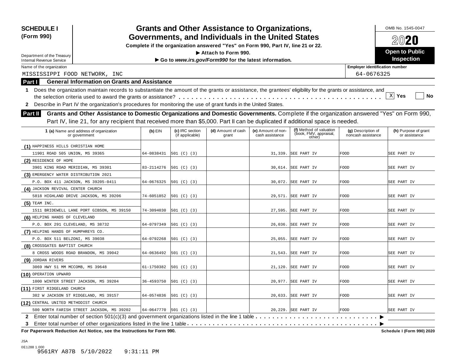| <b>SCHEDULE I</b><br>(Form 990)                                                                                                                                                                                                                                                                   |            |                                    | <b>Grants and Other Assistance to Organizations,</b><br>Governments, and Individuals in the United States |                                       |                                                             |                                          | OMB No. 1545-0047                     |
|---------------------------------------------------------------------------------------------------------------------------------------------------------------------------------------------------------------------------------------------------------------------------------------------------|------------|------------------------------------|-----------------------------------------------------------------------------------------------------------|---------------------------------------|-------------------------------------------------------------|------------------------------------------|---------------------------------------|
|                                                                                                                                                                                                                                                                                                   |            |                                    | Complete if the organization answered "Yes" on Form 990, Part IV, line 21 or 22.                          |                                       |                                                             |                                          | 2020                                  |
|                                                                                                                                                                                                                                                                                                   |            |                                    | Attach to Form 990.                                                                                       |                                       |                                                             |                                          | <b>Open to Public</b>                 |
| Department of the Treasury<br><b>Internal Revenue Service</b>                                                                                                                                                                                                                                     |            |                                    | Go to www.irs.gov/Form990 for the latest information.                                                     |                                       |                                                             |                                          | <b>Inspection</b>                     |
| Name of the organization                                                                                                                                                                                                                                                                          |            |                                    |                                                                                                           |                                       |                                                             | <b>Employer identification number</b>    |                                       |
| MISSISSIPPI FOOD NETWORK, INC                                                                                                                                                                                                                                                                     |            |                                    |                                                                                                           |                                       |                                                             | 64-0676325                               |                                       |
| <b>General Information on Grants and Assistance</b><br>Part I                                                                                                                                                                                                                                     |            |                                    |                                                                                                           |                                       |                                                             |                                          |                                       |
| Does the organization maintain records to substantiate the amount of the grants or assistance, the grantees' eligibility for the grants or assistance, and<br>1.<br>Describe in Part IV the organization's procedures for monitoring the use of grant funds in the United States.<br>$\mathbf{2}$ |            |                                    |                                                                                                           |                                       |                                                             |                                          | $X$ Yes<br>No                         |
| Grants and Other Assistance to Domestic Organizations and Domestic Governments. Complete if the organization answered "Yes" on Form 990,<br>Part II<br>Part IV, line 21, for any recipient that received more than \$5,000. Part II can be duplicated if additional space is needed.              |            |                                    |                                                                                                           |                                       |                                                             |                                          |                                       |
| 1 (a) Name and address of organization<br>or government                                                                                                                                                                                                                                           | $(b)$ EIN  | (c) IRC section<br>(if applicable) | (d) Amount of cash<br>grant                                                                               | (e) Amount of non-<br>cash assistance | (f) Method of valuation<br>(book, FMV, appraisal,<br>other) | (g) Description of<br>noncash assistance | (h) Purpose of grant<br>or assistance |
| (1) HAPPINESS HILLS CHRISTIAN HOME                                                                                                                                                                                                                                                                |            |                                    |                                                                                                           |                                       |                                                             |                                          |                                       |
| 11901 ROAD 505 UNION, MS 39365                                                                                                                                                                                                                                                                    | 64-0838431 | 501 (C) (3)                        |                                                                                                           |                                       | 31,339. SEE PART IV                                         | <b>FOOD</b>                              | SEE PART IV                           |
| (2) RESIDENCE OF HOPE                                                                                                                                                                                                                                                                             |            |                                    |                                                                                                           |                                       |                                                             |                                          |                                       |
| 3901 KING ROAD MERIDIAN, MS 39301                                                                                                                                                                                                                                                                 | 83-2114276 | 501 (C) (3)                        |                                                                                                           |                                       | 30,614. SEE PART IV                                         | FOOD                                     | SEE PART IV                           |
| (3) EMERGENCY WATER DISTRIBUTION 2021                                                                                                                                                                                                                                                             |            |                                    |                                                                                                           |                                       |                                                             |                                          |                                       |
| P.O. BOX 411 JACKSON, MS 39205-0411                                                                                                                                                                                                                                                               | 64-0676325 | [501 (C) (3)                       |                                                                                                           |                                       | 30,072. SEE PART IV                                         | FOOD                                     | SEE PART IV                           |
| (4) JACKSON REVIVAL CENTER CHURCH                                                                                                                                                                                                                                                                 |            |                                    |                                                                                                           |                                       |                                                             |                                          |                                       |
| 5818 HIGHLAND DRIVE JACKSON, MS 39206                                                                                                                                                                                                                                                             | 74-6051852 | 501 (C) (3)                        |                                                                                                           |                                       | 29,571. SEE PART IV                                         | FOOD                                     | SEE PART IV                           |
| $(5)$ TEAM INC.                                                                                                                                                                                                                                                                                   |            |                                    |                                                                                                           |                                       |                                                             |                                          |                                       |
| 1511 BRIDEWELL LANE PORT GIBSON, MS 39150                                                                                                                                                                                                                                                         | 74-3094030 | 501 (C) (3)                        |                                                                                                           | 27,595.                               | SEE PART IV                                                 | FOOD                                     | SEE PART IV                           |
| (6) HELPING HANDS OF CLEVELAND                                                                                                                                                                                                                                                                    |            |                                    |                                                                                                           |                                       |                                                             |                                          |                                       |
| P.O. BOX 291 CLEVELAND, MS 38732                                                                                                                                                                                                                                                                  | 64-0797349 | 501 (C) (3)                        |                                                                                                           | 26,036.                               | SEE PART IV                                                 | <b>FOOD</b>                              | SEE PART IV                           |
| (7) HELPING HANDS OF HUMPHREYS CO.                                                                                                                                                                                                                                                                |            |                                    |                                                                                                           |                                       |                                                             |                                          |                                       |
| P.O. BOX 511 BELZONI, MS 39038                                                                                                                                                                                                                                                                    | 64-0792268 | 501 (C) (3)                        |                                                                                                           |                                       | 25,055. SEE PART IV                                         | FOOD                                     | SEE PART IV                           |
| (8) CROSSGATES BAPTIST CHURCH                                                                                                                                                                                                                                                                     |            |                                    |                                                                                                           |                                       |                                                             |                                          |                                       |
| 8 CROSS WOODS ROAD BRANDON, MS 39042                                                                                                                                                                                                                                                              | 64-0636492 | 501 (C) (3)                        |                                                                                                           |                                       | 21,543. SEE PART IV                                         | FOOD                                     | SEE PART IV                           |
| (9) JORDAN RIVERS                                                                                                                                                                                                                                                                                 |            |                                    |                                                                                                           |                                       |                                                             |                                          |                                       |
| 3069 HWY 51 MM MCCOMB, MS 39648                                                                                                                                                                                                                                                                   | 61-1750382 | 501 (C) (3)                        |                                                                                                           |                                       | 21,120. SEE PART IV                                         | <b>FOOD</b>                              | SEE PART IV                           |
| (10) OPERATION UPWARD                                                                                                                                                                                                                                                                             |            |                                    |                                                                                                           |                                       |                                                             |                                          |                                       |
| 1000 WINTER STREET JACKSON, MS 39204                                                                                                                                                                                                                                                              | 36-4593750 | 501 (C) (3)                        |                                                                                                           |                                       | 20,977. SEE PART IV                                         | <b>FOOD</b>                              | SEE PART IV                           |
| (11) FIRST RIDGELAND CHURCH                                                                                                                                                                                                                                                                       |            |                                    |                                                                                                           |                                       |                                                             |                                          |                                       |
| 302 W JACKSON ST RIDGELAND, MS 39157                                                                                                                                                                                                                                                              | 64-0574836 | [501 (C) (3)                       |                                                                                                           |                                       | 20,633. SEE PART IV                                         | <b>FOOD</b>                              | SEE PART IV                           |
| (12) CENTRAL UNITED METHODIST CHURCH                                                                                                                                                                                                                                                              |            |                                    |                                                                                                           |                                       | 20,229. SEE PART IV                                         |                                          | SEE PART IV                           |
| 500 NORTH FARISH STREET JACKSON, MS 39202                                                                                                                                                                                                                                                         | 64-0647770 | 501 (C) (3)                        |                                                                                                           |                                       |                                                             | <b>FOOD</b>                              |                                       |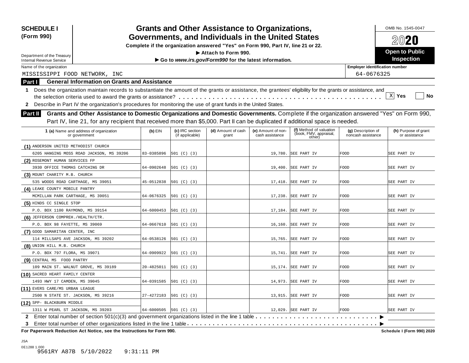| <b>SCHEDULE I</b><br>(Form 990)                                                                                                                                                                                                                                                                                                                                                                                                                      |            |                                    | <b>Grants and Other Assistance to Organizations,</b><br>Governments, and Individuals in the United States |                                       |                                                             |                                          | OMB No. 1545-0047<br>2020             |
|------------------------------------------------------------------------------------------------------------------------------------------------------------------------------------------------------------------------------------------------------------------------------------------------------------------------------------------------------------------------------------------------------------------------------------------------------|------------|------------------------------------|-----------------------------------------------------------------------------------------------------------|---------------------------------------|-------------------------------------------------------------|------------------------------------------|---------------------------------------|
|                                                                                                                                                                                                                                                                                                                                                                                                                                                      |            |                                    | Complete if the organization answered "Yes" on Form 990, Part IV, line 21 or 22.                          |                                       |                                                             |                                          |                                       |
|                                                                                                                                                                                                                                                                                                                                                                                                                                                      |            |                                    | Attach to Form 990.                                                                                       |                                       |                                                             |                                          | <b>Open to Public</b>                 |
| Department of the Treasury<br><b>Internal Revenue Service</b>                                                                                                                                                                                                                                                                                                                                                                                        |            |                                    | Go to www.irs.gov/Form990 for the latest information.                                                     |                                       |                                                             |                                          | <b>Inspection</b>                     |
| Name of the organization                                                                                                                                                                                                                                                                                                                                                                                                                             |            |                                    |                                                                                                           |                                       |                                                             | <b>Employer identification number</b>    |                                       |
| MISSISSIPPI FOOD NETWORK, INC                                                                                                                                                                                                                                                                                                                                                                                                                        |            |                                    |                                                                                                           |                                       |                                                             | 64-0676325                               |                                       |
| <b>General Information on Grants and Assistance</b><br>Part I                                                                                                                                                                                                                                                                                                                                                                                        |            |                                    |                                                                                                           |                                       |                                                             |                                          |                                       |
| 1 Does the organization maintain records to substantiate the amount of the grants or assistance, the grantees' eligibility for the grants or assistance, and<br>Describe in Part IV the organization's procedures for monitoring the use of grant funds in the United States.<br>$\mathbf{2}$<br>Grants and Other Assistance to Domestic Organizations and Domestic Governments. Complete if the organization answered "Yes" on Form 990,<br>Part II |            |                                    |                                                                                                           |                                       |                                                             |                                          | X Yes<br><b>No</b>                    |
| Part IV, line 21, for any recipient that received more than \$5,000. Part II can be duplicated if additional space is needed.                                                                                                                                                                                                                                                                                                                        |            |                                    |                                                                                                           |                                       |                                                             |                                          |                                       |
| 1 (a) Name and address of organization<br>or government                                                                                                                                                                                                                                                                                                                                                                                              | $(b)$ EIN  | (c) IRC section<br>(if applicable) | (d) Amount of cash<br>grant                                                                               | (e) Amount of non-<br>cash assistance | (f) Method of valuation<br>(book, FMV, appraisal,<br>other) | (g) Description of<br>noncash assistance | (h) Purpose of grant<br>or assistance |
| (1) ANDERSON UNITED METHODIST CHURCH                                                                                                                                                                                                                                                                                                                                                                                                                 |            |                                    |                                                                                                           |                                       |                                                             |                                          |                                       |
| 6205 HANGING MOSS ROAD JACKSON, MS 39206                                                                                                                                                                                                                                                                                                                                                                                                             | 83-0385896 | 501 (C) (3)                        |                                                                                                           |                                       | 19,780. SEE PART IV                                         | FOOD                                     | SEE PART IV                           |
| (2) ROSEMONT HUMAN SERVICES FP                                                                                                                                                                                                                                                                                                                                                                                                                       |            |                                    |                                                                                                           |                                       |                                                             |                                          |                                       |
| 3930 OFFICE THOMAS CATCHING DR                                                                                                                                                                                                                                                                                                                                                                                                                       | 64-0902648 | 501 (C) (3)                        |                                                                                                           |                                       | 19,400. SEE PART IV                                         | <b>FOOD</b>                              | SEE PART IV                           |
| (3) MOUNT CHARITY M.B. CHURCH                                                                                                                                                                                                                                                                                                                                                                                                                        |            |                                    |                                                                                                           |                                       |                                                             |                                          |                                       |
| 535 WOODS ROAD CARTHAGE, MS 39051                                                                                                                                                                                                                                                                                                                                                                                                                    | 45-0512838 | 501 (C) (3)                        |                                                                                                           |                                       | 17,418. SEE PART IV                                         | FOOD                                     | SEE PART IV                           |
| (4) LEAKE COUNTY MOBILE PANTRY                                                                                                                                                                                                                                                                                                                                                                                                                       |            |                                    |                                                                                                           |                                       |                                                             |                                          |                                       |
| MCMILLAN PARK CARTHAGE, MS 39051                                                                                                                                                                                                                                                                                                                                                                                                                     | 64-0676325 | 501 (C) (3)                        |                                                                                                           |                                       | 17,238. SEE PART IV                                         | FOOD                                     | SEE PART IV                           |
| (5) HINDS CC SINGLE STOP                                                                                                                                                                                                                                                                                                                                                                                                                             |            |                                    |                                                                                                           |                                       |                                                             |                                          |                                       |
| P.O. BOX 1100 RAYMOND, MS 39154                                                                                                                                                                                                                                                                                                                                                                                                                      | 64-6000453 | 501 (C) (3)                        |                                                                                                           |                                       | 17,184. SEE PART IV                                         | FOOD                                     | SEE PART IV                           |
| (6) JEFFERSON COMPREH. / HEALTH/CTR.                                                                                                                                                                                                                                                                                                                                                                                                                 |            |                                    |                                                                                                           |                                       |                                                             |                                          |                                       |
| P.O. BOX 98 FAYETTE, MS 39069                                                                                                                                                                                                                                                                                                                                                                                                                        | 64-0667610 | 501 (C) (3)                        |                                                                                                           | 16,160.                               | SEE PART IV                                                 | <b>FOOD</b>                              | SEE PART IV                           |
| (7) GOOD SAMARITAN CENTER, INC                                                                                                                                                                                                                                                                                                                                                                                                                       |            |                                    |                                                                                                           |                                       |                                                             |                                          |                                       |
| 114 MILLSAPS AVE JACKSON, MS 39202                                                                                                                                                                                                                                                                                                                                                                                                                   | 64-0538126 | 501 (C) (3)                        |                                                                                                           |                                       | 15,765. SEE PART IV                                         | FOOD                                     | SEE PART IV                           |
| (8) UNION HILL M.B. CHURCH                                                                                                                                                                                                                                                                                                                                                                                                                           |            |                                    |                                                                                                           |                                       |                                                             |                                          |                                       |
| P.O. BOX 797 FLORA, MS 39071                                                                                                                                                                                                                                                                                                                                                                                                                         | 64-0909922 | 501 (C) (3)                        |                                                                                                           |                                       | 15,741. SEE PART IV                                         | FOOD                                     | SEE PART IV                           |
| (9) CENTRAL MS FOOD PANTRY                                                                                                                                                                                                                                                                                                                                                                                                                           |            |                                    |                                                                                                           |                                       |                                                             |                                          |                                       |
| 109 MAIN ST. WALNUT GROVE, MS 39189                                                                                                                                                                                                                                                                                                                                                                                                                  | 20-4825011 | 501 (C) (3)                        |                                                                                                           |                                       | 15,174. SEE PART IV                                         | FOOD                                     | SEE PART IV                           |
| (10) SACRED HEART FAMILY CENTER                                                                                                                                                                                                                                                                                                                                                                                                                      |            |                                    |                                                                                                           |                                       |                                                             |                                          |                                       |
| 1493 HWY 17 CAMDEN, MS 39045                                                                                                                                                                                                                                                                                                                                                                                                                         | 64-0391585 | 501 (C) (3)                        |                                                                                                           |                                       | 14,973. SEE PART IV                                         | FOOD                                     | SEE PART IV                           |
| (11) EVERS CARE/MS URBAN LEAGUE                                                                                                                                                                                                                                                                                                                                                                                                                      |            |                                    |                                                                                                           |                                       |                                                             |                                          |                                       |
|                                                                                                                                                                                                                                                                                                                                                                                                                                                      |            | 501 (C) (3)                        |                                                                                                           |                                       | 13,915. SEE PART IV                                         | <b>FOOD</b>                              | SEE PART IV                           |
| 2500 N STATE ST. JACKSON, MS 39216                                                                                                                                                                                                                                                                                                                                                                                                                   | 27-4272183 |                                    |                                                                                                           |                                       |                                                             |                                          |                                       |
| (12) SPP- BLACKBURN MIDDLE                                                                                                                                                                                                                                                                                                                                                                                                                           |            |                                    |                                                                                                           |                                       |                                                             |                                          |                                       |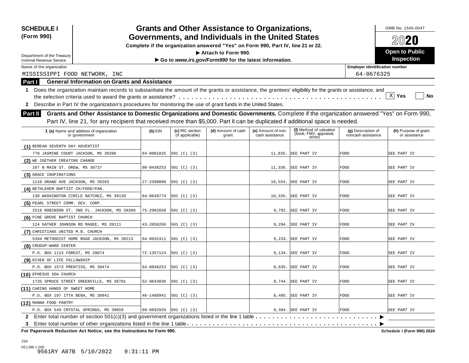| <b>SCHEDULE I</b><br>(Form 990)                                                                                                                                                                                                                                                                                                                                                                                                               |            |                                    | <b>Grants and Other Assistance to Organizations,</b><br>Governments, and Individuals in the United States |                                       |                                                             |                                          | OMB No. 1545-0047<br>2020             |
|-----------------------------------------------------------------------------------------------------------------------------------------------------------------------------------------------------------------------------------------------------------------------------------------------------------------------------------------------------------------------------------------------------------------------------------------------|------------|------------------------------------|-----------------------------------------------------------------------------------------------------------|---------------------------------------|-------------------------------------------------------------|------------------------------------------|---------------------------------------|
|                                                                                                                                                                                                                                                                                                                                                                                                                                               |            |                                    | Complete if the organization answered "Yes" on Form 990, Part IV, line 21 or 22.                          |                                       |                                                             |                                          |                                       |
| Department of the Treasury                                                                                                                                                                                                                                                                                                                                                                                                                    |            |                                    | Attach to Form 990.                                                                                       |                                       |                                                             |                                          | <b>Open to Public</b>                 |
| Internal Revenue Service                                                                                                                                                                                                                                                                                                                                                                                                                      |            |                                    | Go to www.irs.gov/Form990 for the latest information.                                                     |                                       |                                                             |                                          | <b>Inspection</b>                     |
| Name of the organization                                                                                                                                                                                                                                                                                                                                                                                                                      |            |                                    |                                                                                                           |                                       |                                                             | <b>Employer identification number</b>    |                                       |
| MISSISSIPPI FOOD NETWORK, INC                                                                                                                                                                                                                                                                                                                                                                                                                 |            |                                    |                                                                                                           |                                       |                                                             | 64-0676325                               |                                       |
| <b>General Information on Grants and Assistance</b><br>Part I                                                                                                                                                                                                                                                                                                                                                                                 |            |                                    |                                                                                                           |                                       |                                                             |                                          |                                       |
| 1 Does the organization maintain records to substantiate the amount of the grants or assistance, the grantees' eligibility for the grants or assistance, and<br>2 Describe in Part IV the organization's procedures for monitoring the use of grant funds in the United States.<br>Grants and Other Assistance to Domestic Organizations and Domestic Governments. Complete if the organization answered "Yes" on Form 990,<br><b>Part II</b> |            |                                    |                                                                                                           |                                       |                                                             |                                          | $X$ Yes<br>No                         |
| Part IV, line 21, for any recipient that received more than \$5,000. Part II can be duplicated if additional space is needed.                                                                                                                                                                                                                                                                                                                 |            |                                    |                                                                                                           |                                       |                                                             |                                          |                                       |
| 1 (a) Name and address of organization<br>or government                                                                                                                                                                                                                                                                                                                                                                                       | $(b)$ EIN  | (c) IRC section<br>(if applicable) | (d) Amount of cash<br>grant                                                                               | (e) Amount of non-<br>cash assistance | (f) Method of valuation<br>(book, FMV, appraisal,<br>other) | (g) Description of<br>noncash assistance | (h) Purpose of grant<br>or assistance |
| (1) BEREAN SEVENTH DAY ADVENTIST                                                                                                                                                                                                                                                                                                                                                                                                              |            |                                    |                                                                                                           |                                       |                                                             |                                          |                                       |
| 770 JASMINE COURT JACKSON, MS 39206                                                                                                                                                                                                                                                                                                                                                                                                           | 64-0901825 | 501 (C) (3)                        |                                                                                                           |                                       | 11,835. SEE PART IV                                         | FOOD                                     | SEE PART IV                           |
| (2) WE 2GETHER CREATING CHANGE                                                                                                                                                                                                                                                                                                                                                                                                                |            |                                    |                                                                                                           |                                       |                                                             |                                          |                                       |
| 167 N MAIN ST. DREW, MS 38737                                                                                                                                                                                                                                                                                                                                                                                                                 | 80-0438253 | 501 (C) (3)                        |                                                                                                           |                                       | 11,336. SEE PART IV                                         | <b>FOOD</b>                              | SEE PART IV                           |
| (3) GRACE INSPIRATIONS                                                                                                                                                                                                                                                                                                                                                                                                                        |            |                                    |                                                                                                           |                                       |                                                             |                                          |                                       |
| 1110 GRAND AVE JACKSON, MS 39203                                                                                                                                                                                                                                                                                                                                                                                                              | 27-2390800 | 501 (C) (3)                        |                                                                                                           |                                       | 10,554. SEE PART IV                                         | FOOD                                     | SEE PART IV                           |
| (4) BETHLEHEM BAPTIST CH/FOOD/PAN.                                                                                                                                                                                                                                                                                                                                                                                                            |            |                                    |                                                                                                           |                                       |                                                             |                                          |                                       |
| 138 WASHINGTON CIRCLE NATCHEZ, MS 39120                                                                                                                                                                                                                                                                                                                                                                                                       | 64-0649774 | 501 (C) (3)                        |                                                                                                           |                                       | 10,335. SEE PART IV                                         | FOOD                                     | SEE PART IV                           |
| (5) PEARL STREET COMM. DEV. CORP.                                                                                                                                                                                                                                                                                                                                                                                                             |            |                                    |                                                                                                           |                                       |                                                             |                                          |                                       |
| 2519 ROBINSON ST. 2ND FL. JACKSON, MS 39209                                                                                                                                                                                                                                                                                                                                                                                                   | 75-2982650 | 501 (C) (3)                        |                                                                                                           |                                       | 9,782. SEE PART IV                                          | FOOD                                     | SEE PART IV                           |
| (6) PINE GROVE BAPTIST CHURCH                                                                                                                                                                                                                                                                                                                                                                                                                 |            |                                    |                                                                                                           |                                       |                                                             |                                          |                                       |
| 124 GATHER JOHNSON RD MAGEE, MS 39111                                                                                                                                                                                                                                                                                                                                                                                                         | 43-2058266 | 501 (C) (3)                        |                                                                                                           | 9,294.                                | SEE PART IV                                                 | <b>FOOD</b>                              | SEE PART IV                           |
| (7) CHRISTIANS UNITED M.B. CHURCH                                                                                                                                                                                                                                                                                                                                                                                                             |            |                                    |                                                                                                           |                                       |                                                             |                                          |                                       |
| 5394 METHODIST HOME ROAD JACKSON, MS 39213                                                                                                                                                                                                                                                                                                                                                                                                    | 64-0832411 | 501 (C) (3)                        |                                                                                                           |                                       | 9,233. SEE PART IV                                          | FOOD                                     | SEE PART IV                           |
| (8) CRUDUP-WARD CENTER                                                                                                                                                                                                                                                                                                                                                                                                                        |            |                                    |                                                                                                           |                                       |                                                             |                                          |                                       |
| P.O. BOX 1113 FOREST, MS 39074                                                                                                                                                                                                                                                                                                                                                                                                                | 72-1357124 | 501 (C) (3)                        |                                                                                                           |                                       | 9,134. SEE PART IV                                          | FOOD                                     | SEE PART IV                           |
| (9) RIVER OF LIFE FELLOWSHIP                                                                                                                                                                                                                                                                                                                                                                                                                  |            |                                    |                                                                                                           |                                       |                                                             |                                          |                                       |
| P.O. BOX 1573 PRENTISS, MS 39474                                                                                                                                                                                                                                                                                                                                                                                                              | 64-0848253 | 501 (C) (3)                        |                                                                                                           |                                       | 8,835. SEE PART IV                                          | FOOD                                     | SEE PART IV                           |
| (10) EPHESUS SDA CHURCH                                                                                                                                                                                                                                                                                                                                                                                                                       |            |                                    |                                                                                                           |                                       |                                                             |                                          |                                       |
| 1735 SPRUCE STREET GREENVILLE, MS 38701                                                                                                                                                                                                                                                                                                                                                                                                       | 52-0643036 | 501 (C) (3)                        |                                                                                                           |                                       | 8,744. SEE PART IV                                          | FOOD                                     | SEE PART IV                           |
| (11) CARING HANDS OF SWEET HOME                                                                                                                                                                                                                                                                                                                                                                                                               |            |                                    |                                                                                                           |                                       |                                                             |                                          |                                       |
| P.O. BOX 197 ITTA BENA, MS 38941                                                                                                                                                                                                                                                                                                                                                                                                              | 46-1488941 | 501 (C) (3)                        |                                                                                                           |                                       | 8,485. SEE PART IV                                          | <b>FOOD</b>                              | SEE PART IV                           |
| (12) MANNA FOOD PANTRY                                                                                                                                                                                                                                                                                                                                                                                                                        |            |                                    |                                                                                                           |                                       |                                                             |                                          |                                       |
| P.O. BOX 549 CRYSTAL SPRINGS, MS 39059                                                                                                                                                                                                                                                                                                                                                                                                        | 69-0692926 | 501 (C) (3)                        |                                                                                                           |                                       | 8,384. SEE PART IV                                          | <b>FOOD</b>                              | SEE PART IV                           |
| 2 Enter total number of section 501(c)(3) and government organizations listed in the line 1 table                                                                                                                                                                                                                                                                                                                                             |            |                                    |                                                                                                           |                                       |                                                             |                                          |                                       |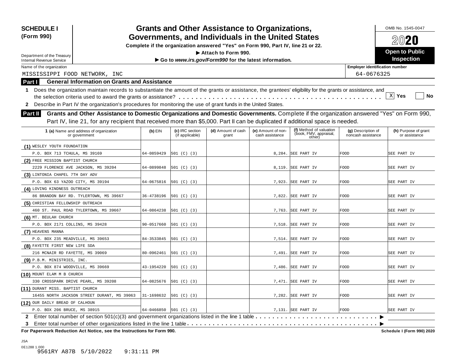| <b>SCHEDULE I</b><br>(Form 990)                                                                                                                                                                                                                                                                   |            |                                    | <b>Grants and Other Assistance to Organizations,</b><br>Governments, and Individuals in the United States |                                       |                                                             |                                          | OMB No. 1545-0047                     |
|---------------------------------------------------------------------------------------------------------------------------------------------------------------------------------------------------------------------------------------------------------------------------------------------------|------------|------------------------------------|-----------------------------------------------------------------------------------------------------------|---------------------------------------|-------------------------------------------------------------|------------------------------------------|---------------------------------------|
|                                                                                                                                                                                                                                                                                                   |            |                                    | Complete if the organization answered "Yes" on Form 990, Part IV, line 21 or 22.                          |                                       |                                                             |                                          | 2020                                  |
|                                                                                                                                                                                                                                                                                                   |            |                                    | Attach to Form 990.                                                                                       |                                       |                                                             |                                          | <b>Open to Public</b>                 |
| Department of the Treasury<br><b>Internal Revenue Service</b>                                                                                                                                                                                                                                     |            |                                    | Go to www.irs.gov/Form990 for the latest information.                                                     |                                       |                                                             |                                          | <b>Inspection</b>                     |
| Name of the organization                                                                                                                                                                                                                                                                          |            |                                    |                                                                                                           |                                       |                                                             | <b>Employer identification number</b>    |                                       |
| MISSISSIPPI FOOD NETWORK, INC                                                                                                                                                                                                                                                                     |            |                                    |                                                                                                           |                                       |                                                             | 64-0676325                               |                                       |
| <b>General Information on Grants and Assistance</b><br>Part I                                                                                                                                                                                                                                     |            |                                    |                                                                                                           |                                       |                                                             |                                          |                                       |
| Does the organization maintain records to substantiate the amount of the grants or assistance, the grantees' eligibility for the grants or assistance, and<br>1.<br>Describe in Part IV the organization's procedures for monitoring the use of grant funds in the United States.<br>$\mathbf{2}$ |            |                                    |                                                                                                           |                                       |                                                             |                                          | $X$ Yes<br>No                         |
| Grants and Other Assistance to Domestic Organizations and Domestic Governments. Complete if the organization answered "Yes" on Form 990,<br>Part II                                                                                                                                               |            |                                    |                                                                                                           |                                       |                                                             |                                          |                                       |
| Part IV, line 21, for any recipient that received more than \$5,000. Part II can be duplicated if additional space is needed.<br>1 (a) Name and address of organization<br>or government                                                                                                          | $(b)$ EIN  | (c) IRC section<br>(if applicable) | (d) Amount of cash<br>grant                                                                               | (e) Amount of non-<br>cash assistance | (f) Method of valuation<br>(book, FMV, appraisal,<br>other) | (g) Description of<br>noncash assistance | (h) Purpose of grant<br>or assistance |
| (1) WESLEY YOUTH FOUNDATION                                                                                                                                                                                                                                                                       |            |                                    |                                                                                                           |                                       |                                                             |                                          |                                       |
| P.O. BOX 713 TCHULA, MS 39169                                                                                                                                                                                                                                                                     | 64-0859429 | 501 (C) (3)                        |                                                                                                           |                                       | 8,284. SEE PART IV                                          | <b>FOOD</b>                              | SEE PART IV                           |
| (2) FREE MISSION BAPTIST CHURCH                                                                                                                                                                                                                                                                   |            |                                    |                                                                                                           |                                       |                                                             |                                          |                                       |
| 2229 FLORENCE AVE JACKSON, MS 39204                                                                                                                                                                                                                                                               | 64-0899848 | 501 (C) (3)                        |                                                                                                           |                                       | 8,119. SEE PART IV                                          | FOOD                                     | SEE PART IV                           |
| (3) LINTONIA CHAPEL 7TH DAY ADV                                                                                                                                                                                                                                                                   |            |                                    |                                                                                                           |                                       |                                                             |                                          |                                       |
| P.O. BOX 63 YAZOO CITY, MS 39194                                                                                                                                                                                                                                                                  | 64-0675816 | 501 (C) (3)                        |                                                                                                           |                                       | 7,923. SEE PART IV                                          | FOOD                                     | SEE PART IV                           |
| (4) LOVING KINDNESS OUTREACH                                                                                                                                                                                                                                                                      |            |                                    |                                                                                                           |                                       |                                                             |                                          |                                       |
| 86 BRANDON BAY RD. TYLERTOWN, MS 39667                                                                                                                                                                                                                                                            | 36-4738196 | 501 (C) (3)                        |                                                                                                           |                                       | 7,822. SEE PART IV                                          | FOOD                                     | SEE PART IV                           |
| (5) CHRISTIAN FELLOWSHIP OUTREACH                                                                                                                                                                                                                                                                 |            |                                    |                                                                                                           |                                       |                                                             |                                          |                                       |
| 460 ST. PAUL ROAD TYLERTOWN, MS 39667                                                                                                                                                                                                                                                             | 64-0864238 | 501 (C) (3)                        |                                                                                                           | 7,763.                                | SEE PART IV                                                 | FOOD                                     | SEE PART IV                           |
| (6) MT. BEULAH CHURCH                                                                                                                                                                                                                                                                             |            |                                    |                                                                                                           |                                       |                                                             |                                          |                                       |
| P.O. BOX 2171 COLLINS, MS 39428                                                                                                                                                                                                                                                                   | 90-0517660 | 501 (C) (3)                        |                                                                                                           | 7,518.                                | SEE PART IV                                                 | <b>FOOD</b>                              | SEE PART IV                           |
| (7) HEAVENS MANNA                                                                                                                                                                                                                                                                                 |            |                                    |                                                                                                           |                                       |                                                             |                                          |                                       |
| P.O. BOX 235 MEADVILLE, MS 39653                                                                                                                                                                                                                                                                  | 84-3533845 | 501 (C) (3)                        |                                                                                                           |                                       | 7,514. SEE PART IV                                          | FOOD                                     | SEE PART IV                           |
| (8) FAYETTE FIRST NEW LIFE SDA                                                                                                                                                                                                                                                                    |            |                                    |                                                                                                           |                                       |                                                             |                                          |                                       |
| 216 MCNAIR RD FAYETTE, MS 39069                                                                                                                                                                                                                                                                   | 80-0962461 | 501 (C) (3)                        |                                                                                                           |                                       | 7,491. SEE PART IV                                          | FOOD                                     | SEE PART IV                           |
| (9) P.B.M. MINISTRIES, INC.                                                                                                                                                                                                                                                                       |            |                                    |                                                                                                           |                                       |                                                             |                                          |                                       |
| P.O. BOX 874 WOODVILLE, MS 39669                                                                                                                                                                                                                                                                  | 43-1954220 | 501 (C) (3)                        |                                                                                                           |                                       | 7,486. SEE PART IV                                          | <b>FOOD</b>                              | SEE PART IV                           |
| (10) MOUNT ELAM M B CHURCH                                                                                                                                                                                                                                                                        |            |                                    |                                                                                                           |                                       |                                                             |                                          |                                       |
| 330 CROSSPARK DRIVE PEARL, MS 39208                                                                                                                                                                                                                                                               | 64-0825676 | 501 (C) (3)                        |                                                                                                           |                                       | 7,471. SEE PART IV                                          | <b>FOOD</b>                              | SEE PART IV                           |
| (11) DURANT MISS. BAPTIST CHURCH                                                                                                                                                                                                                                                                  |            |                                    |                                                                                                           |                                       |                                                             |                                          |                                       |
| 16455 NORTH JACKSON STREET DURANT, MS 39063                                                                                                                                                                                                                                                       | 31-1698632 | [501 (C) (3)                       |                                                                                                           |                                       | 7,282. SEE PART IV                                          | <b>FOOD</b>                              | SEE PART IV                           |
| (12) OUR DAILY BREAD OF CALHOUN                                                                                                                                                                                                                                                                   |            |                                    |                                                                                                           |                                       |                                                             |                                          |                                       |
| P.O. BOX 206 BRUCE, MS 38915                                                                                                                                                                                                                                                                      | 64-0466850 | 501 (C) (3)                        |                                                                                                           |                                       | 7,131. SEE PART IV                                          | <b>FOOD</b>                              | SEE PART IV                           |
| 2 Enter total number of section 501(c)(3) and government organizations listed in the line 1 table<br>3                                                                                                                                                                                            |            |                                    |                                                                                                           |                                       |                                                             |                                          |                                       |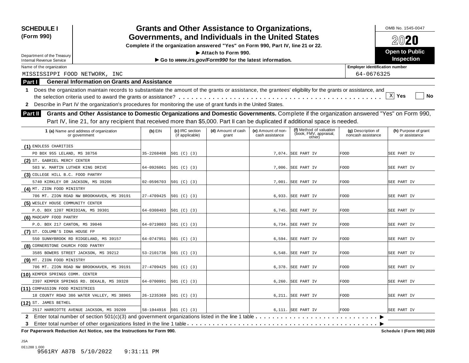| <b>SCHEDULE I</b><br>(Form 990)                                                                                                                                                                                                                                                                                                                                                                                                                      |            |                                    | <b>Grants and Other Assistance to Organizations,</b><br>Governments, and Individuals in the United States |                                       |                                                             |                                          | OMB No. 1545-0047                     |
|------------------------------------------------------------------------------------------------------------------------------------------------------------------------------------------------------------------------------------------------------------------------------------------------------------------------------------------------------------------------------------------------------------------------------------------------------|------------|------------------------------------|-----------------------------------------------------------------------------------------------------------|---------------------------------------|-------------------------------------------------------------|------------------------------------------|---------------------------------------|
|                                                                                                                                                                                                                                                                                                                                                                                                                                                      |            |                                    | Complete if the organization answered "Yes" on Form 990, Part IV, line 21 or 22.                          |                                       |                                                             |                                          | 2020                                  |
|                                                                                                                                                                                                                                                                                                                                                                                                                                                      |            |                                    | Attach to Form 990.                                                                                       |                                       |                                                             |                                          | <b>Open to Public</b>                 |
| Department of the Treasury<br><b>Internal Revenue Service</b>                                                                                                                                                                                                                                                                                                                                                                                        |            |                                    | Go to www.irs.gov/Form990 for the latest information.                                                     |                                       |                                                             |                                          | <b>Inspection</b>                     |
| Name of the organization                                                                                                                                                                                                                                                                                                                                                                                                                             |            |                                    |                                                                                                           |                                       |                                                             | <b>Employer identification number</b>    |                                       |
| MISSISSIPPI FOOD NETWORK, INC                                                                                                                                                                                                                                                                                                                                                                                                                        |            |                                    |                                                                                                           |                                       |                                                             | 64-0676325                               |                                       |
| <b>General Information on Grants and Assistance</b><br>Part I                                                                                                                                                                                                                                                                                                                                                                                        |            |                                    |                                                                                                           |                                       |                                                             |                                          |                                       |
| 1 Does the organization maintain records to substantiate the amount of the grants or assistance, the grantees' eligibility for the grants or assistance, and<br>Describe in Part IV the organization's procedures for monitoring the use of grant funds in the United States.<br>$\mathbf{2}$<br>Grants and Other Assistance to Domestic Organizations and Domestic Governments. Complete if the organization answered "Yes" on Form 990,<br>Part II |            |                                    |                                                                                                           |                                       |                                                             |                                          | XI Yes<br><b>No</b>                   |
| Part IV, line 21, for any recipient that received more than \$5,000. Part II can be duplicated if additional space is needed.                                                                                                                                                                                                                                                                                                                        |            |                                    |                                                                                                           |                                       |                                                             |                                          |                                       |
| 1 (a) Name and address of organization<br>or government                                                                                                                                                                                                                                                                                                                                                                                              | $(b)$ EIN  | (c) IRC section<br>(if applicable) | (d) Amount of cash<br>grant                                                                               | (e) Amount of non-<br>cash assistance | (f) Method of valuation<br>(book, FMV, appraisal,<br>other) | (g) Description of<br>noncash assistance | (h) Purpose of grant<br>or assistance |
| (1) ENDLESS CHARITIES                                                                                                                                                                                                                                                                                                                                                                                                                                |            |                                    |                                                                                                           |                                       |                                                             |                                          |                                       |
| PO BOX 955 LELAND, MS 38756                                                                                                                                                                                                                                                                                                                                                                                                                          | 35-2268408 | 501 (C) (3)                        |                                                                                                           |                                       | 7,074. SEE PART IV                                          | FOOD                                     | SEE PART IV                           |
| (2) ST. GABRIEL MERCY CENTER                                                                                                                                                                                                                                                                                                                                                                                                                         |            |                                    |                                                                                                           |                                       |                                                             |                                          |                                       |
| 503 W. MARTIN LUTHER KING DRIVE                                                                                                                                                                                                                                                                                                                                                                                                                      | 64-0926061 | 501 (C) (3)                        |                                                                                                           |                                       | 7,006. SEE PART IV                                          | <b>FOOD</b>                              | SEE PART IV                           |
| (3) COLLEGE HILL B.C. FOOD PANTRY                                                                                                                                                                                                                                                                                                                                                                                                                    |            |                                    |                                                                                                           |                                       |                                                             |                                          |                                       |
| 5740 KIRKLEY DR JACKSON, MS 39206                                                                                                                                                                                                                                                                                                                                                                                                                    | 02-0596703 | 501 (C) (3)                        |                                                                                                           |                                       | 7,001. SEE PART IV                                          | FOOD                                     | SEE PART IV                           |
| (4) MT. ZION FOOD MINISTRY                                                                                                                                                                                                                                                                                                                                                                                                                           |            |                                    |                                                                                                           |                                       |                                                             |                                          |                                       |
| 706 MT. ZION ROAD NW BROOKHAVEN, MS 39191                                                                                                                                                                                                                                                                                                                                                                                                            | 27-4709425 | 501 (C) (3)                        |                                                                                                           |                                       | 6,933. SEE PART IV                                          | FOOD                                     | SEE PART IV                           |
| (5) WESLEY HOUSE COMMUNITY CENTER                                                                                                                                                                                                                                                                                                                                                                                                                    |            |                                    |                                                                                                           |                                       |                                                             |                                          |                                       |
| P.O. BOX 1207 MERIDIAN, MS 39301                                                                                                                                                                                                                                                                                                                                                                                                                     | 64-0308403 | 501 (C) (3)                        |                                                                                                           |                                       | 6,745. SEE PART IV                                          | FOOD                                     | SEE PART IV                           |
| (6) MADCAPP FOOD PANTRY                                                                                                                                                                                                                                                                                                                                                                                                                              |            |                                    |                                                                                                           |                                       |                                                             |                                          |                                       |
| P.O. BOX 217 CANTON, MS 39046                                                                                                                                                                                                                                                                                                                                                                                                                        | 64-0719803 | 501 (C) (3)                        |                                                                                                           | 6,734.                                | SEE PART IV                                                 | <b>FOOD</b>                              | SEE PART IV                           |
| (7) ST. COLUMB'S IONA HOUSE FP                                                                                                                                                                                                                                                                                                                                                                                                                       |            |                                    |                                                                                                           |                                       |                                                             |                                          |                                       |
| 550 SUNNYBROOK RD RIDGELAND, MS 39157                                                                                                                                                                                                                                                                                                                                                                                                                | 64-0747951 | 501 (C) (3)                        |                                                                                                           |                                       | 6,594. SEE PART IV                                          | FOOD                                     | SEE PART IV                           |
| (8) CORNERSTONE CHURCH FOOD PANTRY                                                                                                                                                                                                                                                                                                                                                                                                                   |            |                                    |                                                                                                           |                                       |                                                             |                                          |                                       |
| 3585 BOWERS STREET JACKSON, MS 39212                                                                                                                                                                                                                                                                                                                                                                                                                 | 53-2101736 | 501 (C) (3)                        |                                                                                                           |                                       | $6,548.$ SEE PART IV                                        | FOOD                                     | SEE PART IV                           |
| (9) MT. ZION FOOD MINISTRY                                                                                                                                                                                                                                                                                                                                                                                                                           |            |                                    |                                                                                                           |                                       |                                                             |                                          |                                       |
| 706 MT. ZION ROAD NW BROOKHAVEN, MS 39191                                                                                                                                                                                                                                                                                                                                                                                                            | 27-4709425 | 501 (C) (3)                        |                                                                                                           |                                       | 6,378. SEE PART IV                                          | <b>FOOD</b>                              | SEE PART IV                           |
| (10) KEMPER SPRINGS COMM. CENTER                                                                                                                                                                                                                                                                                                                                                                                                                     |            |                                    |                                                                                                           |                                       |                                                             |                                          |                                       |
| 2397 KEMPER SPRINGS RD. DEKALB, MS 39328                                                                                                                                                                                                                                                                                                                                                                                                             | 64-0700991 | 501 (C) (3)                        |                                                                                                           |                                       | $6,260.$ SEE PART IV                                        | FOOD                                     | SEE PART IV                           |
|                                                                                                                                                                                                                                                                                                                                                                                                                                                      |            |                                    |                                                                                                           |                                       |                                                             |                                          |                                       |
|                                                                                                                                                                                                                                                                                                                                                                                                                                                      |            |                                    |                                                                                                           |                                       |                                                             |                                          |                                       |
| (11) COMPASSION FOOD MINISTRIES<br>18 COUNTY ROAD 386 WATER VALLEY, MS 38965                                                                                                                                                                                                                                                                                                                                                                         | 26-1235369 | 501 (C) (3)                        |                                                                                                           |                                       | 6,211. SEE PART IV                                          | <b>FOOD</b>                              | SEE PART IV                           |
| (12) ST. JAMES BETHEL                                                                                                                                                                                                                                                                                                                                                                                                                                |            |                                    |                                                                                                           |                                       |                                                             |                                          |                                       |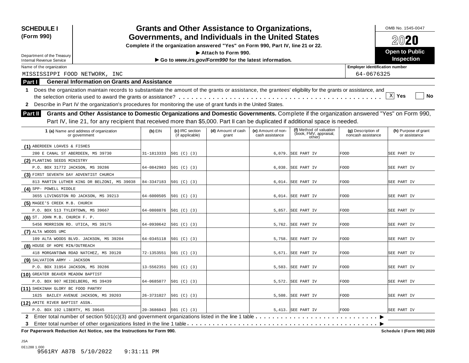| <b>SCHEDULE I</b><br>(Form 990)                                                                                                                                                                                                                                                                                                                                                                                                                      |            |                                    | <b>Grants and Other Assistance to Organizations,</b><br>Governments, and Individuals in the United States |                                       |                                                             |                                          | OMB No. 1545-0047<br>2020             |
|------------------------------------------------------------------------------------------------------------------------------------------------------------------------------------------------------------------------------------------------------------------------------------------------------------------------------------------------------------------------------------------------------------------------------------------------------|------------|------------------------------------|-----------------------------------------------------------------------------------------------------------|---------------------------------------|-------------------------------------------------------------|------------------------------------------|---------------------------------------|
|                                                                                                                                                                                                                                                                                                                                                                                                                                                      |            |                                    | Complete if the organization answered "Yes" on Form 990, Part IV, line 21 or 22.                          |                                       |                                                             |                                          |                                       |
| Department of the Treasury                                                                                                                                                                                                                                                                                                                                                                                                                           |            |                                    | Attach to Form 990.                                                                                       |                                       |                                                             |                                          | <b>Open to Public</b>                 |
| <b>Internal Revenue Service</b>                                                                                                                                                                                                                                                                                                                                                                                                                      |            |                                    | Go to www.irs.gov/Form990 for the latest information.                                                     |                                       |                                                             |                                          | <b>Inspection</b>                     |
| Name of the organization                                                                                                                                                                                                                                                                                                                                                                                                                             |            |                                    |                                                                                                           |                                       |                                                             | <b>Employer identification number</b>    |                                       |
| MISSISSIPPI FOOD NETWORK, INC                                                                                                                                                                                                                                                                                                                                                                                                                        |            |                                    |                                                                                                           |                                       |                                                             | 64-0676325                               |                                       |
| <b>General Information on Grants and Assistance</b><br>Part I                                                                                                                                                                                                                                                                                                                                                                                        |            |                                    |                                                                                                           |                                       |                                                             |                                          |                                       |
| 1 Does the organization maintain records to substantiate the amount of the grants or assistance, the grantees' eligibility for the grants or assistance, and<br>Describe in Part IV the organization's procedures for monitoring the use of grant funds in the United States.<br>$\mathbf{2}$<br>Grants and Other Assistance to Domestic Organizations and Domestic Governments. Complete if the organization answered "Yes" on Form 990,<br>Part II |            |                                    |                                                                                                           |                                       |                                                             |                                          | XI Yes<br><b>No</b>                   |
| Part IV, line 21, for any recipient that received more than \$5,000. Part II can be duplicated if additional space is needed.                                                                                                                                                                                                                                                                                                                        |            |                                    |                                                                                                           |                                       |                                                             |                                          |                                       |
| 1 (a) Name and address of organization<br>or government                                                                                                                                                                                                                                                                                                                                                                                              | $(b)$ EIN  | (c) IRC section<br>(if applicable) | (d) Amount of cash<br>grant                                                                               | (e) Amount of non-<br>cash assistance | (f) Method of valuation<br>(book, FMV, appraisal,<br>other) | (g) Description of<br>noncash assistance | (h) Purpose of grant<br>or assistance |
| (1) ABERDEEN LOAVES & FISHES                                                                                                                                                                                                                                                                                                                                                                                                                         |            |                                    |                                                                                                           |                                       |                                                             |                                          |                                       |
| 200 E CANAL ST ABERDEEN, MS 39730                                                                                                                                                                                                                                                                                                                                                                                                                    | 31-1813333 | 501 (C) (3)                        |                                                                                                           |                                       | 6,079. SEE PART IV                                          | FOOD                                     | SEE PART IV                           |
| (2) PLANTING SEEDS MINISTRY                                                                                                                                                                                                                                                                                                                                                                                                                          |            |                                    |                                                                                                           |                                       |                                                             |                                          |                                       |
| P.O. BOX 31772 JACKSON, MS 39286                                                                                                                                                                                                                                                                                                                                                                                                                     | 64-0842983 | 501 (C) (3)                        |                                                                                                           |                                       | 6,038. SEE PART IV                                          | <b>FOOD</b>                              | SEE PART IV                           |
| (3) FIRST SEVENTH DAY ADVENTIST CHURCH                                                                                                                                                                                                                                                                                                                                                                                                               |            |                                    |                                                                                                           |                                       |                                                             |                                          |                                       |
| 813 MARTIN LUTHER KING DR BELZONI, MS 39038                                                                                                                                                                                                                                                                                                                                                                                                          | 84-3347183 | 501 (C) (3)                        |                                                                                                           |                                       | 6,014. SEE PART IV                                          | FOOD                                     | SEE PART IV                           |
| (4) SPP- POWELL MIDDLE                                                                                                                                                                                                                                                                                                                                                                                                                               |            |                                    |                                                                                                           |                                       |                                                             |                                          |                                       |
| 3655 LIVINGSTON RD JACKSON, MS 39213                                                                                                                                                                                                                                                                                                                                                                                                                 | 64-6000505 | 501 (C) (3)                        |                                                                                                           |                                       | 6,014. SEE PART IV                                          | FOOD                                     | SEE PART IV                           |
| (5) MAGEE'S CREEK M.B. CHURCH                                                                                                                                                                                                                                                                                                                                                                                                                        |            |                                    |                                                                                                           |                                       |                                                             |                                          |                                       |
| P.O. BOX 513 TYLERTOWN, MS 39667                                                                                                                                                                                                                                                                                                                                                                                                                     | 64-0808876 | 501 (C) (3)                        |                                                                                                           |                                       | 5,857. SEE PART IV                                          | FOOD                                     | SEE PART IV                           |
| (6) ST. JOHN M.B. CHURCH F. P.                                                                                                                                                                                                                                                                                                                                                                                                                       |            |                                    |                                                                                                           |                                       |                                                             |                                          |                                       |
| 5456 MORRISON RD. UTICA, MS 39175                                                                                                                                                                                                                                                                                                                                                                                                                    | 64-0930642 | 501 (C) (3)                        |                                                                                                           | 5,762.                                | SEE PART IV                                                 | <b>FOOD</b>                              | SEE PART IV                           |
| (7) ALTA WOODS UMC                                                                                                                                                                                                                                                                                                                                                                                                                                   |            |                                    |                                                                                                           |                                       |                                                             |                                          |                                       |
| 109 ALTA WOODS BLVD. JACKSON, MS 39204                                                                                                                                                                                                                                                                                                                                                                                                               | 64-0345118 | 501 (C) (3)                        |                                                                                                           |                                       | 5,758. SEE PART IV                                          | FOOD                                     | SEE PART IV                           |
| (8) HOUSE OF HOPE MIN/OUTREACH                                                                                                                                                                                                                                                                                                                                                                                                                       |            |                                    |                                                                                                           |                                       |                                                             |                                          |                                       |
| 418 MORGANTOWN ROAD NATCHEZ, MS 39120                                                                                                                                                                                                                                                                                                                                                                                                                | 72-1353551 | 501 (C) (3)                        |                                                                                                           |                                       | 5,671. SEE PART IV                                          | FOOD                                     | SEE PART IV                           |
| (9) SALVATION ARMY - JACKSON                                                                                                                                                                                                                                                                                                                                                                                                                         |            |                                    |                                                                                                           |                                       |                                                             |                                          |                                       |
| P.O. BOX 31954 JACKSON, MS 39286                                                                                                                                                                                                                                                                                                                                                                                                                     | 13-5562351 | 501 (C) (3)                        |                                                                                                           |                                       | 5,583. SEE PART IV                                          | FOOD                                     | SEE PART IV                           |
| (10) GREATER BEAVER MEADOW BAPTIST                                                                                                                                                                                                                                                                                                                                                                                                                   |            |                                    |                                                                                                           |                                       |                                                             |                                          |                                       |
|                                                                                                                                                                                                                                                                                                                                                                                                                                                      | 64-0685077 | 501 (C) (3)                        |                                                                                                           |                                       | 5,572. SEE PART IV                                          | FOOD                                     | SEE PART IV                           |
| P.O. BOX 907 HEIDELBERG, MS 39439                                                                                                                                                                                                                                                                                                                                                                                                                    |            |                                    |                                                                                                           |                                       |                                                             |                                          |                                       |
|                                                                                                                                                                                                                                                                                                                                                                                                                                                      |            |                                    |                                                                                                           |                                       |                                                             |                                          |                                       |
| (11) SHEKINAH GLORY BC FOOD PANTRY<br>1625 BAILEY AVENUE JACKSON, MS 39203                                                                                                                                                                                                                                                                                                                                                                           | 26-3731027 | 501 (C) (3)                        |                                                                                                           |                                       | 5,508. SEE PART IV                                          | <b>FOOD</b>                              | SEE PART IV                           |
| (12) AMITE RIVER BAPTIST ASSN.                                                                                                                                                                                                                                                                                                                                                                                                                       |            |                                    |                                                                                                           |                                       |                                                             |                                          |                                       |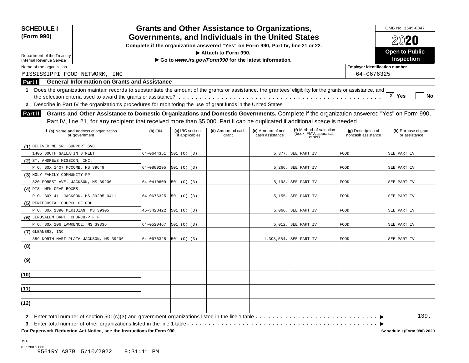| <b>SCHEDULE I</b><br>Governments, and Individuals in the United States<br>(Form 990)                                                                                                                                                                                                        |            | OMB No. 1545-0047                  |                                                                                  |                                       |                                                             |                                          |                                       |
|---------------------------------------------------------------------------------------------------------------------------------------------------------------------------------------------------------------------------------------------------------------------------------------------|------------|------------------------------------|----------------------------------------------------------------------------------|---------------------------------------|-------------------------------------------------------------|------------------------------------------|---------------------------------------|
|                                                                                                                                                                                                                                                                                             |            |                                    | Complete if the organization answered "Yes" on Form 990, Part IV, line 21 or 22. |                                       |                                                             |                                          | 2020                                  |
|                                                                                                                                                                                                                                                                                             |            |                                    | Attach to Form 990.                                                              |                                       |                                                             |                                          | <b>Open to Public</b>                 |
| Department of the Treasury<br><b>Internal Revenue Service</b>                                                                                                                                                                                                                               |            |                                    | Go to www.irs.gov/Form990 for the latest information.                            |                                       |                                                             |                                          | Inspection                            |
| Name of the organization                                                                                                                                                                                                                                                                    |            |                                    |                                                                                  |                                       |                                                             | <b>Employer identification number</b>    |                                       |
| MISSISSIPPI FOOD NETWORK, INC                                                                                                                                                                                                                                                               |            |                                    |                                                                                  |                                       |                                                             | 64-0676325                               |                                       |
| <b>General Information on Grants and Assistance</b><br>Part I                                                                                                                                                                                                                               |            |                                    |                                                                                  |                                       |                                                             |                                          |                                       |
| Does the organization maintain records to substantiate the amount of the grants or assistance, the grantees' eligibility for the grants or assistance, and<br>1.<br>2 Describe in Part IV the organization's procedures for monitoring the use of grant funds in the United States.         |            |                                    |                                                                                  |                                       |                                                             |                                          | $X$ Yes<br>No                         |
| Grants and Other Assistance to Domestic Organizations and Domestic Governments. Complete if the organization answered "Yes" on Form 990,<br><b>Part II</b><br>Part IV, line 21, for any recipient that received more than \$5,000. Part II can be duplicated if additional space is needed. |            |                                    |                                                                                  |                                       |                                                             |                                          |                                       |
| 1 (a) Name and address of organization<br>or government                                                                                                                                                                                                                                     | $(b)$ EIN  | (c) IRC section<br>(if applicable) | (d) Amount of cash<br>grant                                                      | (e) Amount of non-<br>cash assistance | (f) Method of valuation<br>(book, FMV, appraisal,<br>other) | (g) Description of<br>noncash assistance | (h) Purpose of grant<br>or assistance |
| (1) DELIVER ME SR. SUPPORT SVC                                                                                                                                                                                                                                                              |            |                                    |                                                                                  |                                       |                                                             |                                          |                                       |
| 1405 SOUTH GALLATIN STREET                                                                                                                                                                                                                                                                  | 64-0644351 | 501 (C) (3)                        |                                                                                  |                                       | 5,377. SEE PART IV                                          | FOOD                                     | SEE PART IV                           |
| (2) ST. ANDREWS MISSION, INC.                                                                                                                                                                                                                                                               |            |                                    |                                                                                  |                                       |                                                             |                                          |                                       |
| P.O. BOX 1407 MCCOMB, MS 39649                                                                                                                                                                                                                                                              | 64-0880295 | 501 (C) (3)                        |                                                                                  |                                       | 5,266. SEE PART IV                                          | FOOD                                     | SEE PART IV                           |
| (3) HOLY FAMILY COMMUNITY FP                                                                                                                                                                                                                                                                |            |                                    |                                                                                  |                                       |                                                             |                                          |                                       |
| 820 FOREST AVE. JACKSON, MS 39206                                                                                                                                                                                                                                                           | 64-0410609 | 501 (C) (3)                        |                                                                                  |                                       | 5,193. SEE PART IV                                          | FOOD                                     | SEE PART IV                           |
| (4) DIS- MFN CFAP BOXES                                                                                                                                                                                                                                                                     |            |                                    |                                                                                  |                                       |                                                             |                                          |                                       |
| P.O. BOX 411 JACKSON, MS 39205-0411                                                                                                                                                                                                                                                         | 64-0676325 | 501 (C) (3)                        |                                                                                  |                                       | 5,155. SEE PART IV                                          | FOOD                                     | SEE PART IV                           |
| (5) PENTECOSTAL CHURCH OF GOD                                                                                                                                                                                                                                                               |            |                                    |                                                                                  |                                       |                                                             |                                          |                                       |
| P.O. BOX 1390 MERIDIAN, MS 39305                                                                                                                                                                                                                                                            | 45-3428422 | 501 (C) (3)                        |                                                                                  |                                       | 5,066. SEE PART IV                                          | FOOD                                     | SEE PART IV                           |
| (6) JERUSALEM BAPT. CHURCH-P.F.F                                                                                                                                                                                                                                                            |            |                                    |                                                                                  |                                       |                                                             |                                          |                                       |
| P.O. BOX 106 LAWRENCE, MS 39336                                                                                                                                                                                                                                                             | 64-0520467 | 501 (C) (3)                        |                                                                                  |                                       | 5,012. SEE PART IV                                          | FOOD                                     | SEE PART IV                           |
| (7) GLEANERS, INC                                                                                                                                                                                                                                                                           |            |                                    |                                                                                  |                                       |                                                             |                                          |                                       |
| 359 NORTH MART PLAZA JACKSON, MS 39206                                                                                                                                                                                                                                                      | 64-0676325 | 501 (C) (3)                        |                                                                                  |                                       | 1,393,554. SEE PART IV                                      | FOOD                                     | SEE PART IV                           |
| (8)                                                                                                                                                                                                                                                                                         |            |                                    |                                                                                  |                                       |                                                             |                                          |                                       |
| <u>(9)</u>                                                                                                                                                                                                                                                                                  |            |                                    |                                                                                  |                                       |                                                             |                                          |                                       |
| (10)                                                                                                                                                                                                                                                                                        |            |                                    |                                                                                  |                                       |                                                             |                                          |                                       |
| (11)                                                                                                                                                                                                                                                                                        |            |                                    |                                                                                  |                                       |                                                             |                                          |                                       |
| (12)                                                                                                                                                                                                                                                                                        |            |                                    |                                                                                  |                                       |                                                             |                                          |                                       |
| Enter total number of section 501(c)(3) and government organizations listed in the line 1 table $\dots \dots \dots \dots \dots \dots \dots \dots \dots$<br>$\mathbf{2}$<br>3.                                                                                                               |            |                                    |                                                                                  |                                       |                                                             |                                          | 139.                                  |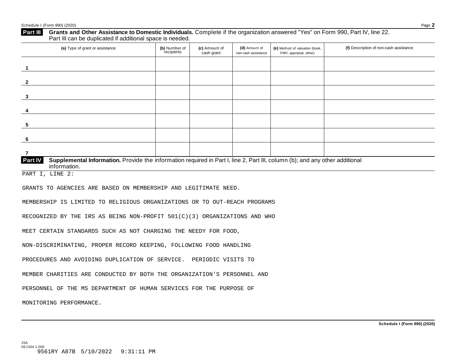| Part III                                                           | Grants and Other Assistance to Domestic Individuals. Complete if the organization answered "Yes" on Form 990, Part IV, line 22.<br>Part III can be duplicated if additional space is needed. |                             |                             |                                      |                                                          |                                        |  |  |
|--------------------------------------------------------------------|----------------------------------------------------------------------------------------------------------------------------------------------------------------------------------------------|-----------------------------|-----------------------------|--------------------------------------|----------------------------------------------------------|----------------------------------------|--|--|
|                                                                    | (a) Type of grant or assistance                                                                                                                                                              | (b) Number of<br>recipients | (c) Amount of<br>cash grant | (d) Amount of<br>non-cash assistance | (e) Method of valuation (book,<br>FMV, appraisal, other) | (f) Description of non-cash assistance |  |  |
| -1                                                                 |                                                                                                                                                                                              |                             |                             |                                      |                                                          |                                        |  |  |
| $\mathbf{2}$                                                       |                                                                                                                                                                                              |                             |                             |                                      |                                                          |                                        |  |  |
| 3                                                                  |                                                                                                                                                                                              |                             |                             |                                      |                                                          |                                        |  |  |
| 4                                                                  |                                                                                                                                                                                              |                             |                             |                                      |                                                          |                                        |  |  |
| 5                                                                  |                                                                                                                                                                                              |                             |                             |                                      |                                                          |                                        |  |  |
| 6                                                                  |                                                                                                                                                                                              |                             |                             |                                      |                                                          |                                        |  |  |
| $\overline{7}$                                                     |                                                                                                                                                                                              |                             |                             |                                      |                                                          |                                        |  |  |
| Part IV                                                            | Supplemental Information. Provide the information required in Part I, line 2, Part III, column (b); and any other additional<br>information.                                                 |                             |                             |                                      |                                                          |                                        |  |  |
|                                                                    | PART I, LINE 2:                                                                                                                                                                              |                             |                             |                                      |                                                          |                                        |  |  |
|                                                                    | GRANTS TO AGENCIES ARE BASED ON MEMBERSHIP AND LEGITIMATE NEED.                                                                                                                              |                             |                             |                                      |                                                          |                                        |  |  |
|                                                                    | MEMBERSHIP IS LIMITED TO RELIGIOUS ORGANIZATIONS OR TO OUT-REACH PROGRAMS                                                                                                                    |                             |                             |                                      |                                                          |                                        |  |  |
|                                                                    | RECOGNIZED BY THE IRS AS BEING NON-PROFIT 501(C)(3) ORGANIZATIONS AND WHO                                                                                                                    |                             |                             |                                      |                                                          |                                        |  |  |
| MEET CERTAIN STANDARDS SUCH AS NOT CHARGING THE NEEDY FOR FOOD,    |                                                                                                                                                                                              |                             |                             |                                      |                                                          |                                        |  |  |
| NON-DISCRIMINATING, PROPER RECORD KEEPING, FOLLOWING FOOD HANDLING |                                                                                                                                                                                              |                             |                             |                                      |                                                          |                                        |  |  |
| PROCEDURES AND AVOIDING DUPLICATION OF SERVICE. PERIODIC VISITS TO |                                                                                                                                                                                              |                             |                             |                                      |                                                          |                                        |  |  |
|                                                                    | MEMBER CHARITIES ARE CONDUCTED BY BOTH THE ORGANIZATION'S PERSONNEL AND                                                                                                                      |                             |                             |                                      |                                                          |                                        |  |  |
|                                                                    | PERSONNEL OF THE MS DEPARTMENT OF HUMAN SERVICES FOR THE PURPOSE OF                                                                                                                          |                             |                             |                                      |                                                          |                                        |  |  |
|                                                                    | MONITORING PERFORMANCE.                                                                                                                                                                      |                             |                             |                                      |                                                          |                                        |  |  |

**Schedule I (Form 990) (2020)**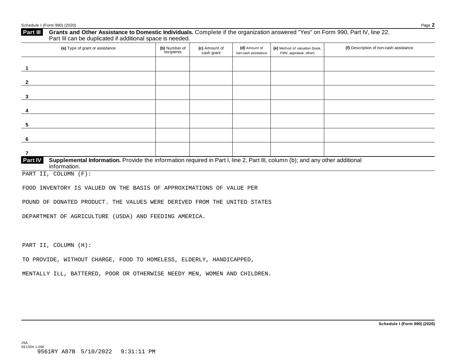## **Grants and Other Assistance to Domestic Individuals.** Complete ifthe organization answered "Yes" on Form 990, Part IV, line 22. **Part III** Grants and Other Assistance to Domestic Individuals<br>Part III can be duplicated if additional space is needed. (a) Type of grant or assistance **(b)** Number of **(c)** Amount of **(d)** Amount of **(e)** Method of valuation (book, **(f)** Description of non-cash assistance FMV, appraisal, other) for the recipients **(d)** Amount of non-cash assistance **(c)** Amount of cash grant **1 2 3 4 5 6 7 Supplemental Information.** Provide the information required in Part I, line 2, Part III, column (b); and any other additional information. **Part IV**

PART II, COLUMN (F):

FOOD INVENTORY IS VALUED ON THE BASIS OF APPROXIMATIONS OF VALUE PER

POUND OF DONATED PRODUCT. THE VALUES WERE DERIVED FROM THE UNITED STATES

DEPARTMENT OF AGRICULTURE (USDA) AND FEEDING AMERICA.

PART II, COLUMN (H):

JSA 0E1504 1.000

TO PROVIDE, WITHOUT CHARGE, FOOD TO HOMELESS, ELDERLY, HANDICAPPED,

MENTALLY ILL, BATTERED, POOR OR OTHERWISE NEEDY MEN, WOMEN AND CHILDREN.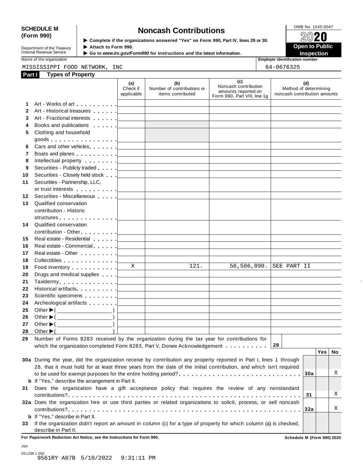# SCHEDULE M<br>
(Form 990) **Supplementary of the organizations answered** "Yes" on Form 990 Part IV lines 29 or 30

**Department of the Treasury<br>Internal Revenue Service** 

**Examplete** if the organizations answered "Yes" on Form 990, Part Ⅳ, lines 29 or 30. 
<br>
★ Attach to Form 990. **Department of the Treasury ▶ Attach to Form 990.**<br>Internal Revenue Service ▶ Go to *www.irs.gov/Form990* for instructions and the latest information.<br>Nome of the organization sumber

Name of the organization **intervalse of the organization intervalse of the organization <b>intervalse of the organization intervalse of the organization intervalse of the organization intervalse of the organization**

MISSISSIPPI FOOD NETWORK, INC 64-0676325

| Part I       | <b>Types of Property</b>                                                                                                                                                                                                      |                               |                                                                            |                                                                                    |                                                              |
|--------------|-------------------------------------------------------------------------------------------------------------------------------------------------------------------------------------------------------------------------------|-------------------------------|----------------------------------------------------------------------------|------------------------------------------------------------------------------------|--------------------------------------------------------------|
|              |                                                                                                                                                                                                                               | (a)<br>Check if<br>applicable | (b)<br>Number of contributions or<br>items contributed                     | (c)<br>Noncash contribution<br>amounts reported on<br>Form 990, Part VIII, line 1g | (d)<br>Method of determining<br>noncash contribution amounts |
| 1.           |                                                                                                                                                                                                                               |                               | <u> 1989 - Johann Stein, mars an deus Amerikaansk kommunister (</u>        |                                                                                    |                                                              |
| $\mathbf{2}$ |                                                                                                                                                                                                                               |                               |                                                                            |                                                                                    |                                                              |
| 3            |                                                                                                                                                                                                                               |                               |                                                                            |                                                                                    |                                                              |
| 4            |                                                                                                                                                                                                                               |                               | the control of the control of the control of the control of the control of |                                                                                    |                                                              |
| 5            | Clothing and household                                                                                                                                                                                                        |                               |                                                                            |                                                                                    |                                                              |
|              |                                                                                                                                                                                                                               |                               |                                                                            |                                                                                    |                                                              |
| 6            |                                                                                                                                                                                                                               |                               |                                                                            |                                                                                    |                                                              |
| 7            |                                                                                                                                                                                                                               |                               |                                                                            |                                                                                    |                                                              |
| 8            |                                                                                                                                                                                                                               |                               |                                                                            | the control of the control of the control of the control of the control of         |                                                              |
| 9            |                                                                                                                                                                                                                               |                               |                                                                            | the control of the control of the control of the control of the control of         |                                                              |
| 10           |                                                                                                                                                                                                                               |                               |                                                                            |                                                                                    |                                                              |
| 11           | Securities - Partnership, LLC,                                                                                                                                                                                                |                               |                                                                            |                                                                                    |                                                              |
|              |                                                                                                                                                                                                                               |                               |                                                                            |                                                                                    |                                                              |
| 12           | Securities - Miscellaneous                                                                                                                                                                                                    |                               |                                                                            |                                                                                    |                                                              |
| 13           | Qualified conservation                                                                                                                                                                                                        |                               |                                                                            |                                                                                    |                                                              |
|              | contribution - Historic                                                                                                                                                                                                       |                               |                                                                            |                                                                                    |                                                              |
|              |                                                                                                                                                                                                                               |                               |                                                                            |                                                                                    |                                                              |
| 14           | Qualified conservation                                                                                                                                                                                                        |                               |                                                                            |                                                                                    |                                                              |
|              |                                                                                                                                                                                                                               |                               |                                                                            |                                                                                    |                                                              |
| 15           | Real estate - Residential entry and the contract of the state of Real estate - Residential                                                                                                                                    |                               |                                                                            | the control of the control of the control of the control of the control of         |                                                              |
| 16           | Real estate - Commercial executive and the commercial executive and the commercial executive and the commercial                                                                                                               |                               |                                                                            |                                                                                    |                                                              |
| 17           |                                                                                                                                                                                                                               |                               |                                                                            |                                                                                    |                                                              |
| 18           | Collectibles <u>  _ _ _ _ _</u>                                                                                                                                                                                               |                               |                                                                            |                                                                                    |                                                              |
| 19           | Food inventory exercise the set of the set of the set of the set of the set of the set of the set of the set of the set of the set of the set of the set of the set of the set of the set of the set of the set of the set of | $\overline{X}$                | 121.                                                                       | 56,506,890.                                                                        | SEE PART II                                                  |
| 20           |                                                                                                                                                                                                                               |                               |                                                                            |                                                                                    |                                                              |
| 21           |                                                                                                                                                                                                                               |                               |                                                                            |                                                                                    |                                                              |
| 22           |                                                                                                                                                                                                                               |                               |                                                                            |                                                                                    |                                                              |
| 23           |                                                                                                                                                                                                                               |                               |                                                                            |                                                                                    |                                                              |
| 24           |                                                                                                                                                                                                                               |                               |                                                                            |                                                                                    |                                                              |
| 25           | Other $\blacktriangleright$ ( $\_\_\_\_\_\_\_\_\$ )                                                                                                                                                                           |                               | <u> 1989 - John Stein, Amerikaansk politiker († 1908)</u>                  |                                                                                    |                                                              |
| 26           |                                                                                                                                                                                                                               |                               |                                                                            |                                                                                    |                                                              |
| 27           |                                                                                                                                                                                                                               |                               |                                                                            |                                                                                    |                                                              |
|              | 28 Other $\blacktriangleright$ (                                                                                                                                                                                              |                               |                                                                            |                                                                                    |                                                              |
|              | 29 Number of Forms 8283 received by the organization during the tax year for contributions for                                                                                                                                |                               |                                                                            |                                                                                    |                                                              |
|              | which the organization completed Form 8283, Part V, Donee Acknowledgement                                                                                                                                                     |                               |                                                                            |                                                                                    | 29                                                           |
|              |                                                                                                                                                                                                                               |                               |                                                                            |                                                                                    | <b>Yes</b><br>No                                             |
|              | 30a During the year, did the organization receive by contribution any property reported in Part I, lines 1 through                                                                                                            |                               |                                                                            |                                                                                    |                                                              |
|              | 28, that it must hold for at least three years from the date of the initial contribution, and which isn't required                                                                                                            |                               |                                                                            |                                                                                    |                                                              |
|              |                                                                                                                                                                                                                               |                               |                                                                            |                                                                                    | Χ<br>30a                                                     |
|              | <b>b</b> If "Yes," describe the arrangement in Part II.                                                                                                                                                                       |                               |                                                                            |                                                                                    |                                                              |
| 31           | Does the organization have a gift acceptance policy that requires the review of any nonstandard                                                                                                                               |                               |                                                                            |                                                                                    |                                                              |
|              |                                                                                                                                                                                                                               |                               |                                                                            |                                                                                    | Χ<br>31                                                      |
|              | 32a Does the organization hire or use third parties or related organizations to solicit, process, or sell noncash                                                                                                             |                               |                                                                            |                                                                                    |                                                              |
|              |                                                                                                                                                                                                                               |                               |                                                                            |                                                                                    | Χ<br>32a                                                     |
|              | <b>b</b> If "Yes," describe in Part II.                                                                                                                                                                                       |                               |                                                                            |                                                                                    |                                                              |
|              | 33 If the organization didn't report an amount in column (c) for a type of property for which column (a) is checked,                                                                                                          |                               |                                                                            |                                                                                    |                                                              |
|              | describe in Part II.                                                                                                                                                                                                          |                               |                                                                            |                                                                                    |                                                              |

**For Paperwork Reduction Act Notice, see the Instructions for Form 990. Schedule M (Form 990) 2020**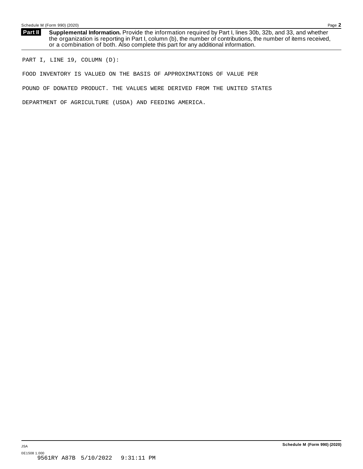**Supplemental Information.** Provide the information required by Part I, lines 30b, 32b, and 33, and whether the organization is reporting in Part I, column (b), the number of contributions, the number of items received, or a combination of both. Also complete this part for any additional information. **Part II**

PART I, LINE 19, COLUMN (D):

FOOD INVENTORY IS VALUED ON THE BASIS OF APPROXIMATIONS OF VALUE PER

POUND OF DONATED PRODUCT. THE VALUES WERE DERIVED FROM THE UNITED STATES

DEPARTMENT OF AGRICULTURE (USDA) AND FEEDING AMERICA.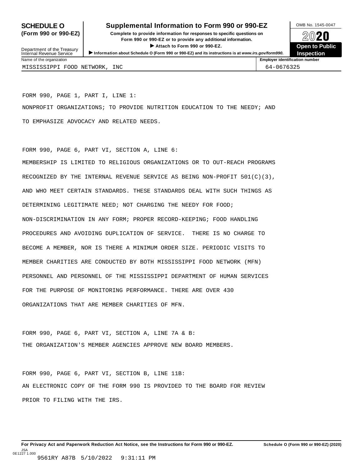## **SCHEDULE O** Supplemental Information to Form 990 or 990-EZ DAMB No. 1545-0047

**(Form 990 or 990-EZ) Complete to provide information for responses to specific questions on** plete to provide information for responses to specific questions on  $\bigotimes_{\mathbb{Z}}\mathbb{Q}$  20 **EVEC**<br>
■ Attach to Form 990 or 990-EZ.<br>
■ Attach to Form 990 or 990-EZ.



Department of the Treasury<br>Internal Revenue Service Department of the Treasury <br>Depen to Public<br>Name of the organization<br>Name of the organization<br>Name of the organization<br>Name of the organization<br>Inspection MISSISSIPPI FOOD NETWORK, INC 64-0676325

FORM 990, PAGE 1, PART I, LINE 1: NONPROFIT ORGANIZATIONS; TO PROVIDE NUTRITION EDUCATION TO THE NEEDY; AND TO EMPHASIZE ADVOCACY AND RELATED NEEDS.

FORM 990, PAGE 6, PART VI, SECTION A, LINE 6: MEMBERSHIP IS LIMITED TO RELIGIOUS ORGANIZATIONS OR TO OUT-REACH PROGRAMS RECOGNIZED BY THE INTERNAL REVENUE SERVICE AS BEING NON-PROFIT 501(C)(3), AND WHO MEET CERTAIN STANDARDS. THESE STANDARDS DEAL WITH SUCH THINGS AS DETERMINING LEGITIMATE NEED; NOT CHARGING THE NEEDY FOR FOOD; NON-DISCRIMINATION IN ANY FORM; PROPER RECORD-KEEPING; FOOD HANDLING PROCEDURES AND AVOIDING DUPLICATION OF SERVICE. THERE IS NO CHARGE TO BECOME A MEMBER, NOR IS THERE A MINIMUM ORDER SIZE. PERIODIC VISITS TO MEMBER CHARITIES ARE CONDUCTED BY BOTH MISSISSIPPI FOOD NETWORK (MFN) PERSONNEL AND PERSONNEL OF THE MISSISSIPPI DEPARTMENT OF HUMAN SERVICES FOR THE PURPOSE OF MONITORING PERFORMANCE. THERE ARE OVER 430 ORGANIZATIONS THAT ARE MEMBER CHARITIES OF MFN.

FORM 990, PAGE 6, PART VI, SECTION A, LINE 7A & B: THE ORGANIZATION'S MEMBER AGENCIES APPROVE NEW BOARD MEMBERS.

FORM 990, PAGE 6, PART VI, SECTION B, LINE 11B: AN ELECTRONIC COPY OF THE FORM 990 IS PROVIDED TO THE BOARD FOR REVIEW PRIOR TO FILING WITH THE IRS.